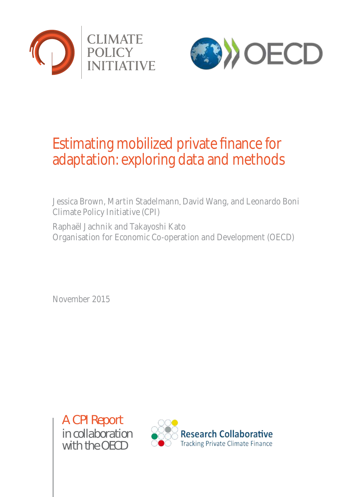



# Estimating mobilized private finance for adaptation: exploring data and methods

Jessica Brown, Martin Stadelmann, David Wang, and Leonardo Boni Climate Policy Initiative (CPI)

Raphaël Jachnik and Takayoshi Kato Organisation for Economic Co-operation and Development (OECD)

November 2015

A CPI Report *in collaboration with the OECD*

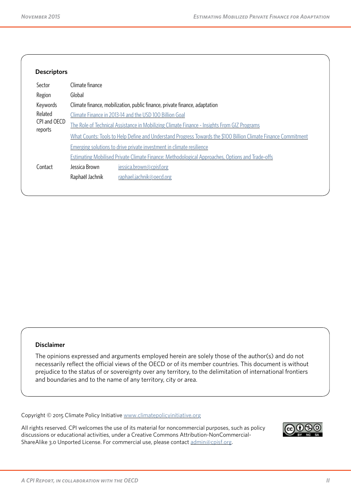| Sector                  | Climate finance |                                                                                                                |
|-------------------------|-----------------|----------------------------------------------------------------------------------------------------------------|
| Region                  | Global          |                                                                                                                |
| Keywords                |                 | Climate finance, mobilization, public finance, private finance, adaptation                                     |
| Related                 |                 | Climate Finance in 2013-14 and the USD 100 Billion Goal                                                        |
| CPI and OECD<br>reports |                 | The Role of Technical Assistance in Mobilizing Climate Finance - Insights From GIZ Programs                    |
|                         |                 | What Counts: Tools to Help Define and Understand Progress Towards the \$100 Billion Climate Finance Commitment |
|                         |                 | Emerging solutions to drive private investment in climate resilience                                           |
|                         |                 | Estimating Mobilised Private Climate Finance: Methodological Approaches, Options and Trade-offs                |
| Contact                 | Jessica Brown   | jessica.brown@cpisf.org                                                                                        |
|                         | Raphaël Jachnik | raphael.jachnik@oecd.org                                                                                       |

#### **Disclaimer**

The opinions expressed and arguments employed herein are solely those of the author(s) and do not necessarily reflect the official views of the OECD or of its member countries. This document is without prejudice to the status of or sovereignty over any territory, to the delimitation of international frontiers and boundaries and to the name of any territory, city or area.

Copyright © 2015 Climate Policy Initiative [www.climatepolicyinitiative.org](http://www.climatepolicyinitiative.org )

All rights reserved. CPI welcomes the use of its material for noncommercial purposes, such as policy discussions or educational activities, under a Creative Commons Attribution-NonCommercial-ShareAlike 3.0 Unported License. For commercial use, please contact  $\frac{admin@cpsf.org}{admin@cpsf.org}$ .

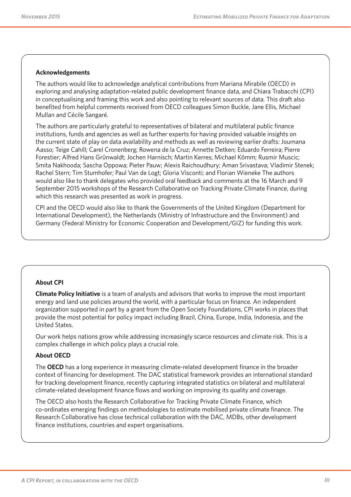#### **Acknowledgements**

The authors would like to acknowledge analytical contributions from Mariana Mirabile (OECD) in exploring and analysing adaptation-related public development finance data, and Chiara Trabacchi (CPI) in conceptualising and framing this work and also pointing to relevant sources of data. This draft also benefited from helpful comments received from OECD colleagues Simon Buckle, Jane Ellis, Michael Mullan and Cécile Sangaré.

The authors are particularly grateful to representatives of bilateral and multilateral public finance institutions, funds and agencies as well as further experts for having provided valuable insights on the current state of play on data availability and methods as well as reviewing earlier drafts: Joumana Aasso; Teige Cahill; Carel Cronenberg; Rowena de la Cruz; Annette Detken; Eduardo Ferreira; Pierre Forestier; Alfred Hans GrÜnwaldt; Jochen Harnisch; Martin Kerres; Michael Kömm; Rusmir Muscic; Smita Nakhooda; Sascha Oppowa; Pieter Pauw; Alexis Raichoudhury; Aman Srivastava; Vladimir Stenek; Rachel Stern; Tim Stumhofer; Paul Van de Logt; Gloria Visconti; and Florian Wieneke The authors would also like to thank delegates who provided oral feedback and comments at the 16 March and 9 September 2015 workshops of the Research Collaborative on Tracking Private Climate Finance, during which this research was presented as work in progress.

CPI and the OECD would also like to thank the Governments of the United Kingdom (Department for International Development), the Netherlands (Ministry of Infrastructure and the Environment) and Germany (Federal Ministry for Economic Cooperation and Development/GIZ) for funding this work.

#### **About CPI**

**Climate Policy Initiative** is a team of analysts and advisors that works to improve the most important energy and land use policies around the world, with a particular focus on finance. An independent organization supported in part by a grant from the Open Society Foundations, CPI works in places that provide the most potential for policy impact including Brazil, China, Europe, India, Indonesia, and the United States.

Our work helps nations grow while addressing increasingly scarce resources and climate risk. This is a complex challenge in which policy plays a crucial role.

#### **About OECD**

The **OECD** has a long experience in measuring climate-related development finance in the broader context of financing for development. The DAC statistical framework provides an international standard for tracking development finance, recently capturing integrated statistics on bilateral and multilateral climate-related development finance flows and working on improving its quality and coverage.

The OECD also hosts the Research Collaborative for Tracking Private Climate Finance, which co-ordinates emerging findings on methodologies to estimate mobilised private climate finance. The Research Collaborative has close technical collaboration with the DAC, MDBs, other development finance institutions, countries and expert organisations.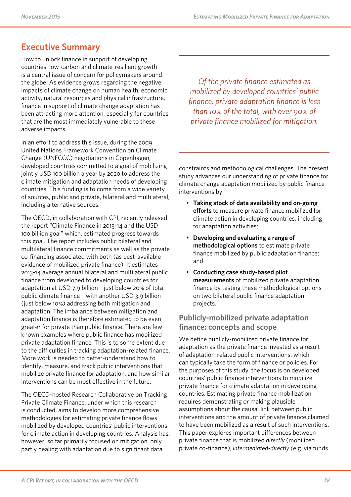## **Executive Summary**

How to unlock finance in support of developing countries' low-carbon and climate-resilient growth is a central issue of concern for policymakers around the globe. As evidence grows regarding the negative impacts of climate change on human health, economic activity, natural resources and physical infrastructure, finance in support of climate change adaptation has been attracting more attention, especially for countries that are the most immediately vulnerable to these adverse impacts.

In an effort to address this issue, during the 2009 United Nations Framework Convention on Climate Change (UNFCCC) negotiations in Copenhagen, developed countries committed to a goal of mobilizing jointly USD 100 billion a year by 2020 to address the climate mitigation and adaptation needs of developing countries. This funding is to come from a wide variety of sources, public and private, bilateral and multilateral, including alternative sources.

The OECD, in collaboration with CPI, recently released the report "Climate Finance in 2013-14 and the USD 100 billion goal" which, estimated progress towards this goal. The report includes public bilateral and multilateral finance commitments as well as the private co-financing associated with both (as best-available evidence of mobilized private finance). It estimates 2013-14 average annual bilateral and multilateral public finance from developed to developing countries for adaptation at USD 7.9 billion – just below 20% of total public climate finance – with another USD 3.9 billion (just below 10%) addressing both mitigation and adaptation. The imbalance between mitigation and adaptation finance is therefore estimated to be even greater for private than public finance. There are few known examples where public finance has mobilized private adaptation finance. This is to some extent due to the difficulties in tracking adaptation-related finance. More work is needed to better-understand how to identify, measure, and track public interventions that mobilize private finance for adaptation, and how similar interventions can be most effective in the future.

The OECD-hosted Research Collaborative on Tracking Private Climate Finance, under which this research is conducted, aims to develop more comprehensive methodologies for estimating private finance flows mobilized by developed countries' public interventions for climate action in developing countries. Analysis has, however, so far primarily focused on mitigation, only partly dealing with adaptation due to significant data

*Of the private finance estimated as mobilized by developed countries' public finance, private adaptation finance is less than 10% of the total, with over 90% of private finance mobilized for mitigation.*

constraints and methodological challenges. The present study advances our understanding of private finance for climate change adaptation mobilized by public finance interventions by:

- **Taking stock of data availability and on-going efforts** to measure private finance mobilized for climate action in developing countries, including for adaptation activities;
- **Developing and evaluating a range of methodological options** to estimate private finance mobilized by public adaptation finance; and
- **Conducting case study-based pilot measurements** of mobilized private adaptation finance by testing these methodological options on two bilateral public finance adaptation projects.

## **Publicly-mobilized private adaptation finance: concepts and scope**

We define publicly-mobilized private finance for adaptation as the private finance invested as a result of adaptation-related public interventions, which can typically take the form of finance or policies. For the purposes of this study, the focus is on developed countries' public finance interventions to mobilize private finance for climate adaptation in developing countries. Estimating private finance mobilization requires demonstrating or making plausible assumptions about the causal link between public interventions and the amount of private finance claimed to have been mobilized as a result of such interventions. This paper explores important differences between private finance that is mobilized *directly* (mobilized private co-finance)*, intermediated-directly (*e.g. via funds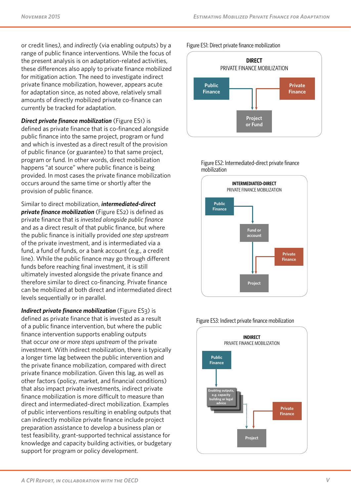or credit lines*),* and *indirectly* (via enabling outputs) by a range of public finance interventions. While the focus of the present analysis is on adaptation-related activities, these differences also apply to private finance mobilized for mitigation action. The need to investigate indirect private finance mobilization, however, appears acute for adaptation since, as noted above, relatively small amounts of directly mobilized private co-finance can currently be tracked for adaptation.

*Direct private finance mobilization* (Figure ES1) is defined as private finance that is co-financed alongside public finance into the same project, program or fund and which is invested as a direct result of the provision of public finance (or guarantee) to that same project, program or fund. In other words, direct mobilization happens "at source" where public finance is being provided. In most cases the private finance mobilization occurs around the same time or shortly after the provision of public finance.

Similar to direct mobilization, *intermediated-direct private finance mobilization* (Figure ES2) is defined as private finance that is *invested alongside public finance*  and as a direct result of that public finance, but where the public finance is initially provided *one step upstream* of the private investment, and is intermediated via a fund, a fund of funds, or a bank account (e.g., a credit line). While the public finance may go through different funds before reaching final investment, it is still ultimately invested alongside the private finance and therefore similar to direct co-financing. Private finance can be mobilized at both direct and intermediated direct levels sequentially or in parallel.

*Indirect private finance mobilization* (Figure ES3) is defined as private finance that is invested as a result of a public finance intervention, but where the public finance intervention supports enabling outputs that occur *one or more steps upstream* of the private investment. With indirect mobilization, there is typically a longer time lag between the public intervention and the private finance mobilization, compared with direct private finance mobilization. Given this lag, as well as other factors (policy, market, and financial conditions) that also impact private investments, indirect private finance mobilization is more difficult to measure than direct and intermediated-direct mobilization. Examples of public interventions resulting in enabling outputs that can indirectly mobilize private finance include project preparation assistance to develop a business plan or test feasibility, grant-supported technical assistance for knowledge and capacity building activities, or budgetary support for program or policy development.

Figure ES1: Direct private finance mobilization





Figure ES2: Intermediated-direct private finance



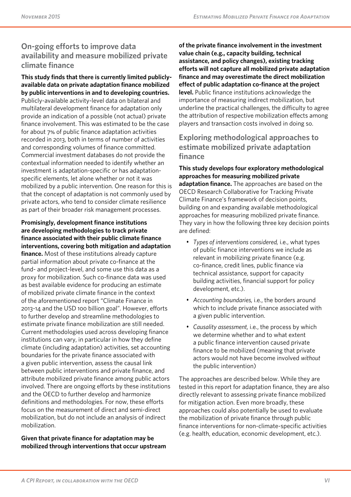## **On-going efforts to improve data availability and measure mobilized private climate finance**

**This study finds that there is currently limited publiclyavailable data on private adaptation finance mobilized by public interventions in and to developing countries.** Publicly-available activity-level data on bilateral and multilateral development finance for adaptation only provide an indication of a possible (not actual) private finance involvement. This was estimated to be the case for about 7% of public finance adaptation activities recorded in 2013, both in terms of number of activities and corresponding volumes of finance committed. Commercial investment databases do not provide the contextual information needed to identify whether an investment is adaptation-specific or has adaptationspecific elements, let alone whether or not it was mobilized by a public intervention. One reason for this is that the concept of adaptation is not commonly used by private actors, who tend to consider climate resilience as part of their broader risk management processes.

**Promisingly, development finance institutions are developing methodologies to track private finance associated with their public climate finance interventions, covering both mitigation and adaptation finance.** Most of these institutions already capture partial information about private co-finance at the fund- and project-level, and some use this data as a proxy for mobilization. Such co-finance data was used as best available evidence for producing an estimate of mobilized private climate finance in the context of the aforementioned report "Climate Finance in 2013-14 and the USD 100 billion goal". However, efforts to further develop and streamline methodologies to estimate private finance mobilization are still needed. Current methodologies used across developing finance institutions can vary, in particular in how they define climate (including adaptation) activities, set accounting boundaries for the private finance associated with a given public intervention, assess the causal link between public interventions and private finance, and attribute mobilized private finance among public actors involved. There are ongoing efforts by these institutions and the OECD to further develop and harmonize definitions and methodologies. For now, these efforts focus on the measurement of direct and semi-direct mobilization, but do not include an analysis of indirect mobilization.

**Given that private finance for adaptation may be mobilized through interventions that occur upstream**  **of the private finance involvement in the investment value chain (e.g., capacity building, technical assistance, and policy changes), existing tracking efforts will not capture all mobilized private adaptation finance and may overestimate the direct mobilization effect of public adaptation co-finance at the project level.** Public finance institutions acknowledge the importance of measuring indirect mobilization, but underline the practical challenges, the difficulty to agree the attribution of respective mobilization effects among players and transaction costs involved in doing so.

**Exploring methodological approaches to estimate mobilized private adaptation finance** 

**This study develops four exploratory methodological approaches for measuring mobilized private adaptation finance.** The approaches are based on the OECD Research Collaborative for Tracking Private Climate Finance's framework of decision points, building on and expanding available methodological approaches for measuring mobilized private finance. They vary in how the following three key decision points are defined:

- *Types of interventions considered,* i.e., what types of public finance interventions we include as relevant in mobilizing private finance (e.g. co-finance, credit lines, public finance via technical assistance, support for capacity building activities, financial support for policy development, etc.).
- *Accounting boundaries,* i.e., the borders around which to include private finance associated with a given public intervention.
- *Causality assessment,* i.e., the process by which we determine whether and to what extent a public finance intervention caused private finance to be mobilized (meaning that private actors would not have become involved *without* the public intervention)

The approaches are described below. While they are tested in this report for adaptation finance, they are also directly relevant to assessing private finance mobilized for mitigation action. Even more broadly, these approaches could also potentially be used to evaluate the mobilization of private finance through public finance interventions for non-climate-specific activities (e.g. health, education, economic development, etc.).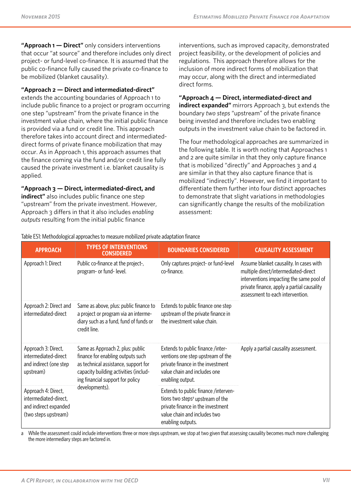**"Approach 1 — Direct"** only considers interventions that occur "at source" and therefore includes only direct project- or fund-level co-finance. It is assumed that the public co-finance fully caused the private co-finance to be mobilized (blanket causality).

#### **"Approach 2 — Direct and intermediated-direct"**

extends the accounting boundaries of Approach 1 to include public finance to a project or program occurring one step "upstream" from the private finance in the investment value chain, where the initial public finance is provided via a fund or credit line. This approach therefore takes into account direct and intermediateddirect forms of private finance mobilization that may occur. As in Approach 1, this approach assumes that the finance coming via the fund and/or credit line fully caused the private investment i.e. blanket causality is applied.

**"Approach 3 — Direct, intermediated-direct, and indirect"** also includes public finance one step "upstream" from the private investment. However, Approach 3 differs in that it also includes *enabling outputs* resulting from the initial public finance

interventions, such as improved capacity, demonstrated project feasibility, or the development of policies and regulations. This approach therefore allows for the inclusion of more indirect forms of mobilization that may occur, along with the direct and intermediated direct forms.

#### **"Approach 4 — Direct, intermediated-direct and**

**indirect expanded"** mirrors Approach 3, but extends the boundary *two steps* "upstream" of the private finance being invested and therefore includes two enabling outputs in the investment value chain to be factored in.

The four methodological approaches are summarized in the following table. It is worth noting that Approaches 1 and 2 are quite similar in that they only capture finance that is mobilized "directly" and Approaches  $3$  and  $4$ are similar in that they also capture finance that is mobilized "indirectly". However, we find it important to differentiate them further into four distinct approaches to demonstrate that slight variations in methodologies can significantly change the results of the mobilization assessment:

| <b>APPROACH</b>                                                                               | <b>TYPES OF INTERVENTIONS</b><br><b>CONSIDERED</b>                                                                                                                                         | <b>BOUNDARIES CONSIDERED</b>                                                                                                                                                   | <b>CAUSALITY ASSESSMENT</b>                                                                                                                                                                                   |
|-----------------------------------------------------------------------------------------------|--------------------------------------------------------------------------------------------------------------------------------------------------------------------------------------------|--------------------------------------------------------------------------------------------------------------------------------------------------------------------------------|---------------------------------------------------------------------------------------------------------------------------------------------------------------------------------------------------------------|
| Approach 1: Direct                                                                            | Public co-finance at the project-,<br>program- or fund- level.                                                                                                                             | Only captures project- or fund-level<br>co-finance.                                                                                                                            | Assume blanket causality. In cases with<br>multiple direct/intermediated-direct<br>interventions impacting the same pool of<br>private finance, apply a partial causality<br>assessment to each intervention. |
| Approach 2: Direct and<br>intermediated-direct                                                | Same as above, plus: public finance to<br>a project or program via an interme-<br>diary such as a fund, fund of funds or<br>credit line.                                                   | Extends to public finance one step<br>upstream of the private finance in<br>the investment value chain.                                                                        |                                                                                                                                                                                                               |
| Approach 3: Direct,<br>intermediated-direct<br>and indirect (one step<br>upstream)            | Same as Approach 2, plus: public<br>finance for enabling outputs such<br>as technical assistance, support for<br>capacity building activities (includ-<br>ing financial support for policy | Extends to public finance /inter-<br>ventions one step upstream of the<br>private finance in the investment<br>value chain and includes one<br>enabling output.                | Apply a partial causality assessment.                                                                                                                                                                         |
| Approach 4: Direct,<br>intermediated-direct,<br>and indirect expanded<br>(two steps upstream) | developments).                                                                                                                                                                             | Extends to public finance /interven-<br>tions two steps <sup>a</sup> upstream of the<br>private finance in the investment<br>value chain and includes two<br>enabling outputs. |                                                                                                                                                                                                               |

Table ES1: Methodological approaches to measure mobilized private adaptation finance

a While the assessment could include interventions three or more steps upstream, we stop at two given that assessing causality becomes much more challenging the more intermediary steps are factored in.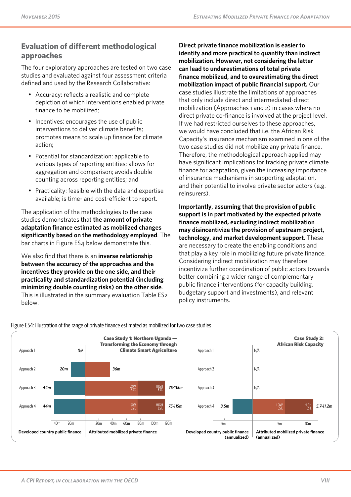### **Evaluation of different methodological approaches**

The four exploratory approaches are tested on two case studies and evaluated against four assessment criteria defined and used by the Research Collaborative:

- Accuracy: reflects a realistic and complete depiction of which interventions enabled private finance to be mobilized;
- Incentives: encourages the use of public interventions to deliver climate benefits; promotes means to scale up finance for climate action;
- Potential for standardization: applicable to various types of reporting entities; allows for aggregation and comparison; avoids double counting across reporting entities; and
- Practicality: feasible with the data and expertise available; is time- and cost-efficient to report.

The application of the methodologies to the case studies demonstrates that **the amount of private adaptation finance estimated as mobilized changes significantly based on the methodology employed**. The bar charts in Figure ES4 below demonstrate this.

We also find that there is an **inverse relationship between the accuracy of the approaches and the incentives they provide on the one side, and their practicality and standardization potential (including minimizing double counting risks) on the other side**. This is illustrated in the summary evaluation Table ES2 below.

**Direct private finance mobilization is easier to identify and more practical to quantify than indirect mobilization. However, not considering the latter can lead to underestimations of total private finance mobilized, and to overestimating the direct mobilization impact of public financial support.** Our case studies illustrate the limitations of approaches that only include direct and intermediated-direct mobilization (Approaches 1 and 2) in cases where no direct private co-finance is involved at the project level. If we had restricted ourselves to these approaches, we would have concluded that i.e. the African Risk Capacity's insurance mechanism examined in one of the two case studies did not mobilize any private finance. Therefore, the methodological approach applied may have significant implications for tracking private climate finance for adaptation, given the increasing importance of insurance mechanisms in supporting adaptation, and their potential to involve private sector actors (e.g. reinsurers).

**Importantly, assuming that the provision of public support is in part motivated by the expected private finance mobilized, excluding indirect mobilization may disincentivize the provision of upstream project, technology, and market development support.** These are necessary to create the enabling conditions and that play a key role in mobilizing future private finance. Considering indirect mobilization may therefore incentivize further coordination of public actors towards better combining a wider range of complementary public finance interventions (for capacity building, budgetary support and investments), and relevant policy instruments.



#### Figure ES4: Illustration of the range of private finance estimated as mobilized for two case studies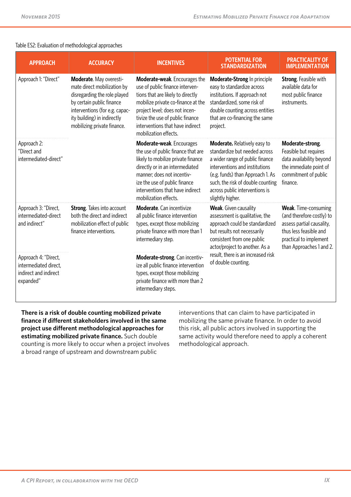#### Table ES2: Evaluation of methodological approaches

| <b>APPROACH</b>                                                                     | <b>ACCURACY</b>                                                                                                                                                                                                     | <b>INCENTIVES</b>                                                                                                                                                                                                                                                              | <b>POTENTIAL FOR</b><br><b>STANDARDIZATION</b>                                                                                                                                                                                                                           | <b>PRACTICALITY OF</b><br><b>IMPLEMENTATION</b>                                                                                                                       |
|-------------------------------------------------------------------------------------|---------------------------------------------------------------------------------------------------------------------------------------------------------------------------------------------------------------------|--------------------------------------------------------------------------------------------------------------------------------------------------------------------------------------------------------------------------------------------------------------------------------|--------------------------------------------------------------------------------------------------------------------------------------------------------------------------------------------------------------------------------------------------------------------------|-----------------------------------------------------------------------------------------------------------------------------------------------------------------------|
| Approach 1: "Direct"                                                                | Moderate. May overesti-<br>mate direct mobilization by<br>disregarding the role played<br>by certain public finance<br>interventions (for e.g. capac-<br>ity building) in indirectly<br>mobilizing private finance. | Moderate-weak. Encourages the<br>use of public finance interven-<br>tions that are likely to directly<br>mobilize private co-finance at the<br>project level; does not incen-<br>tivize the use of public finance<br>interventions that have indirect<br>mobilization effects. | Moderate-Strong In principle<br>easy to standardize across<br>institutions. If approach not<br>standardized, some risk of<br>double counting across entities<br>that are co-financing the same<br>project.                                                               | <b>Strong.</b> Feasible with<br>available data for<br>most public finance<br>instruments.                                                                             |
| Approach 2:<br>"Direct and<br>intermediated-direct"                                 |                                                                                                                                                                                                                     | Moderate-weak. Encourages<br>the use of public finance that are<br>likely to mobilize private finance<br>directly or in an intermediated<br>manner; does not incentiv-<br>ize the use of public finance<br>interventions that have indirect<br>mobilization effects.           | <b>Moderate.</b> Relatively easy to<br>standardize but needed across<br>a wider range of public finance<br>interventions and institutions<br>(e.g. funds) than Approach 1. As<br>such, the risk of double counting<br>across public interventions is<br>slightly higher. | Moderate-strong.<br>Feasible but requires<br>data availability beyond<br>the immediate point of<br>commitment of public<br>finance.                                   |
| Approach 3: "Direct,<br>intermediated-direct<br>and indirect"                       | <b>Strong.</b> Takes into account<br>both the direct and indirect<br>mobilization effect of public<br>finance interventions.                                                                                        | <b>Moderate.</b> Can incentivize<br>all public finance intervention<br>types, except those mobilizing<br>private finance with more than 1<br>intermediary step.                                                                                                                | <b>Weak.</b> Given causality<br>assessment is qualitative, the<br>approach could be standardized<br>but results not necessarily<br>consistent from one public<br>actor/project to another. As a                                                                          | <b>Weak.</b> Time-consuming<br>(and therefore costly) to<br>assess partial causality,<br>thus less feasible and<br>practical to implement<br>than Approaches 1 and 2. |
| Approach 4: "Direct,<br>intermediated direct,<br>indirect and indirect<br>expanded" |                                                                                                                                                                                                                     | Moderate-strong. Can incentiv-<br>ize all public finance intervention<br>types, except those mobilizing<br>private finance with more than 2<br>intermediary steps.                                                                                                             | result, there is an increased risk<br>of double counting.                                                                                                                                                                                                                |                                                                                                                                                                       |

**There is a risk of double counting mobilized private finance if different stakeholders involved in the same project use different methodological approaches for estimating mobilized private finance.** Such double counting is more likely to occur when a project involves a broad range of upstream and downstream public

interventions that can claim to have participated in mobilizing the same private finance. In order to avoid this risk, all public actors involved in supporting the same activity would therefore need to apply a coherent methodological approach.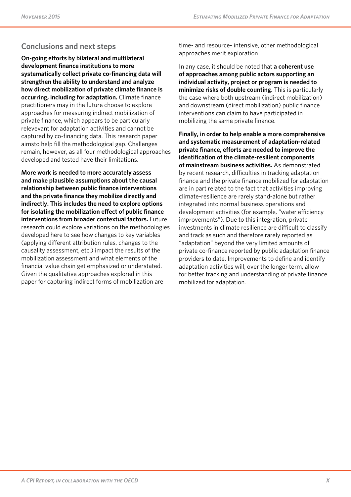## **Conclusions and next steps**

**On-going efforts by bilateral and multilateral development finance institutions to more systematically collect private co-financing data will strengthen the ability to understand and analyze how direct mobilization of private climate finance is occurring, including for adaptation.** Climate finance practitioners may in the future choose to explore approaches for measuring indirect mobilization of private finance, which appears to be particularly relevevant for adaptation activities and cannot be captured by co-financing data. This research paper aimsto help fill the methodological gap. Challenges remain, however, as all four methodological approaches developed and tested have their limitations.

**More work is needed to more accurately assess and make plausible assumptions about the causal relationship between public finance interventions and the private finance they mobilize directly and indirectly. This includes the need to explore options for isolating the mobilization effect of public finance interventions from broader contextual factors.** Future research could explore variations on the methodologies developed here to see how changes to key variables (applying different attribution rules, changes to the causality assessment, etc.) impact the results of the mobilization assessment and what elements of the financial value chain get emphasized or understated. Given the qualitative approaches explored in this paper for capturing indirect forms of mobilization are

time- and resource- intensive, other methodological approaches merit exploration.

In any case, it should be noted that **a coherent use of approaches among public actors supporting an individual activity, project or program is needed to minimize risks of double counting.** This is particularly the case where both upstream (indirect mobilization) and downstream (direct mobilization) public finance interventions can claim to have participated in mobilizing the same private finance.

**Finally, in order to help enable a more comprehensive and systematic measurement of adaptation-related private finance, efforts are needed to improve the identification of the climate-resilient components of mainstream business activities.** As demonstrated by recent research, difficulties in tracking adaptation finance and the private finance mobilized for adaptation are in part related to the fact that activities improving climate-resilience are rarely stand-alone but rather integrated into normal business operations and development activities (for example, "water efficiency improvements"). Due to this integration, private investments in climate resilience are difficult to classify and track as such and therefore rarely reported as "adaptation" beyond the very limited amounts of private co-finance reported by public adaptation finance providers to date. Improvements to define and identify adaptation activities will, over the longer term, allow for better tracking and understanding of private finance mobilized for adaptation.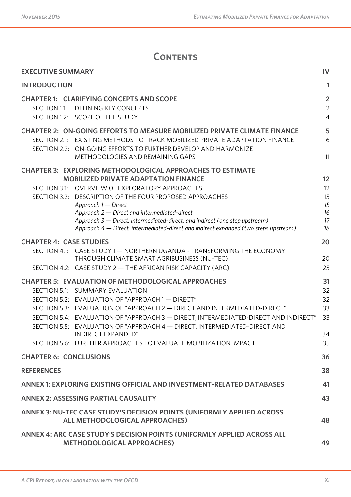# **CONTENTS**

| <b>EXECUTIVE SUMMARY</b>                                                                                                                                                                                                                                                                                                                                                                                                                                                                   | $\mathsf{IV}$                                      |
|--------------------------------------------------------------------------------------------------------------------------------------------------------------------------------------------------------------------------------------------------------------------------------------------------------------------------------------------------------------------------------------------------------------------------------------------------------------------------------------------|----------------------------------------------------|
| <b>INTRODUCTION</b>                                                                                                                                                                                                                                                                                                                                                                                                                                                                        | 1                                                  |
| <b>CHAPTER 1: CLARIFYING CONCEPTS AND SCOPE</b><br>SECTION 1.1: DEFINING KEY CONCEPTS<br>SECTION 1.2: SCOPE OF THE STUDY                                                                                                                                                                                                                                                                                                                                                                   | $\overline{2}$<br>$\overline{2}$<br>$\overline{4}$ |
| <b>CHAPTER 2: ON-GOING EFFORTS TO MEASURE MOBILIZED PRIVATE CLIMATE FINANCE</b><br>SECTION 2.1: EXISTING METHODS TO TRACK MOBILIZED PRIVATE ADAPTATION FINANCE<br>SECTION 2.2: ON-GOING EFFORTS TO FURTHER DEVELOP AND HARMONIZE<br>METHODOLOGIES AND REMAINING GAPS                                                                                                                                                                                                                       | 5<br>6<br>11                                       |
| <b>CHAPTER 3: EXPLORING METHODOLOGICAL APPROACHES TO ESTIMATE</b><br><b>MOBILIZED PRIVATE ADAPTATION FINANCE</b>                                                                                                                                                                                                                                                                                                                                                                           | 12                                                 |
| SECTION 3.1: OVERVIEW OF EXPLORATORY APPROACHES<br>SECTION 3.2: DESCRIPTION OF THE FOUR PROPOSED APPROACHES<br>Approach 1 - Direct<br>Approach 2 - Direct and intermediated-direct<br>Approach 3 – Direct, intermediated-direct, and indirect (one step upstream)<br>Approach $4$ — Direct, intermediated-direct and indirect expanded (two steps upstream)                                                                                                                                | 12<br>15<br>15<br>16<br>17<br>18                   |
| <b>CHAPTER 4: CASE STUDIES</b>                                                                                                                                                                                                                                                                                                                                                                                                                                                             | 20                                                 |
| SECTION 4.1: CASE STUDY 1 - NORTHERN UGANDA - TRANSFORMING THE ECONOMY<br>THROUGH CLIMATE SMART AGRIBUSINESS (NU-TEC)<br>SECTION 4.2: CASE STUDY 2 - THE AFRICAN RISK CAPACITY (ARC)                                                                                                                                                                                                                                                                                                       | 20<br>25                                           |
| <b>CHAPTER 5: EVALUATION OF METHODOLOGICAL APPROACHES</b><br>SECTION 5.1: SUMMARY EVALUATION<br>SECTION 5.2: EVALUATION OF "APPROACH 1 - DIRECT"<br>SECTION 5.3: EVALUATION OF "APPROACH 2 - DIRECT AND INTERMEDIATED-DIRECT"<br>SECTION 5.4: EVALUATION OF "APPROACH 3 - DIRECT, INTERMEDIATED-DIRECT AND INDIRECT"<br>SECTION 5.5: EVALUATION OF "APPROACH 4 - DIRECT, INTERMEDIATED-DIRECT AND<br>INDIRECT EXPANDED"<br>SECTION 5.6: FURTHER APPROACHES TO EVALUATE MOBILIZATION IMPACT | 31<br>32<br>32<br>33<br>33<br>34<br>35             |
| <b>CHAPTER 6: CONCLUSIONS</b>                                                                                                                                                                                                                                                                                                                                                                                                                                                              | 36                                                 |
| <b>REFERENCES</b>                                                                                                                                                                                                                                                                                                                                                                                                                                                                          | 38                                                 |
| ANNEX 1: EXPLORING EXISTING OFFICIAL AND INVESTMENT-RELATED DATABASES                                                                                                                                                                                                                                                                                                                                                                                                                      | 41                                                 |
| <b>ANNEX 2: ASSESSING PARTIAL CAUSALITY</b>                                                                                                                                                                                                                                                                                                                                                                                                                                                | 43                                                 |
| ANNEX 3: NU-TEC CASE STUDY'S DECISION POINTS (UNIFORMLY APPLIED ACROSS<br>ALL METHODOLOGICAL APPROACHES)                                                                                                                                                                                                                                                                                                                                                                                   | 48                                                 |
| ANNEX 4: ARC CASE STUDY'S DECISION POINTS (UNIFORMLY APPLIED ACROSS ALL<br><b>METHODOLOGICAL APPROACHES)</b>                                                                                                                                                                                                                                                                                                                                                                               | 49                                                 |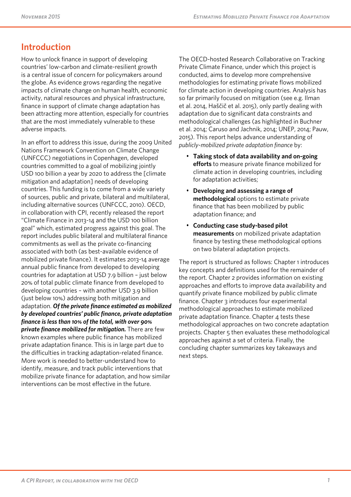## **Introduction**

How to unlock finance in support of developing countries' low-carbon and climate-resilient growth is a central issue of concern for policymakers around the globe. As evidence grows regarding the negative impacts of climate change on human health, economic activity, natural resources and physical infrastructure, finance in support of climate change adaptation has been attracting more attention, especially for countries that are the most immediately vulnerable to these adverse impacts.

In an effort to address this issue, during the 2009 United Nations Framework Convention on Climate Change (UNFCCC) negotiations in Copenhagen, developed countries committed to a goal of mobilizing jointly USD 100 billion a year by 2020 to address the [climate] mitigation and adaptation] needs of developing countries. This funding is to come from a wide variety of sources, public and private, bilateral and multilateral, including alternative sources (UNFCCC, 2010). OECD, in collaboration with CPI, recently released the report "Climate Finance in 2013-14 and the USD 100 billion goal" which, estimated progress against this goal. The report includes public bilateral and multilateral finance commitments as well as the private co-financing associated with both (as best-available evidence of mobilized private finance). It estimates 2013-14 average annual public finance from developed to developing countries for adaptation at USD 7.9 billion – just below 20% of total public climate finance from developed to developing countries – with another USD 3.9 billion (just below 10%) addressing both mitigation and adaptation. *Of the private finance estimated as mobilized by developed countries' public finance, private adaptation finance is less than 10% of the total, with over 90% private finance mobilized for mitigation.* There are few known examples where public finance has mobilized private adaptation finance. This is in large part due to the difficulties in tracking adaptation-related finance. More work is needed to better-understand how to identify, measure, and track public interventions that mobilize private finance for adaptation, and how similar interventions can be most effective in the future.

The OECD-hosted Research Collaborative on Tracking Private Climate Finance, under which this project is conducted, aims to develop more comprehensive methodologies for estimating private flows mobilized for climate action in developing countries. Analysis has so far primarily focused on mitigation (see e.g. Ilman et al. 2014, Haščič et al. 2015), only partly dealing with adaptation due to significant data constraints and methodological challenges (as highlighted in Buchner et al. 2014; Caruso and Jachnik, 2014; UNEP, 2014; Pauw, 2015). This report helps advance understanding of *publicly-mobilized private adaptation finance* by:

- **Taking stock of data availability and on-going efforts** to measure private finance mobilized for climate action in developing countries, including for adaptation activities;
- **Developing and assessing a range of methodological** options to estimate private finance that has been mobilized by public adaptation finance; and
- **Conducting case study-based pilot measurements** on mobilized private adaptation finance by testing these methodological options on two bilateral adaptation projects.

The report is structured as follows: Chapter 1 introduces key concepts and definitions used for the remainder of the report. Chapter 2 provides information on existing approaches and efforts to improve data availability and quantify private finance mobilized by public climate finance. Chapter 3 introduces four experimental methodological approaches to estimate mobilized private adaptation finance. Chapter 4 tests these methodological approaches on two concrete adaptation projects. Chapter 5 then evaluates these methodological approaches against a set of criteria. Finally, the concluding chapter summarizes key takeaways and next steps.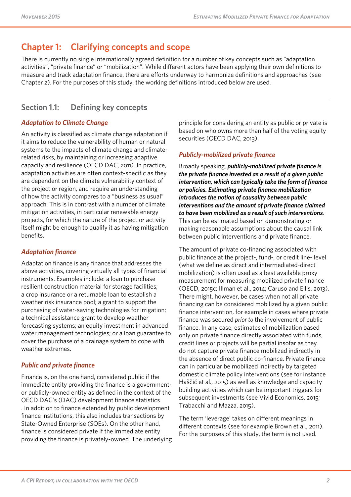## **Chapter 1: Clarifying concepts and scope**

There is currently no single internationally agreed definition for a number of key concepts such as "adaptation activities", "private finance" or "mobilization". While different actors have been applying their own definitions to measure and track adaptation finance, there are efforts underway to harmonize definitions and approaches (see Chapter 2). For the purposes of this study, the working definitions introduced below are used.

## **Section 1.1: Defining key concepts**

### *Adaptation to Climate Change*

An activity is classified as climate change adaptation if it aims to reduce the vulnerability of human or natural systems to the impacts of climate change and climaterelated risks, by maintaining or increasing adaptive capacity and resilience (OECD DAC, 2011). In practice, adaptation activities are often context-specific as they are dependent on the climate vulnerability context of the project or region, and require an understanding of how the activity compares to a "business as usual" approach. This is in contrast with a number of climate mitigation activities, in particular renewable energy projects, for which the nature of the project or activity itself might be enough to qualify it as having mitigation benefits.

### *Adaptation finance*

Adaptation finance is any finance that addresses the above activities, covering virtually all types of financial instruments. Examples include: a loan to purchase resilient construction material for storage facilities; a crop insurance or a returnable loan to establish a weather risk insurance pool; a grant to support the purchasing of water-saving technologies for irrigation; a technical assistance grant to develop weather forecasting systems; an equity investment in advanced water management technologies; or a loan guarantee to cover the purchase of a drainage system to cope with weather extremes.

#### *Public and private finance*

Finance is, on the one hand, considered public if the immediate entity providing the finance is a governmentor publicly-owned entity as defined in the context of the OECD DAC's (DAC) development finance statistics . In addition to finance extended by public development finance institutions, this also includes transactions by State-Owned Enterprise (SOEs). On the other hand, finance is considered private if the immediate entity providing the finance is privately-owned. The underlying principle for considering an entity as public or private is based on who owns more than half of the voting equity securities (OECD DAC, 2013).

#### *Publicly-mobilized private finance*

Broadly speaking, *publicly-mobilized private finance is the private finance invested as a result of a given public intervention, which can typically take the form of finance or policies. Estimating private finance mobilization introduces the notion of causality between public interventions and the amount of private finance claimed to have been mobilized as a result of such interventions*. This can be estimated based on demonstrating or making reasonable assumptions about the causal link between public interventions and private finance.

The amount of private co-financing associated with public finance at the project-, fund-, or credit line- level (what we define as direct and intermediated-direct mobilization) is often used as a best available proxy measurement for measuring mobilized private finance (OECD, 2015c; Illman et al., 2014; Caruso and Ellis, 2013). There might, however, be cases when not all private financing can be considered mobilized by a given public finance intervention, for example in cases where private finance was secured *prior to* the involvement of public finance. In any case, estimates of mobilization based only on private finance directly associated with funds, credit lines or projects will be partial insofar as they do not capture private finance mobilized indirectly in the absence of direct public co-finance. Private finance can in particular be mobilized indirectly by targeted domestic climate policy interventions (see for instance Haščič et al., 2015) as well as knowledge and capacity building activities which can be important triggers for subsequent investments (see Vivid Economics, 2015; Trabacchi and Mazza, 2015).

The term 'leverage' takes on different meanings in different contexts (see for example Brown et al., 2011). For the purposes of this study, the term is not used.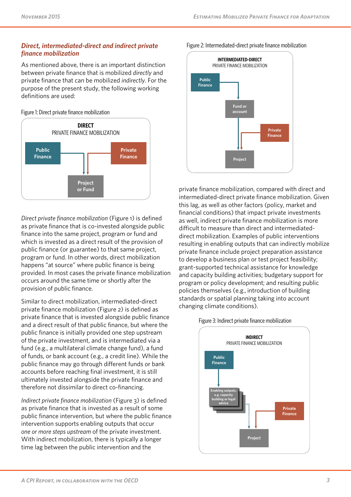#### *Direct, intermediated-direct and indirect private finance mobilization*

As mentioned above, there is an important distinction between private finance that is mobilized *directly* and private finance that can be mobilized *indirectly*. For the purpose of the present study, the following working definitions are used:

Figure 1: Direct private finance mobilization



*Direct private finance mobilization* (Figure 1) is defined as private finance that is co-invested alongside public finance into the same project, program or fund and which is invested as a direct result of the provision of public finance (or guarantee) to that same project, program or fund. In other words, direct mobilization happens "at source" where public finance is being provided. In most cases the private finance mobilization occurs around the same time or shortly after the provision of public finance.

Similar to direct mobilization, intermediated-direct private finance mobilization (Figure 2) is defined as private finance that is invested alongside public finance and a direct result of that public finance, but where the public finance is initially provided one step upstream of the private investment, and is intermediated via a fund (e.g., a multilateral climate change fund), a fund of funds, or bank account (e.g., a credit line). While the public finance may go through different funds or bank accounts before reaching final investment, it is still ultimately invested alongside the private finance and therefore not dissimilar to direct co-financing.

*Indirect private finance mobilization* (Figure 3) is defined as private finance that is invested as a result of some public finance intervention, but where the public finance intervention supports enabling outputs that occur *one or more steps upstream* of the private investment. With indirect mobilization, there is typically a longer time lag between the public intervention and the





private finance mobilization, compared with direct and intermediated-direct private finance mobilization. Given this lag, as well as other factors (policy, market and financial conditions) that impact private investments as well, indirect private finance mobilization is more difficult to measure than direct and intermediateddirect mobilization. Examples of public interventions resulting in enabling outputs that can indirectly mobilize private finance include project preparation assistance to develop a business plan or test project feasibility; grant-supported technical assistance for knowledge and capacity building activities; budgetary support for program or policy development; and resulting public policies themselves (e.g., introduction of building standards or spatial planning taking into account changing climate conditions).



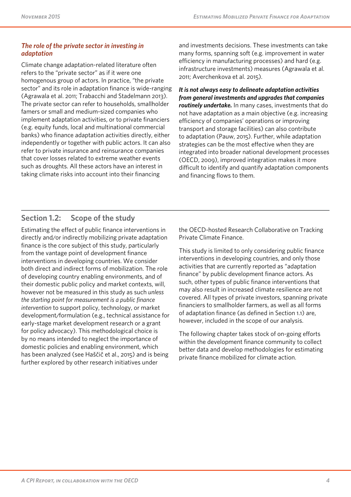#### *The role of the private sector in investing in adaptation*

Climate change adaptation-related literature often refers to the "private sector" as if it were one homogenous group of actors. In practice, "the private sector" and its role in adaptation finance is wide-ranging (Agrawala et al. 2011; Trabacchi and Stadelmann 2013). The private sector can refer to households, smallholder famers or small and medium-sized companies who implement adaptation activities, or to private financiers (e.g. equity funds, local and multinational commercial banks) who finance adaptation activities directly, either independently or together with public actors. It can also refer to private insurance and reinsurance companies that cover losses related to extreme weather events such as droughts. All these actors have an interest in taking climate risks into account into their financing

and investments decisions. These investments can take many forms, spanning soft (e.g. improvement in water efficiency in manufacturing processes) and hard (e.g. infrastructure investments) measures (Agrawala et al. 2011; Averchenkova et al. 2015).

*It is not always easy to delineate adaptation activities from general investments and upgrades that companies routinely undertake.* In many cases, investments that do not have adaptation as a main objective (e.g. increasing efficiency of companies' operations or improving transport and storage facilities) can also contribute to adaptation (Pauw, 2015). Further, while adaptation strategies can be the most effective when they are integrated into broader national development processes (OECD, 2009), improved integration makes it more difficult to identify and quantify adaptation components and financing flows to them.

## **Section 1.2: Scope of the study**

Estimating the effect of public finance interventions in directly and/or indirectly mobilizing private adaptation finance is the core subject of this study, particularly from the vantage point of development finance interventions in developing countries. We consider both direct and indirect forms of mobilization. The role of developing country enabling environments, and of their domestic public policy and market contexts, will, however not be measured in this study as such *unless the starting point for measurement is a public finance intervention* to support policy, technology, or market development/formulation (e.g., technical assistance for early-stage market development research or a grant for policy advocacy). This methodological choice is by no means intended to neglect the importance of domestic policies and enabling environment, which has been analyzed (see Haščič et al., 2015) and is being further explored by other research initiatives under

the OECD-hosted Research Collaborative on Tracking Private Climate Finance.

This study is limited to only considering public finance interventions in developing countries, and only those activities that are currently reported as "adaptation finance" by public development finance actors. As such, other types of public finance interventions that may also result in increased climate resilience are not covered. All types of private investors, spanning private financiers to smallholder farmers, as well as all forms of adaptation finance (as defined in Section 1.1) are, however, included in the scope of our analysis.

The following chapter takes stock of on-going efforts within the development finance community to collect better data and develop methodologies for estimating private finance mobilized for climate action.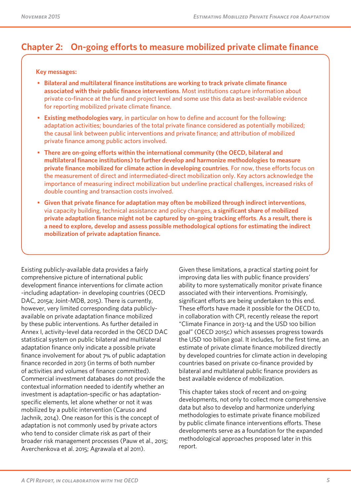## **Chapter 2: On-going efforts to measure mobilized private climate finance**

#### **Key messages:**

- **Bilateral and multilateral finance institutions are working to track private climate finance associated with their public finance interventions**. Most institutions capture information about private co-finance at the fund and project level and some use this data as best-available evidence for reporting mobilized private climate finance.
- **Existing methodologies vary**, in particular on how to define and account for the following: adaptation activities; boundaries of the total private finance considered as potentially mobilized; the causal link between public interventions and private finance; and attribution of mobilized private finance among public actors involved.
- **There are on-going efforts within the international community (the OECD, bilateral and multilateral finance institutions) to further develop and harmonize methodologies to measure private finance mobilized for climate action in developing countries**. For now, these efforts focus on the measurement of direct and intermediated-direct mobilization only. Key actors acknowledge the importance of measuring indirect mobilization but underline practical challenges, increased risks of double counting and transaction costs involved.
- **Given that private finance for adaptation may often be mobilized through indirect interventions**, via capacity building, technical assistance and policy changes, **a significant share of mobilized private adaptation finance might not be captured by on-going tracking efforts**. **As a result, there is a need to explore, develop and assess possible methodological options for estimating the indirect mobilization of private adaptation finance.**

Existing publicly-available data provides a fairly comprehensive picture of international public development finance interventions for climate action -including adaptation- in developing countries (OECD DAC, 2015a; Joint-MDB, 2015). There is currently, however, very limited corresponding data publiclyavailable on private adaptation finance mobilized by these public interventions. As further detailed in Annex I, activity-level data recorded in the OECD DAC statistical system on public bilateral and multilateral adaptation finance only indicate a possible private finance involvement for about 7% of public adaptation finance recorded in 2013 (in terms of both number of activities and volumes of finance committed). Commercial investment databases do not provide the contextual information needed to identify whether an investment is adaptation-specific or has adaptationspecific elements, let alone whether or not it was mobilized by a public intervention (Caruso and Jachnik, 2014). One reason for this is the concept of adaptation is not commonly used by private actors who tend to consider climate risk as part of their broader risk management processes (Pauw et al., 2015; Averchenkova et al. 2015; Agrawala et al 2011).

Given these limitations, a practical starting point for improving data lies with public finance providers' ability to more systematically monitor private finance associated with their interventions. Promisingly, significant efforts are being undertaken to this end. These efforts have made it possible for the OECD to, in collaboration with CPI, recently release the report "Climate Finance in 2013-14 and the USD 100 billion goal" (OECD 2015c) which assesses progress towards the USD 100 billion goal. It includes, for the first time, an estimate of private climate finance mobilized directly by developed countries for climate action in developing countries based on private co-finance provided by bilateral and multilateral public finance providers as best available evidence of mobilization.

This chapter takes stock of recent and on-going developments, not only to collect more comprehensive data but also to develop and harmonize underlying methodologies to estimate private finance mobilized by public climate finance interventions efforts. These developments serve as a foundation for the expanded methodological approaches proposed later in this report.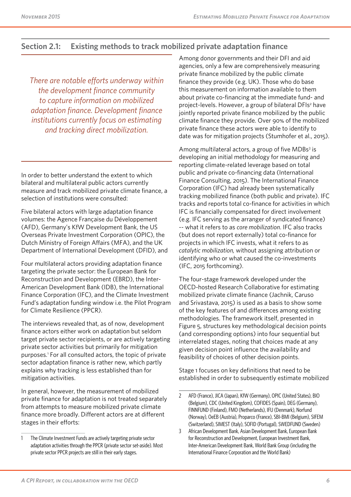### **Section 2.1: Existing methods to track mobilized private adaptation finance**

*There are notable efforts underway within the development finance community to capture information on mobilized adaptation finance. Development finance institutions currently focus on estimating and tracking direct mobilization.* 

In order to better understand the extent to which bilateral and multilateral public actors currently measure and track mobilized private climate finance, a selection of institutions were consulted:

Five bilateral actors with large adaptation finance volumes: the Agence Française du Développement (AFD), Germany's KfW Development Bank, the US Overseas Private Investment Corporation (OPIC), the Dutch Ministry of Foreign Affairs (MFA), and the UK Department of International Development (DFID), and

Four multilateral actors providing adaptation finance targeting the private sector: the European Bank for Reconstruction and Development (EBRD), the Inter-American Development Bank (IDB), the International Finance Corporation (IFC), and the Climate Investment Fund's adaptation funding window i.e. the Pilot Program for Climate Resilience (PPCR).

The interviews revealed that, as of now, development finance actors either work on adaptation but seldom target private sector recipients, or are actively targeting private sector activities but primarily for mitigation purposes.<sup>1</sup> For all consulted actors, the topic of private sector adaptation finance is rather new, which partly explains why tracking is less established than for mitigation activities.

In general, however, the measurement of mobilized private finance for adaptation is not treated separately from attempts to measure mobilized private climate finance more broadly. Different actors are at different stages in their efforts:

Among donor governments and their DFI and aid agencies, only a few are comprehensively measuring private finance mobilized by the public climate finance they provide (e.g. UK). Those who do base this measurement on information available to them about private co-financing at the immediate fund- and project-levels. However, a group of bilateral DFIs<sup>2</sup> have jointly reported private finance mobilized by the public climate finance they provide. Over 90% of the mobilized private finance these actors were able to identify to date was for mitigation projects (Stumhofer et al., 2015).

Among multilateral actors, a group of five MDBs<sup>3</sup> is developing an initial methodology for measuring and reporting climate-related leverage based on total public and private co-financing data (International Finance Consulting, 2015). The International Finance Corporation (IFC) had already been systematically tracking mobilized finance (both public and private). IFC tracks and reports total co-finance for activities in which IFC is financially compensated for direct involvement (e.g. IFC serving as the arranger of syndicated finance) -- what it refers to as *core mobilization*. IFC also tracks (but does not report externally) total co-finance for projects in which IFC invests, what it refers to as *catalytic mobilization,* without assigning attribution or identifying who or what caused the co-investments (IFC, 2015 forthcoming).

The four-stage framework developed under the OECD-hosted Research Collaborative for estimating mobilized private climate finance (Jachnik, Caruso and Srivastava, 2015) is used as a basis to show some of the key features of and differences among existing methodologies. The framework itself, presented in Figure 5, structures key methodological decision points (and corresponding options) into four sequential but interrelated stages, noting that choices made at any given decision point influence the availability and feasibility of choices of other decision points.

Stage 1 focuses on key definitions that need to be established in order to subsequently estimate mobilized

<sup>1</sup> The Climate Investment Funds are actively targeting private sector adaptation activities through the PPCR (private sector set-aside). Most private sector PPCR projects are still in their early stages.

<sup>2</sup> AFD (France), JICA (Japan), KfW (Germany), OPIC (United States), BIO (Belgium), CDC (United Kingdom), COFIDES (Spain), DEG (Germany), FINNFUND (Finland), FMO (Netherlands), IFU (Denmark), Norfund (Norway), OeEB (Austria), Proparco (France), SBI-BMI (Belgium), SIFEM (Switzerland), SIMEST (Italy), SOFID (Portugal), SWEDFUND (Sweden)

<sup>3</sup> African Development Bank, Asian Development Bank, European Bank for Reconstruction and Development, European Investment Bank, Inter-American Development Bank, World Bank Group (including the International Finance Corporation and the World Bank)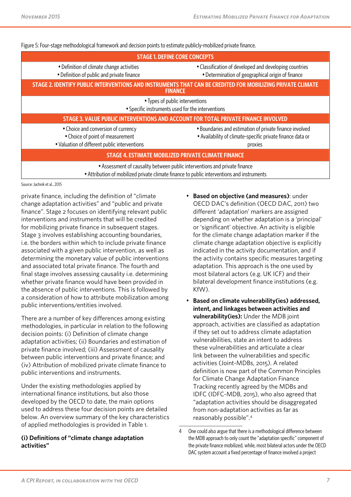| Figure 5: Four-stage methodological framework and decision points to estimate publicly-mobilized private finance.                                                        |                                                                                                                                  |  |
|--------------------------------------------------------------------------------------------------------------------------------------------------------------------------|----------------------------------------------------------------------------------------------------------------------------------|--|
|                                                                                                                                                                          | <b>STAGE 1. DEFINE CORE CONCEPTS</b>                                                                                             |  |
| • Definition of climate change activities<br>• Definition of public and private finance                                                                                  | • Classification of developed and developing countries<br>• Determination of geographical origin of finance                      |  |
|                                                                                                                                                                          | STAGE 2. IDENTIFY PUBLIC INTERVENTIONS AND INSTRUMENTS THAT CAN BE CREDITED FOR MOBILIZING PRIVATE CLIMATE<br><b>FINANCE</b>     |  |
|                                                                                                                                                                          | • Types of public interventions<br>• Specific instruments used for the interventions                                             |  |
|                                                                                                                                                                          | STAGE 3. VALUE PUBLIC INTERVENTIONS AND ACCOUNT FOR TOTAL PRIVATE FINANCE INVOLVED                                               |  |
| • Choice and conversion of currency<br>• Choice of point of measurement<br>• Valuation of different public interventions                                                 | • Boundaries and estimation of private finance involved<br>• Availability of climate-specific private finance data or<br>proxies |  |
| <b>STAGE 4. ESTIMATE MOBILIZED PRIVATE CLIMATE FINANCE</b>                                                                                                               |                                                                                                                                  |  |
| • Assessment of causality between public interventions and private finance<br>• Attribution of mobilized private climate finance to public interventions and instruments |                                                                                                                                  |  |

Source: Jachnik et al., 2015

private finance, including the definition of "climate change adaptation activities" and "public and private finance". Stage 2 focuses on identifying relevant public interventions and instruments that will be credited for mobilizing private finance in subsequent stages. Stage 3 involves establishing accounting boundaries, i.e. the borders within which to include private finance associated with a given public intervention, as well as determining the monetary value of public interventions and associated total private finance. The fourth and final stage involves assessing causality i.e. determining whether private finance would have been provided in the absence of public interventions. This is followed by a consideration of how to attribute mobilization among public interventions/entities involved.

There are a number of key differences among existing methodologies, in particular in relation to the following decision points: (i) Definition of climate change adaptation activities; (ii) Boundaries and estimation of private finance involved; (iii) Assessment of causality between public interventions and private finance; and (iv) Attribution of mobilized private climate finance to public interventions and instruments.

Under the existing methodologies applied by international finance institutions, but also those developed by the OECD to date, the main options used to address these four decision points are detailed below. An overview summary of the key characteristics of applied methodologies is provided in Table 1.

#### **(i) Definitions of "climate change adaptation activities"**

- **Based on objective (and measures)**: under OECD DAC's definition (OECD DAC, 2011) two different 'adaptation' markers are assigned depending on whether adaptation is a 'principal' or 'significant' objective. An activity is eligible for the climate change adaptation marker if the climate change adaptation objective is explicitly indicated in the activity documentation, and if the activity contains specific measures targeting adaptation. This approach is the one used by most bilateral actors (e.g. UK ICF) and their bilateral development finance institutions (e.g. KfW).
- **Based on climate vulnerability(ies) addressed, intent, and linkages between activities and vulnerability(ies):** Under the MDB joint approach, activities are classified as adaptation if they set out to address climate adaptation vulnerabilities, state an intent to address these vulnerabilities and articulate a clear link between the vulnerabilities and specific activities (Joint-MDBs, 2015). A related definition is now part of the Common Principles for Climate Change Adaptation Finance Tracking recently agreed by the MDBs and IDFC (IDFC-MDB, 2015), who also agreed that "adaptation activities should be disaggregated from non-adaptation activities as far as reasonably possible".4

<sup>4</sup> One could also argue that there is a methodological difference between the MDB approach to only count the "adaptation specific" component of the private finance mobilized, while, most bilateral actors under the OECD DAC system account a fixed percentage of finance involved a project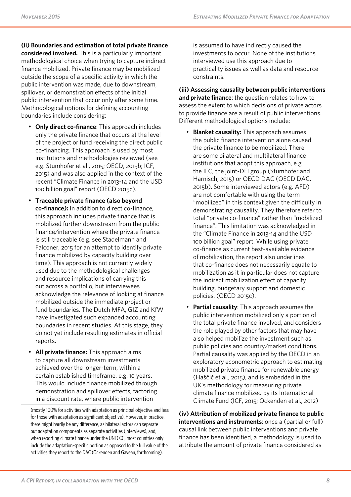**(ii) Boundaries and estimation of total private finance considered involved.** This is a particularly important methodological choice when trying to capture indirect finance mobilized. Private finance may be mobilized outside the scope of a specific activity in which the public intervention was made, due to downstream, spillover, or demonstration effects of the initial public intervention that occur only after some time. Methodological options for defining accounting boundaries include considering:

- **Only direct co-finance**: This approach includes only the private finance that occurs at the level of the project or fund receiving the direct public co-financing. This approach is used by most institutions and methodologies reviewed (see e.g. Stumhofer et al., 2015; OECD, 2015b; ICF, 2015) and was also applied in the context of the recent "Climate Finance in 2013-14 and the USD 100 billion goal" report (OECD 2015c).
- **Traceable private finance (also beyond co-finance):** In addition to direct co-finance, this approach includes private finance that is mobilized further downstream from the public finance/intervention where the private finance is still traceable (e.g. see Stadelmann and Falconer, 2015 for an attempt to identify private finance mobilized by capacity building over time). This approach is not currently widely used due to the methodological challenges and resource implications of carrying this out across a portfolio, but interviewees acknowledge the relevance of looking at finance mobilized outside the immediate project or fund boundaries. The Dutch MFA, GIZ and KfW have investigated such expanded accounting boundaries in recent studies. At this stage, they do not yet include resulting estimates in official reports.
- **All private finance:** This approach aims to capture all downstream investments achieved over the longer-term, within a certain established timeframe, e.g. 10 years. This would include finance mobilized through demonstration and spillover effects, factoring in a discount rate, where public intervention

is assumed to have indirectly caused the investments to occur. None of the institutions interviewed use this approach due to practicality issues as well as data and resource constraints.

**(iii) Assessing causality between public interventions and private finance**: the question relates to how to assess the extent to which decisions of private actors to provide finance are a result of public interventions. Different methodological options include:

- **Blanket causality:** This approach assumes the public finance intervention alone caused the private finance to be mobilized. There are some bilateral and multilateral finance institutions that adopt this approach, e.g. the IFC, the joint-DFI group (Stumhofer and Harnisch, 2015) or OECD DAC (OECD DAC, 2015b). Some interviewed actors (e.g. AFD) are not comfortable with using the term "mobilized" in this context given the difficulty in demonstrating causality. They therefore refer to total "private co-finance" rather than "mobilized finance". This limitation was acknowledged in the "Climate Finance in 2013-14 and the USD 100 billion goal" report. While using private co-finance as current best-available evidence of mobilization, the report also underlines that co-finance does not necessarily equate to mobilization as it in particular does not capture the indirect mobilization effect of capacity building, budgetary support and domestic policies. (OECD 2015c).
- **Partial causality**: This approach assumes the public intervention mobilized only a portion of the total private finance involved, and considers the role played by other factors that may have also helped mobilize the investment such as public policies and country/market conditions. Partial causality was applied by the OECD in an exploratory econometric approach to estimating mobilized private finance for renewable energy (Haščič et al., 2015), and is embedded in the UK's methodology for measuring private climate finance mobilized by its International Climate Fund (ICF, 2015; Ockenden et al., 2012)

**(iv) Attribution of mobilized private finance to public interventions and instruments**: once a (partial or full) causal link between public interventions and private finance has been identified, a methodology is used to attribute the amount of private finance considered as

<sup>(</sup>mostly 100% for activities with adaptation as principal objective and less for those with adaptation as significant objective). However, in practice, there might hardly be any difference, as bilateral actors can separate out adaptation components as separate activities (interviews), and, when reporting climate finance under the UNFCCC, most countries only include the adaptation-specific portion as opposed to the full value of the activities they report to the DAC (Ockenden and Gaveau, forthcoming).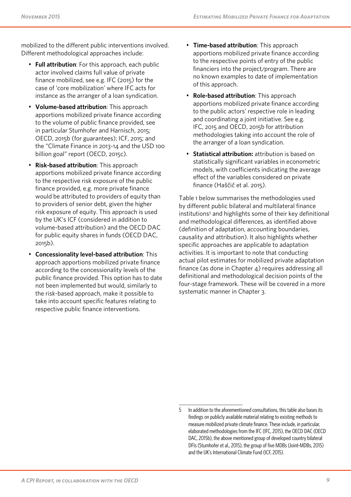mobilized to the different public interventions involved. Different methodological approaches include:

- **Full attribution**: For this approach, each public actor involved claims full value of private finance mobilized, see e.g. IFC (2015) for the case of 'core mobilization' where IFC acts for instance as the arranger of a loan syndication.
- **Volume-based attribution**: This approach apportions mobilized private finance according to the volume of public finance provided, see in particular Stumhofer and Harnisch, 2015; OECD, 2015b (for guarantees); ICF, 2015; and the "Climate Finance in 2013-14 and the USD 100 billion goal" report (OECD, 2015c).
- **Risk-based attribution**: This approach apportions mobilized private finance according to the respective risk exposure of the public finance provided, e.g. more private finance would be attributed to providers of equity than to providers of senior debt, given the higher risk exposure of equity. This approach is used by the UK's ICF (considered in addition to volume-based attribution) and the OECD DAC for public equity shares in funds (OECD DAC, 2015b).
- **Concessionality level-based attribution**: This approach apportions mobilized private finance according to the concessionality levels of the public finance provided. This option has to date not been implemented but would, similarly to the risk-based approach, make it possible to take into account specific features relating to respective public finance interventions.
- **Time-based attribution**: This approach apportions mobilized private finance according to the respective points of entry of the public financiers into the project/program. There are no known examples to date of implementation of this approach.
- **Role-based attribution**: This approach apportions mobilized private finance according to the public actors' respective role in leading and coordinating a joint initiative. See e.g. IFC, 2015 and OECD, 2015b for attribution methodologies taking into account the role of the arranger of a loan syndication.
- **Statistical attribution:** attribution is based on statistically significant variables in econometric models, with coefficients indicating the average effect of the variables considered on private finance (Haščič et al. 2015).

Table 1 below summarises the methodologies used by different public bilateral and multilateral finance institutions<sup>5</sup> and highlights some of their key definitional and methodological differences, as identified above (definition of adaptation, accounting boundaries, causality and attribution). It also highlights whether specific approaches are applicable to adaptation activities. It is important to note that conducting actual pilot estimates for mobilized private adaptation finance (as done in Chapter 4) requires addressing all definitional and methodological decision points of the four-stage framework. These will be covered in a more systematic manner in Chapter 3.

<sup>5</sup> In addition to the aforementioned consultations, this table also bases its findings on publicly available material relating to existing methods to measure mobilized private climate finance. These include, in particular, elaborated methodologies from the IFC (IFC, 2015), the OECD DAC (OECD DAC, 2015b), the above mentioned group of developed country bilateral DFIs (Stumhofer et al., 2015), the group of five MDBs (Joint-MDBs, 2015) and the UK's International Climate Fund (ICF, 2015).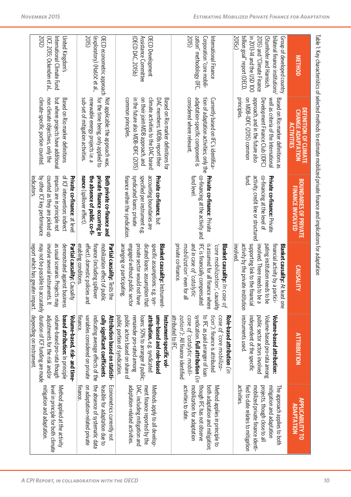|                                                                                                                                                                                                            | rable it key characteristics of selected methods to estimate innance and independimplications tor adaptation                                                                                                |                                                                                                                                                                             |                                                                                                                                                                                                                                              |                                                                                                                                                                                                                                                      |                                                                                                                                                                                      |
|------------------------------------------------------------------------------------------------------------------------------------------------------------------------------------------------------------|-------------------------------------------------------------------------------------------------------------------------------------------------------------------------------------------------------------|-----------------------------------------------------------------------------------------------------------------------------------------------------------------------------|----------------------------------------------------------------------------------------------------------------------------------------------------------------------------------------------------------------------------------------------|------------------------------------------------------------------------------------------------------------------------------------------------------------------------------------------------------------------------------------------------------|--------------------------------------------------------------------------------------------------------------------------------------------------------------------------------------|
| <b>METHOD</b>                                                                                                                                                                                              | <b>DEFINITION OF CLIMATE</b><br><b>CHANGE ADAPTATION</b><br><b>ACTIVITIES</b>                                                                                                                               | <b>BOUNDARIES OF PRIVATE</b><br><b>FINANCE INVOLVED</b>                                                                                                                     | <b>CAUSALITY</b>                                                                                                                                                                                                                             | <b>ATTRIBUTION</b>                                                                                                                                                                                                                                   | <b>APPLICABILITY TO</b><br><b>ADAPTATION</b>                                                                                                                                         |
| bilateral finance institutions <sup>2</sup><br>2015c)<br>billion goal" report (OECD)<br>in 2013-14 and the USD 100<br>2015) and "Climate Finance<br>Group of developed country<br>(Stumhofer and Harnisch, | on MDB-IDFC (2015) conmon<br>approach, and in the future also<br>principles.<br>well as criteria of the International<br>Development Finance Club (JDFC)<br>Based on Rio marker definitions as              | <b>fund.</b><br>activity, credit line or structured<br>co-financing at the level of<br><b>Private co-finance:</b> Private                                                   | activity by the private institution<br>supporting link to the financial<br>involved. There needs to be a<br>pating institution needs to be<br><b>Blanket causality:</b> At least one<br>molved.<br>financial activity by a partici-          | instruments used.<br>public sector actors involved<br>independent of the specific<br>Volume-based pro-rata among<br>Volume-based attribution:                                                                                                        | activities.<br>fied to date relates to mitigation<br>mobilized private finance identi-<br>projects, though close to all<br>mitigation and adaptation<br>The approach applies to both |
| 2015)<br>zation" methodology (IFC,<br>Corporation "core mobili-<br>International Finance                                                                                                                   | considered where relevant.<br>adaptation-specific component is<br>tion of adaptation activities; only the<br>Currently based on IFC's identifica-                                                           | <b>fund level</b><br>co-tinancing at the activity and<br>Private co-finance: Private                                                                                        | private co-finance.<br>and in case of 'catalytic<br>IFC is financially compensated<br>Blanket causality: In case of<br>mobilization' even for all<br>is assumed for all finance<br>core mobilization', causality<br>where                    | syndication. Full attribution (in<br>Patributed to IFC<br>case of 'catalytic mobili-<br>zation'): All finance identified<br>to IFC as paid arranger of loan<br>case of 'core mobiliza-<br>Role-based attribution ()<br>tion'): finance is attributed | activities to date.<br>mobilization for adaptation<br>though IFC has not observe<br>both adaptation and mitigation;<br>Method applies in principle to                                |
| (OECD DAC, 2015b)<br>Assistance Committee<br>OECD Development                                                                                                                                              | on their joint-MDB approach, and<br>climate activities to the DAC based<br>common principles<br>in the tuture also MDB-IDFC (2015)<br>Based on Rio marker definitions tor<br>DAC mempers; MDBs report their | syndicated loans: private<br>specified per instrument e.g.<br>accounting boundaries are<br>finance within the syndication.<br><b>Private co-finance, but</b>                | arranging or participating.<br>engaged without public sector<br>private sector would not have<br>dicated loans: assumption that<br>specific assumptions: e.g. syn-<br>Blanket causality: Instrument-                                         | public actors based on share of<br>attribution, e.g. syndicated<br>public portion of syndication.<br>remainder pro-rated among<br>ume-based and role-based<br>Instrument-specific vol-<br>loans: 50% to arranger if public;                          | adaptation-related activities.<br>DAC, including mitigation and<br>ment finance reported by the<br>Methods apply to all develop-                                                     |
| <b>ZOTE)</b><br>(exploratory) (Haščič et al.,<br>OECD econometric approach                                                                                                                                 | sub-set of mitigation activities.<br>renewable energy projects i.e.<br>for the time being, only applied to<br>Not applicable: the approach was                                                              | nance (spillover effect).<br>the absence of public co-fi-<br>private finance occurring in<br>Both private co-finance and                                                    | effect), domestic policies<br>enabling conditions.<br>mobilization effect of public<br>Partial causality: Tests the<br>finance (including spillove<br>pue<br>Ē                                                                               | finance.<br>variables considered on private<br>cally significant coefficients<br>Attribution pased on statisti-<br>indicating average effects of the                                                                                                 | on adaptation-related private<br>the absence of systematic data<br>Econometrics currently not<br><b>Hinance</b><br>feasible for adaptation due to                                    |
| 2012)<br>(ICF, 2015; Ockenden et al.,<br>United Kingdom's<br>International Climate Fund                                                                                                                    | climate-specific portion counted<br>non climate objectives, only the<br>but where projects have additional<br>Based on Kio marker definitions                                                               | by other ICF key performance<br>of ICF intervention; indirect<br>counted as they are picked up<br>impacts are in principle not<br>Private co-finance: at leve<br>ndicators. | as usual scenario. Projects may<br>may not be possible to accurately duration of ICF funding are made<br>demonstrated against business<br>Partial causality: Causality<br>involve several instruments. It<br>eport which has greater impact. | depending on instrument.<br>Nolume-pased, risk- and time-<br>adjustments tor the risk and/or<br>volume-based pro-rata though<br><b>based attribution:</b> In principle                                                                               | mitigation and adaptation.<br>Method applied at the activity<br>level in principle for both climate                                                                                  |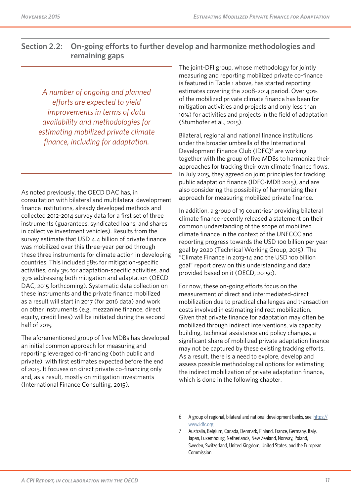## **Section 2.2: On-going efforts to further develop and harmonize methodologies and remaining gaps**

*A number of ongoing and planned efforts are expected to yield improvements in terms of data availability and methodologies for estimating mobilized private climate finance, including for adaptation.*

As noted previously, the OECD DAC has, in consultation with bilateral and multilateral development finance institutions, already developed methods and collected 2012-2014 survey data for a first set of three instruments (guarantees, syndicated loans, and shares in collective investment vehicles). Results from the survey estimate that USD 4.4 billion of private finance was mobilized over this three-year period through these three instruments for climate action in developing countries. This included 58% for mitigation-specific activities, only 3% for adaptation-specific activities, and 39% addressing both mitigation and adaptation (OECD DAC, 2015 forthcoming). Systematic data collection on these instruments and the private finance mobilized as a result will start in 2017 (for 2016 data) and work on other instruments (e.g. mezzanine finance, direct equity, credit lines) will be initiated during the second half of 2015.

The aforementioned group of five MDBs has developed an initial common approach for measuring and reporting leveraged co-financing (both public and private), with first estimates expected before the end of 2015. It focuses on direct private co-financing only and, as a result, mostly on mitigation investments (International Finance Consulting, 2015).

The joint-DFI group, whose methodology for jointly measuring and reporting mobilized private co-finance is featured in Table 1 above, has started reporting estimates covering the 2008-2014 period. Over 90% of the mobilized private climate finance has been for mitigation activities and projects and only less than 10%) for activities and projects in the field of adaptation (Stumhofer et al., 2015).

Bilateral, regional and national finance institutions under the broader umbrella of the International Development Finance Club (IDFC)<sup>6</sup> are working together with the group of five MDBs to harmonize their approaches for tracking their own climate finance flows. In July 2015, they agreed on joint principles for tracking public adaptation finance (IDFC-MDB 2015), and are also considering the possibility of harmonizing their approach for measuring mobilized private finance.

In addition, a group of 19 countries<sup>7</sup> providing bilateral climate finance recently released a statement on their common understanding of the scope of mobilized climate finance in the context of the UNFCCC and reporting progress towards the USD 100 billion per year goal by 2020 (Technical Working Group, 2015). The "Climate Finance in 2013-14 and the USD 100 billion goal" report drew on this understanding and data provided based on it (OECD, 2015c).

For now, these on-going efforts focus on the measurement of direct and intermediated-direct mobilization due to practical challenges and transaction costs involved in estimating indirect mobilization. Given that private finance for adaptation may often be mobilized through indirect interventions, via capacity building, technical assistance and policy changes, a significant share of mobilized private adaptation finance may not be captured by these existing tracking efforts. As a result, there is a need to explore, develop and assess possible methodological options for estimating the indirect mobilization of private adaptation finance, which is done in the following chapter.

<sup>6</sup> A group of regional, bilateral and national development banks, see: [https://](https://www.idfc.org) [www.idfc.org](https://www.idfc.org)

<sup>7</sup> Australia, Belgium, Canada, Denmark, Finland, France, Germany, Italy, Japan, Luxembourg, Netherlands, New Zealand, Norway, Poland, Sweden, Switzerland, United Kingdom, United States, and the European Commission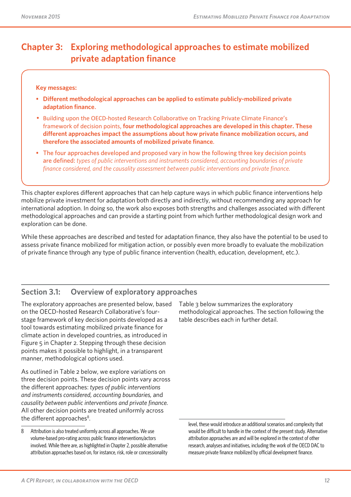## **Chapter 3: Exploring methodological approaches to estimate mobilized private adaptation finance**

#### **Key messages:**

- **Different methodological approaches can be applied to estimate publicly-mobilized private adaptation finance**.
- Building upon the OECD-hosted Research Collaborative on Tracking Private Climate Finance's framework of decision points, **four methodological approaches are developed in this chapter. These different approaches impact the assumptions about how private finance mobilization occurs, and therefore the associated amounts of mobilized private finance**.
- The four approaches developed and proposed vary in how the following three key decision points are defined: *types of public interventions and instruments considered, accounting boundaries of private finance considered, and the causality assessment between public interventions and private finance.*

This chapter explores different approaches that can help capture ways in which public finance interventions help mobilize private investment for adaptation both directly and indirectly, without recommending any approach for international adoption. In doing so, the work also exposes both strengths and challenges associated with different methodological approaches and can provide a starting point from which further methodological design work and exploration can be done.

While these approaches are described and tested for adaptation finance, they also have the potential to be used to assess private finance mobilized for mitigation action, or possibly even more broadly to evaluate the mobilization of private finance through any type of public finance intervention (health, education, development, etc.).

## **Section 3.1: Overview of exploratory approaches**

The exploratory approaches are presented below, based on the OECD-hosted Research Collaborative's fourstage framework of key decision points developed as a tool towards estimating mobilized private finance for climate action in developed countries, as introduced in Figure 5 in Chapter 2. Stepping through these decision points makes it possible to highlight, in a transparent manner, methodological options used.

As outlined in Table 2 below, we explore variations on three decision points. These decision points vary across the different approaches: *types of public interventions and instruments considered, accounting boundaries,* and *causality between public interventions and private finance.*  All other decision points are treated uniformly across the different approaches $8$ .

Table 3 below summarizes the exploratory methodological approaches. The section following the table describes each in further detail.

level, these would introduce an additional scenarios and complexity that would be difficult to handle in the context of the present study. Alternative attribution approaches are and will be explored in the context of other research, analyses and initiatives, including the work of the OECD DAC to measure private finance mobilized by official development finance.

<sup>8</sup> Attribution is also treated uniformly across all approaches. We use volume-based pro-rating across public finance interventions/actors involved. While there are, as highlighted in Chapter 2, possible alternative attribution approaches based on, for instance, risk, role or concessionality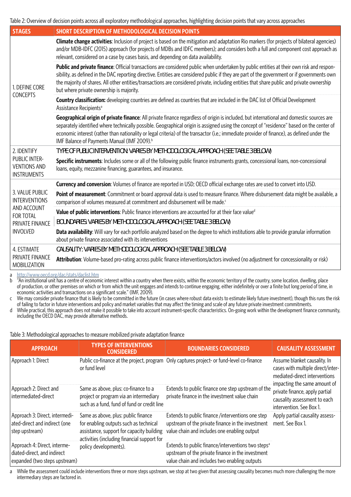Table 2: Overview of decision points across all exploratory methodological approaches, highlighting decision points that vary across approaches

| <b>STAGES</b>                                                                                                    | <b>SHORT DESCRIPTION OF METHODOLOGICAL DECISION POINTS</b>                                                                                                                                                                                                                                                                                                                                                                                                                                      |
|------------------------------------------------------------------------------------------------------------------|-------------------------------------------------------------------------------------------------------------------------------------------------------------------------------------------------------------------------------------------------------------------------------------------------------------------------------------------------------------------------------------------------------------------------------------------------------------------------------------------------|
| 1. DEFINE CORE<br><b>CONCEPTS</b>                                                                                | Climate change activities: Inclusion of project is based on the mitigation and adaptation Rio markers (for projects of bilateral agencies)<br>and/or MDB-IDFC (2015) approach (for projects of MDBs and IDFC members); and considers both a full and component cost approach as<br>relevant, considered on a case by cases basis, and depending on data availability.                                                                                                                           |
|                                                                                                                  | Public and private finance: Official transactions are considered public when undertaken by public entities at their own risk and respon-<br>sibility, as defined in the DAC reporting directive. Entities are considered public if they are part of the government or if governments own<br>the majority of shares. All other entities/transactions are considered private, including entities that share public and private ownership<br>but where private ownership is majority.              |
|                                                                                                                  | Country classification: developing countries are defined as countries that are included in the DAC list of Official Development<br>Assistance Recipients <sup>a</sup>                                                                                                                                                                                                                                                                                                                           |
|                                                                                                                  | Geographical origin of private finance: All private finance regardless of origin is included, but international and domestic sources are<br>separately identified where technically possible. Geographical origin is assigned using the concept of "residence" based on the center of<br>economic interest (rather than nationality or legal criteria) of the transactor (i.e.; immediate provider of finance), as defined under the<br>IMF Balance of Payments Manual (IMF 2009). <sup>b</sup> |
| 2. IDENTIFY                                                                                                      | TYPE OF PUBLIC INTERVENTION: VARIES BY METHODOLOGICAL APPROACH (SEE TABLE 3 BELOW)                                                                                                                                                                                                                                                                                                                                                                                                              |
| PUBLIC INTER-<br><b>VENTIONS AND</b><br><b>INSTRUMENTS</b>                                                       | Specific instruments: Includes some or all of the following public finance instruments grants, concessional loans, non-concessional<br>loans, equity, mezzanine financing, guarantees, and insurance.                                                                                                                                                                                                                                                                                           |
|                                                                                                                  | <b>Currency and conversion:</b> Volumes of finance are reported in USD; OECD official exchange rates are used to convert into USD.                                                                                                                                                                                                                                                                                                                                                              |
| 3. VALUE PUBLIC<br><b>INTERVENTIONS</b><br>AND ACCOUNT<br><b>FOR TOTAL</b><br>PRIVATE FINANCE<br><b>INVOLVED</b> | Point of measurement: Commitment or board approval data is used to measure finance. Where disbursement data might be available, a<br>comparison of volumes measured at commitment and disbursement will be made. <sup>c</sup>                                                                                                                                                                                                                                                                   |
|                                                                                                                  | Value of public interventions: Public finance interventions are accounted for at their face valued                                                                                                                                                                                                                                                                                                                                                                                              |
|                                                                                                                  | BOUNDARIES: VARIES BY METHODOLOGICAL APPROACH (SEE TABLE 3 BELOW)                                                                                                                                                                                                                                                                                                                                                                                                                               |
|                                                                                                                  | Data availability: Will vary for each portfolio analyzed based on the degree to which institutions able to provide granular information<br>about private finance associated with its interventions                                                                                                                                                                                                                                                                                              |
| 4. ESTIMATE                                                                                                      | CAUSALITY: VARIES BY METHODOLOGICAL APPROACH (SEE TABLE 3 BELOW)                                                                                                                                                                                                                                                                                                                                                                                                                                |
| PRIVATE FINANCE<br>MOBILIZATION                                                                                  | Attribution: Volume-based pro-rating across public finance interventions/actors involved (no adjustment for concessionality or risk)                                                                                                                                                                                                                                                                                                                                                            |

a <http://www.oecd.org/dac/stats/daclist.htm>

 $b$  "An institutional unit has a centre of economic interest within a country when there exists, within the economic territory of the country, some location, dwelling, place of production, or other premises on which or from which the unit engages and intends to continue engaging, either indefinitely or over a finite but long period of time, in economic activities and transactions on a significant scale." (IMF, 2009).

c We may consider private finance that is likely to be committed in the future (in cases where robust data exists to estimate likely future investment), though this runs the risk of failing to factor in future interventions and policy and market variables that may affect the timing and scale of any future private investment commitments.

d While practical, this approach does not make it possible to take into account instrument-specific characteristics. On-going work within the development finance community, including the OECD DAC, may provide alternative methods.

Table 3: Methodological approaches to measure mobilized private adaptation finance

| <b>APPROACH</b>                                                                              | TYPFS OF INTFRVFNTIONS<br><b>CONSIDERED</b>                                                                                                                               | <b>BOUNDARIES CONSIDERED</b>                                                                                                                                         | <b>CAUSALITY ASSESSMENT</b>                                                                                                        |
|----------------------------------------------------------------------------------------------|---------------------------------------------------------------------------------------------------------------------------------------------------------------------------|----------------------------------------------------------------------------------------------------------------------------------------------------------------------|------------------------------------------------------------------------------------------------------------------------------------|
| Approach 1: Direct                                                                           | or fund level                                                                                                                                                             | Public co-finance at the project, program Only captures project- or fund-level co-finance                                                                            | Assume blanket causality. In<br>cases with multiple direct/inter-<br>mediated-direct interventions<br>impacting the same amount of |
| Approach 2: Direct and<br>intermediated-direct                                               | Same as above, plus: co-finance to a<br>project or program via an intermediary<br>such as a fund, fund of fund or credit line                                             | Extends to public finance one step upstream of the<br>private finance in the investment value chain                                                                  | private finance, apply partial<br>causality assessment to each<br>intervention. See Box 1.                                         |
| Approach 3: Direct, intermedi-<br>ated-direct and indirect (one<br>step upstream)            | Same as above, plus: public finance<br>for enabling outputs such as technical<br>assistance, support for capacity building<br>activities (including financial support for | Extends to public finance /interventions one step<br>upstream of the private finance in the investment<br>value chain and includes one enabling output               | Apply partial causality assess-<br>ment. See Box 1.                                                                                |
| Approach 4: Direct, interme-<br>diated-direct, and indirect<br>expanded (two steps upstream) | policy developments).                                                                                                                                                     | Extends to public finance/interventions two steps <sup>a</sup><br>upstream of the private finance in the investment<br>value chain and includes two enabling outputs |                                                                                                                                    |

a While the assessment could include interventions three or more steps upstream, we stop at two given that assessing causality becomes much more challenging the more intermediary steps are factored in.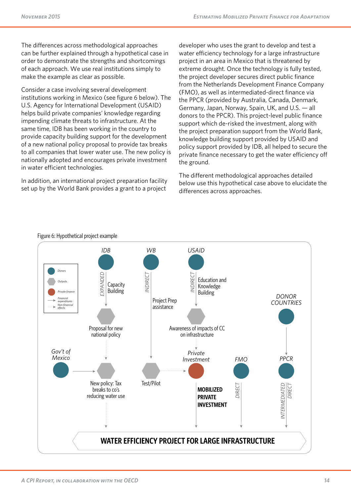The differences across methodological approaches can be further explained through a hypothetical case in order to demonstrate the strengths and shortcomings of each approach. We use real institutions simply to make the example as clear as possible.

Consider a case involving several development institutions working in Mexico (see figure 6 below). The U.S. Agency for International Development (USAID) helps build private companies' knowledge regarding impending climate threats to infrastructure. At the same time, IDB has been working in the country to provide capacity building support for the development of a new national policy proposal to provide tax breaks to all companies that lower water use. The new policy is nationally adopted and encourages private investment in water efficient technologies.

In addition, an international project preparation facility set up by the World Bank provides a grant to a project

developer who uses the grant to develop and test a water efficiency technology for a large infrastructure project in an area in Mexico that is threatened by extreme drought. Once the technology is fully tested, the project developer secures direct public finance from the Netherlands Development Finance Company (FMO), as well as intermediated-direct finance via the PPCR (provided by Australia, Canada, Denmark, Germany, Japan, Norway, Spain, UK, and U.S. — all donors to the PPCR). This project-level public finance support which de-risked the investment, along with the project preparation support from the World Bank, knowledge building support provided by USAID and policy support provided by IDB, all helped to secure the private finance necessary to get the water efficiency off the ground.

The different methodological approaches detailed below use this hypothetical case above to elucidate the differences across approaches.



Figure 6: Hypothetical project example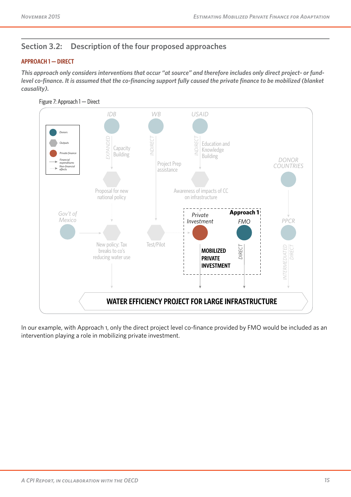## **Section 3.2: Description of the four proposed approaches**

#### **APPROACH 1 — DIRECT**

*This approach only considers interventions that occur "at source" and therefore includes only direct project- or fundlevel co-finance. It is assumed that the co-financing support fully caused the private finance to be mobilized (blanket causality).*



In our example, with Approach 1, only the direct project level co-finance provided by FMO would be included as an intervention playing a role in mobilizing private investment.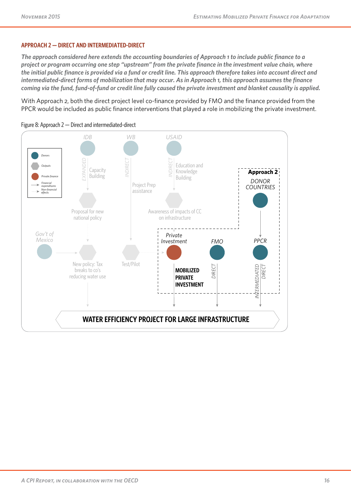#### **APPROACH 2 — DIRECT AND INTERMEDIATED-DIRECT**

*The approach considered here extends the accounting boundaries of Approach 1 to include public finance to a project or program occurring one step "upstream" from the private finance in the investment value chain, where the initial public finance is provided via a fund or credit line. This approach therefore takes into account direct and intermediated-direct forms of mobilization that may occur. As in Approach 1, this approach assumes the finance coming via the fund, fund-of-fund or credit line fully caused the private investment and blanket causality is applied.*

With Approach 2, both the direct project level co-finance provided by FMO and the finance provided from the PPCR would be included as public finance interventions that played a role in mobilizing the private investment.



Figure 8: Approach 2 — Direct and intermediated-direct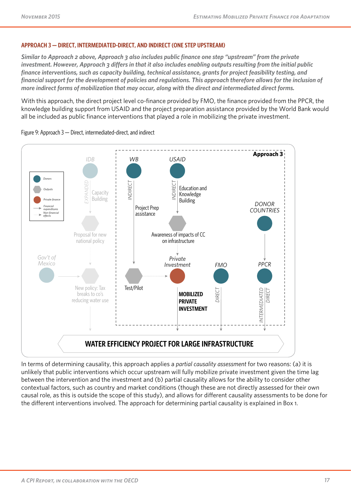#### **APPROACH 3 — DIRECT, INTERMEDIATED-DIRECT, AND INDIRECT (ONE STEP UPSTREAM)**

*Similar to Approach 2 above, Approach 3 also includes public finance one step "upstream" from the private investment. However, Approach 3 differs in that it also includes enabling outputs resulting from the initial public finance interventions, such as capacity building, technical assistance, grants for project feasibility testing, and financial support for the development of policies and regulations. This approach therefore allows for the inclusion of more indirect forms of mobilization that may occur, along with the direct and intermediated direct forms.*

With this approach, the direct project level co-finance provided by FMO, the finance provided from the PPCR, the knowledge building support from USAID and the project preparation assistance provided by the World Bank would all be included as public finance interventions that played a role in mobilizing the private investment.



Figure 9: Approach 3 — Direct, intermediated-direct, and indirect

In terms of determining causality, this approach applies a *partial causality assessment* for two reasons: (a) it is unlikely that public interventions which occur upstream will fully mobilize private investment given the time lag between the intervention and the investment and (b) partial causality allows for the ability to consider other contextual factors, such as country and market conditions (though these are not directly assessed for their own causal role, as this is outside the scope of this study), and allows for different causality assessments to be done for the different interventions involved. The approach for determining partial causality is explained in Box 1.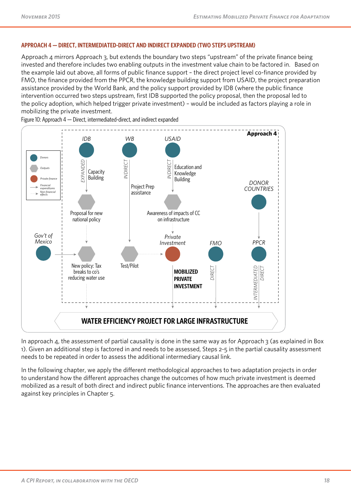#### **APPROACH 4 — DIRECT, INTERMEDIATED-DIRECT AND INDIRECT EXPANDED (TWO STEPS UPSTREAM)**

Approach 4 mirrors Approach 3, but extends the boundary two steps "upstream" of the private finance being invested and therefore includes two enabling outputs in the investment value chain to be factored in. Based on the example laid out above, all forms of public finance support – the direct project level co-finance provided by FMO, the finance provided from the PPCR, the knowledge building support from USAID, the project preparation assistance provided by the World Bank, and the policy support provided by IDB (where the public finance intervention occurred two steps upstream, first IDB supported the policy proposal, then the proposal led to the policy adoption, which helped trigger private investment) – would be included as factors playing a role in mobilizing the private investment.



Figure 10: Approach 4 — Direct, intermediated-direct, and indirect expanded

In approach 4, the assessment of partial causality is done in the same way as for Approach 3 (as explained in Box 1). Given an additional step is factored in and needs to be assessed, Steps 2-5 in the partial causality assessment needs to be repeated in order to assess the additional intermediary causal link.

In the following chapter, we apply the different methodological approaches to two adaptation projects in order to understand how the different approaches change the outcomes of how much private investment is deemed mobilized as a result of both direct and indirect public finance interventions. The approaches are then evaluated against key principles in Chapter 5.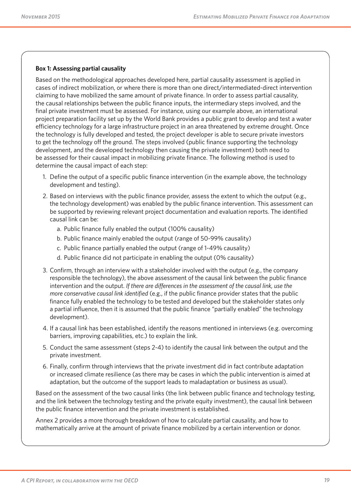#### **Box 1: Assessing partial causality**

Based on the methodological approaches developed here, partial causality assessment is applied in cases of indirect mobilization, or where there is more than one direct/intermediated-direct intervention claiming to have mobilized the same amount of private finance. In order to assess partial causality, the causal relationships between the public finance inputs, the intermediary steps involved, and the final private investment must be assessed. For instance, using our example above, an international project preparation facility set up by the World Bank provides a public grant to develop and test a water efficiency technology for a large infrastructure project in an area threatened by extreme drought. Once the technology is fully developed and tested, the project developer is able to secure private investors to get the technology off the ground. The steps involved (public finance supporting the technology development, and the developed technology then causing the private investment) both need to be assessed for their causal impact in mobilizing private finance. The following method is used to determine the causal impact of each step:

- 1. Define the output of a specific public finance intervention (in the example above, the technology development and testing).
- 2. Based on interviews with the public finance provider, assess the extent to which the output (e.g., the technology development) was enabled by the public finance intervention. This assessment can be supported by reviewing relevant project documentation and evaluation reports. The identified causal link can be:
	- a. Public finance fully enabled the output (100% causality)
	- b. Public finance mainly enabled the output (range of 50-99% causality)
	- c. Public finance partially enabled the output (range of 1-49% causality)
	- d. Public finance did not participate in enabling the output (0% causality)
- 3. Confirm, through an interview with a stakeholder involved with the output (e.g., the company responsible the technology), the above assessment of the causal link between the public finance intervention and the output. *If there are differences in the assessment of the causal link, use the more conservative causal link identified* (e.g., if the public finance provider states that the public finance fully enabled the technology to be tested and developed but the stakeholder states only a partial influence, then it is assumed that the public finance "partially enabled" the technology development).
- 4. If a causal link has been established, identify the reasons mentioned in interviews (e.g. overcoming barriers, improving capabilities, etc.) to explain the link.
- 5. Conduct the same assessment (steps 2-4) to identify the causal link between the output and the private investment.
- 6. Finally, confirm through interviews that the private investment did in fact contribute adaptation or increased climate resilience (as there may be cases in which the public intervention is aimed at adaptation, but the outcome of the support leads to maladaptation or business as usual).

Based on the assessment of the two causal links (the link between public finance and technology testing, and the link between the technology testing and the private equity investment), the causal link between the public finance intervention and the private investment is established.

Annex 2 provides a more thorough breakdown of how to calculate partial causality, and how to mathematically arrive at the amount of private finance mobilized by a certain intervention or donor.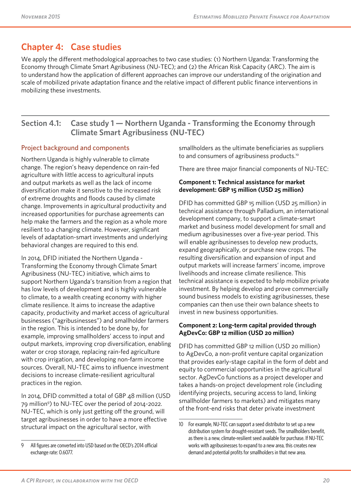## **Chapter 4: Case studies**

We apply the different methodological approaches to two case studies: (1) Northern Uganda: Transforming the Economy through Climate Smart Agribusiness (NU-TEC); and (2) the African Risk Capacity (ARC). The aim is to understand how the application of different approaches can improve our understanding of the origination and scale of mobilized private adaptation finance and the relative impact of different public finance interventions in mobilizing these investments.

### **Section 4.1: Case study 1 — Northern Uganda - Transforming the Economy through Climate Smart Agribusiness (NU-TEC)**

#### Project background and components

Northern Uganda is highly vulnerable to climate change. The region's heavy dependence on rain-fed agriculture with little access to agricultural inputs and output markets as well as the lack of income diversification make it sensitive to the increased risk of extreme droughts and floods caused by climate change. Improvements in agricultural productivity and increased opportunities for purchase agreements can help make the farmers and the region as a whole more resilient to a changing climate. However, significant levels of adaptation-smart investments and underlying behavioral changes are required to this end.

In 2014, DFID initiated the Northern Uganda - Transforming the Economy through Climate Smart Agribusiness (NU-TEC) initiative, which aims to support Northern Uganda's transition from a region that has low levels of development and is highly vulnerable to climate, to a wealth creating economy with higher climate resilience. It aims to increase the adaptive capacity, productivity and market access of agricultural businesses ("agribusinesses") and smallholder farmers in the region. This is intended to be done by, for example, improving smallholders' access to input and output markets, improving crop diversification, enabling water or crop storage, replacing rain-fed agriculture with crop irrigation, and developing non-farm income sources. Overall, NU-TEC aims to influence investment decisions to increase climate-resilient agricultural practices in the region.

In 2014, DFID committed a total of GBP 48 million (USD 79 million9 ) to NU-TEC over the period of 2014-2022. NU-TEC, which is only just getting off the ground, will target agribusinesses in order to have a more effective structural impact on the agricultural sector, with

smallholders as the ultimate beneficiaries as suppliers to and consumers of agribusiness products.<sup>10</sup>

There are three major financial components of NU-TEC:

#### **Component 1: Technical assistance for market development: GBP 15 million (USD 25 million)**

DFID has committed GBP 15 million (USD 25 million) in technical assistance through Palladium, an international development company, to support a climate-smart market and business model development for small and medium agribusinesses over a five-year period. This will enable agribusinesses to develop new products, expand geographically, or purchase new crops. The resulting diversification and expansion of input and output markets will increase farmers' income, improve livelihoods and increase climate resilience. This technical assistance is expected to help mobilize private investment. By helping develop and prove commercially sound business models to existing agribusinesses, these companies can then use their own balance sheets to invest in new business opportunities.

#### **Component 2: Long-term capital provided through AgDevCo: GBP 12 million (USD 20 million)**

DFID has committed GBP 12 million (USD 20 million) to AgDevCo, a non-profit venture capital organization that provides early-stage capital in the form of debt and equity to commercial opportunities in the agricultural sector. AgDevCo functions as a project developer and takes a hands-on project development role (including identifying projects, securing access to land, linking smallholder farmers to markets) and mitigates many of the front-end risks that deter private investment

<sup>9</sup> All figures are converted into USD based on the OECD's 2014 official exchange rate: 0.6077.

<sup>10</sup> For example, NU-TEC can support a seed distributor to set up a new distribution system for drought-resistant seeds. The smallholders benefit, as there is a new, climate-resilient seed available for purchase. If NU-TEC works with agribusinesses to expand to a new area, this creates new demand and potential profits for smallholders in that new area.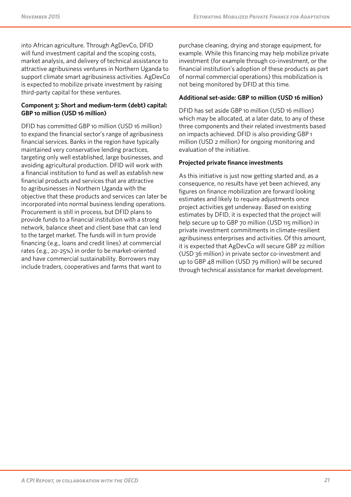into African agriculture. Through AgDevCo, DFID will fund investment capital and the scoping costs, market analysis, and delivery of technical assistance to attractive agribusiness ventures in Northern Uganda to support climate smart agribusiness activities. AgDevCo is expected to mobilize private investment by raising third-party capital for these ventures.

#### **Component 3: Short and medium-term (debt) capital: GBP 10 million (USD 16 million)**

DFID has committed GBP 10 million (USD 16 million) to expand the financial sector's range of agribusiness financial services. Banks in the region have typically maintained very conservative lending practices, targeting only well established, large businesses, and avoiding agricultural production. DFID will work with a financial institution to fund as well as establish new financial products and services that are attractive to agribusinesses in Northern Uganda with the objective that these products and services can later be incorporated into normal business lending operations. Procurement is still in process, but DFID plans to provide funds to a financial institution with a strong network, balance sheet and client base that can lend to the target market. The funds will in turn provide financing (e.g., loans and credit lines) at commercial rates (e.g., 20-25%) in order to be market-oriented and have commercial sustainability. Borrowers may include traders, cooperatives and farms that want to

purchase cleaning, drying and storage equipment, for example. While this financing may help mobilize private investment (for example through co-investment, or the financial institution's adoption of these products as part of normal commercial operations) this mobilization is not being monitored by DFID at this time.

#### **Additional set-aside: GBP 10 million (USD 16 million)**

DFID has set aside GBP 10 million (USD 16 million) which may be allocated, at a later date, to any of these three components and their related investments based on impacts achieved. DFID is also providing GBP 1 million (USD 2 million) for ongoing monitoring and evaluation of the initiative.

#### **Projected private finance investments**

As this initiative is just now getting started and, as a consequence, no results have yet been achieved, any figures on finance mobilization are forward looking estimates and likely to require adjustments once project activities get underway. Based on existing estimates by DFID, it is expected that the project will help secure up to GBP 70 million (USD 115 million) in private investment commitments in climate-resilient agribusiness enterprises and activities. Of this amount, it is expected that AgDevCo will secure GBP 22 million (USD 36 million) in private sector co-investment and up to GBP 48 million (USD 79 million) will be secured through technical assistance for market development.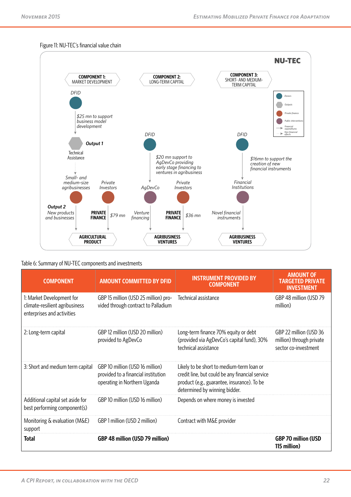#### Figure 11: NU-TEC's financial value chain



Table 6: Summary of NU-TEC components and investments

| COMPONENT                                                                                 | <b>AMOUNT COMMITTED BY DFID</b>                                                                        | <b>INSTRUMENT PROVIDED BY</b><br><b>COMPONENT</b>                                                                                                                            | <b>AMOUNT OF</b><br><b>TARGETED PRIVATE</b><br><b>INVESTMENT</b>           |
|-------------------------------------------------------------------------------------------|--------------------------------------------------------------------------------------------------------|------------------------------------------------------------------------------------------------------------------------------------------------------------------------------|----------------------------------------------------------------------------|
| 1: Market Development for<br>climate-resilient agribusiness<br>enterprises and activities | GBP 15 million (USD 25 million) pro-<br>vided through contract to Palladium                            | Technical assistance                                                                                                                                                         | GBP 48 million (USD 79<br>million)                                         |
| 2: Long-term capital                                                                      | GBP 12 million (USD 20 million)<br>provided to AgDevCo                                                 | Long-term finance 70% equity or debt<br>(provided via AgDevCo's capital fund), 30%<br>technical assistance                                                                   | GBP 22 million (USD 36<br>million) through private<br>sector co-investment |
| 3: Short and medium term capital                                                          | GBP 10 million (USD 16 million)<br>provided to a financial institution<br>operating in Northern Uganda | Likely to be short to medium-term loan or<br>credit line, but could be any financial service<br>product (e.g., guarantee, insurance). To be<br>determined by winning bidder. |                                                                            |
| Additional capital set aside for<br>best performing component(s)                          | GBP 10 million (USD 16 million)                                                                        | Depends on where money is invested                                                                                                                                           |                                                                            |
| Monitoring & evaluation (M&E)<br>support                                                  | GBP 1 million (USD 2 million)                                                                          | Contract with M&E provider                                                                                                                                                   |                                                                            |
| <b>Total</b>                                                                              | GBP 48 million (USD 79 million)                                                                        |                                                                                                                                                                              | <b>GBP 70 million (USD</b><br>115 million)                                 |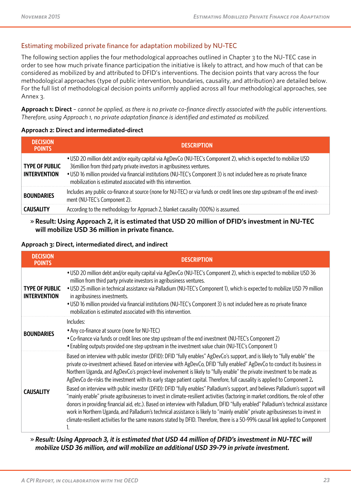#### Estimating mobilized private finance for adaptation mobilized by NU-TEC

The following section applies the four methodological approaches outlined in Chapter 3 to the NU-TEC case in order to see how much private finance participation the initiative is likely to attract, and how much of that can be considered as mobilized by and attributed to DFID's interventions. The decision points that vary across the four methodological approaches (type of public intervention, boundaries, causality, and attribution) are detailed below. For the full list of methodological decision points uniformly applied across all four methodological approaches, see Annex 3.

**Approach 1: Direct** – *cannot be applied, as there is no private co-finance directly associated with the public interventions. Therefore, using Approach 1, no private adaptation finance is identified and estimated as mobilized.*

#### **Approach 2: Direct and intermediated-direct**

| <b>DECISION</b><br><b>POINTS</b>             | <b>DESCRIPTION</b>                                                                                                                                                                                                                                                                                                                                                                     |
|----------------------------------------------|----------------------------------------------------------------------------------------------------------------------------------------------------------------------------------------------------------------------------------------------------------------------------------------------------------------------------------------------------------------------------------------|
| <b>TYPE OF PUBLIC</b><br><b>INTERVENTION</b> | • USD 20 million debt and/or equity capital via AgDevCo (NU-TEC's Component 2), which is expected to mobilize USD<br>36 million from third party private investors in agribusiness ventures.<br>• USD 16 million provided via financial institutions (NU-TEC's Component 3) is not included here as no private finance<br>mobilization is estimated associated with this intervention. |
| <b>BOUNDARIES</b>                            | Includes any public co-finance at source (none for NU-TEC) or via funds or credit lines one step upstream of the end invest-<br>ment (NU-TEC's Component 2).                                                                                                                                                                                                                           |
| <b>CALICALITY</b>                            | According to the methodology for Approach 2, blanket causality (100%) is assumed.                                                                                                                                                                                                                                                                                                      |

#### » **Result: Using Approach 2, it is estimated that USD 20 million of DFID's investment in NU-TEC will mobilize USD 36 million in private finance.**

#### **Approach 3: Direct, intermediated direct, and indirect**

| <b>DECISION</b><br><b>POINTS</b>             | DESCRIPTION                                                                                                                                                                                                                                                                                                                                                                                                                                                                                                                                                                                                                                                                                                                                                                                                                                                                                                                                                                                                                                                                                                                                                                                             |
|----------------------------------------------|---------------------------------------------------------------------------------------------------------------------------------------------------------------------------------------------------------------------------------------------------------------------------------------------------------------------------------------------------------------------------------------------------------------------------------------------------------------------------------------------------------------------------------------------------------------------------------------------------------------------------------------------------------------------------------------------------------------------------------------------------------------------------------------------------------------------------------------------------------------------------------------------------------------------------------------------------------------------------------------------------------------------------------------------------------------------------------------------------------------------------------------------------------------------------------------------------------|
| <b>TYPE OF PUBLIC</b><br><b>INTERVENTION</b> | • USD 20 million debt and/or equity capital via AgDevCo (NU-TEC's Component 2), which is expected to mobilize USD 36<br>million from third party private investors in agribusiness ventures.<br>• USD 25 million in technical assistance via Palladium (NU-TEC's Component 1), which is expected to mobilize USD 79 million<br>in agribusiness investments.<br>• USD 16 million provided via financial institutions (NU-TEC's Component 3) is not included here as no private finance<br>mobilization is estimated associated with this intervention.                                                                                                                                                                                                                                                                                                                                                                                                                                                                                                                                                                                                                                                   |
| <b>BOUNDARIES</b>                            | Includes:<br>• Any co-finance at source (none for NU-TEC)<br>• Co-finance via funds or credit lines one step upstream of the end investment (NU-TEC's Component 2)<br>• Enabling outputs provided one step upstream in the investment value chain (NU-TEC's Component 1)                                                                                                                                                                                                                                                                                                                                                                                                                                                                                                                                                                                                                                                                                                                                                                                                                                                                                                                                |
| <b>CAUSALITY</b>                             | Based on interview with public investor (DFID): DFID "fully enables" AgDevCo's support, and is likely to "fully enable" the<br>private co-investment achieved. Based on interview with AgDevCo, DFID "fully enabled" AgDevCo to conduct its business in<br>Northern Uganda, and AgDevCo's project-level involvement is likely to "fully enable" the private investment to be made as<br>AgDevCo de-risks the investment with its early stage patient capital. Therefore, full causality is applied to Component 2.<br>Based on interview with public investor (DFID): DFID "fully enables" Palladium's support, and believes Palladium's support will<br>"mainly enable" private agribusinesses to invest in climate-resilient activities (factoring in market conditions, the role of other<br>donors in providing financial aid, etc.). Based on interview with Palladium, DFID "fully enabled" Palladium's technical assistance<br>work in Northern Uganda, and Palladium's technical assistance is likely to "mainly enable" private agribusinesses to invest in<br>climate-resilient activities for the same reasons stated by DFID. Therefore, there is a 50-99% causal link applied to Component |

» *Result: Using Approach 3, it is estimated that USD 44 million of DFID's investment in NU-TEC will mobilize USD 36 million, and will mobilize an additional USD 39-79 in private investment.*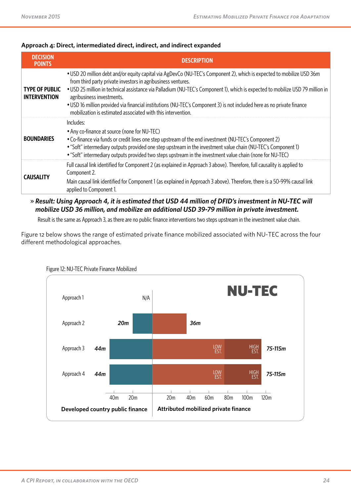#### **Approach 4: Direct, intermediated direct, indirect, and indirect expanded**

| <b>DECISION</b><br><b>POINTS</b>             | <b>DESCRIPTION</b>                                                                                                                                                                                                                                                                                                                                                                                                                                                                                                                             |
|----------------------------------------------|------------------------------------------------------------------------------------------------------------------------------------------------------------------------------------------------------------------------------------------------------------------------------------------------------------------------------------------------------------------------------------------------------------------------------------------------------------------------------------------------------------------------------------------------|
| <b>TYPE OF PUBLIC</b><br><b>INTERVENTION</b> | • USD 20 million debt and/or equity capital via AgDevCo (NU-TEC's Component 2), which is expected to mobilize USD 36m<br>from third party private investors in agribusiness ventures.<br>• USD 25 million in technical assistance via Palladium (NU-TEC's Component 1), which is expected to mobilize USD 79 million in<br>agribusiness investments.<br>• USD 16 million provided via financial institutions (NU-TEC's Component 3) is not included here as no private finance<br>mobilization is estimated associated with this intervention. |
| <b>BOUNDARIES</b>                            | Includes:<br>• Any co-finance at source (none for NU-TEC)<br>• Co-finance via funds or credit lines one step upstream of the end investment (NU-TEC's Component 2)<br>• "Soft" intermediary outputs provided one step upstream in the investment value chain (NU-TEC's Component 1)<br>• "Soft" intermediary outputs provided two steps upstream in the investment value chain (none for NU-TEC)                                                                                                                                               |
| <b>CAUSALITY</b>                             | Full causal link identified for Component 2 (as explained in Approach 3 above). Therefore, full causality is applied to<br>Component 2.<br>Main causal link identified for Component 1 (as explained in Approach 3 above). Therefore, there is a 50-99% causal link<br>applied to Component 1.                                                                                                                                                                                                                                                 |

» *Result: Using Approach 4, it is estimated that USD 44 million of DFID's investment in NU-TEC will mobilize USD 36 million, and mobilize an additional USD 39-79 million in private investment.* 

Result is the same as Approach 3, as there are no public finance interventions two steps upstream in the investment value chain.

Figure 12 below shows the range of estimated private finance mobilized associated with NU-TEC across the four different methodological approaches.



#### Figure 12: NU-TEC Private Finance Mobilized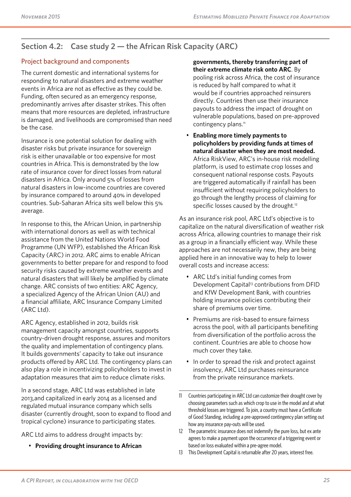### **Section 4.2: Case study 2 — the African Risk Capacity (ARC)**

#### Project background and components

The current domestic and international systems for responding to natural disasters and extreme weather events in Africa are not as effective as they could be. Funding, often secured as an emergency response, predominantly arrives after disaster strikes. This often means that more resources are depleted, infrastructure is damaged, and livelihoods are compromised than need be the case.

Insurance is one potential solution for dealing with disaster risks but private insurance for sovereign risk is either unavailable or too expensive for most countries in Africa. This is demonstrated by the low rate of insurance cover for direct losses from natural disasters in Africa. Only around 5% of losses from natural disasters in low-income countries are covered by insurance compared to around 40% in developed countries. Sub-Saharan Africa sits well below this 5% average.

In response to this, the African Union, in partnership with international donors as well as with technical assistance from the United Nations World Food Programme (UN WFP), established the African Risk Capacity (ARC) in 2012. ARC aims to enable African governments to better prepare for and respond to food security risks caused by extreme weather events and natural disasters that will likely be amplified by climate change. ARC consists of two entities: ARC Agency, a specialized Agency of the African Union (AU) and a financial affiliate, ARC Insurance Company Limited (ARC Ltd).

ARC Agency, established in 2012, builds risk management capacity amongst countries, supports country-driven drought response, assures and monitors the quality and implementation of contingency plans. It builds governments' capacity to take out insurance products offered by ARC Ltd. The contingency plans can also play a role in incentivizing policyholders to invest in adaptation measures that aim to reduce climate risks.

In a second stage, ARC Ltd was established in late 2013,and capitalized in early 2014 as a licensed and regulated mutual insurance company which sells disaster (currently drought, soon to expand to flood and tropical cyclone) insurance to participating states.

ARC Ltd aims to address drought impacts by:

• **Providing drought insurance to African** 

#### **governments, thereby transferring part of their extreme climate risk onto ARC**. By

pooling risk across Africa, the cost of insurance is reduced by half compared to what it would be if countries approached reinsurers directly. Countries then use their insurance payouts to address the impact of drought on vulnerable populations, based on pre-approved contingency plans.<sup>11</sup>

• **Enabling more timely payments to policyholders by providing funds at times of natural disaster when they are most needed.**  Africa RiskView, ARC's in-house risk modelling platform, is used to estimate crop losses and consequent national response costs. Payouts are triggered automatically if rainfall has been insufficient without requiring policyholders to go through the lengthy process of claiming for specific losses caused by the drought.<sup>12</sup>

As an insurance risk pool, ARC Ltd's objective is to capitalize on the natural diversification of weather risk across Africa, allowing countries to manage their risk as a group in a financially efficient way. While these approaches are not necessarily new, they are being applied here in an innovative way to help to lower overall costs and increase access:

- ARC Ltd's initial funding comes from Development Capital<sup>13</sup> contributions from DFID and KfW Development Bank, with countries holding insurance policies contributing their share of premiums over time.
- Premiums are risk-based to ensure fairness across the pool, with all participants benefiting from diversification of the portfolio across the continent. Countries are able to choose how much cover they take.
- In order to spread the risk and protect against insolvency, ARC Ltd purchases reinsurance from the private reinsurance markets.

<sup>11</sup> Countries participating in ARC Ltd can customize their drought cover by choosing parameters such as which crop to use in the model and at what threshold losses are triggered. To join, a country must have a Certificate of Good Standing, including a pre-approved contingency plan setting out how any insurance pay-outs will be used.

<sup>12</sup> The parametric insurance does not indemnify the pure loss, but ex ante agrees to make a payment upon the occurrence of a triggering event or based on loss evaluated within a pre-agree model.

<sup>13</sup> This Development Capital is returnable after 20 years, interest free.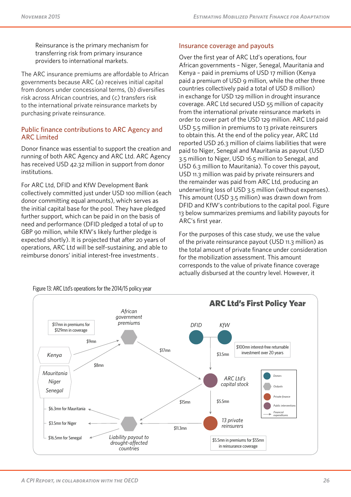Reinsurance is the primary mechanism for transferring risk from primary insurance providers to international markets.

The ARC insurance premiums are affordable to African governments because ARC (a) receives initial capital from donors under concessional terms, (b) diversifies risk across African countries, and (c) transfers risk to the international private reinsurance markets by purchasing private reinsurance.

#### Public finance contributions to ARC Agency and ARC Limited

Donor finance was essential to support the creation and running of both ARC Agency and ARC Ltd. ARC Agency has received USD 42.32 million in support from donor institutions.

For ARC Ltd, DFID and KfW Development Bank collectively committed just under USD 100 million (each donor committing equal amounts), which serves as the initial capital base for the pool. They have pledged further support, which can be paid in on the basis of need and performance (DFID pledged a total of up to GBP 90 million, while KfW's likely further pledge is expected shortly). It is projected that after 20 years of operations, ARC Ltd will be self-sustaining, and able to reimburse donors' initial interest-free investments .

#### Insurance coverage and payouts

Over the first year of ARC Ltd's operations, four African governments – Niger, Senegal, Mauritania and Kenya – paid in premiums of USD 17 million (Kenya paid a premium of USD 9 million, while the other three countries collectively paid a total of USD 8 million) in exchange for USD 129 million in drought insurance coverage. ARC Ltd secured USD 55 million of capacity from the international private reinsurance markets in order to cover part of the USD 129 million. ARC Ltd paid USD 5.5 million in premiums to 13 private reinsurers to obtain this. At the end of the policy year, ARC Ltd reported USD 26.3 million of claims liabilities that were paid to Niger, Senegal and Mauritania as payout (USD 3.5 million to Niger, USD 16.5 million to Senegal, and USD 6.3 million to Mauritania). To cover this payout, USD 11.3 million was paid by private reinsurers and the remainder was paid from ARC Ltd, producing an underwriting loss of USD 3.5 million (without expenses). This amount (USD 3.5 million) was drawn down from DFID and KfW's contributions to the capital pool. Figure 13 below summarizes premiums and liability payouts for ARC's first year.

For the purposes of this case study, we use the value of the private reinsurance payout (USD 11.3 million) as the total amount of private finance under consideration for the mobilization assessment. This amount corresponds to the value of private finance coverage actually disbursed at the country level. However, it



Figure 13: ARC Ltd's operations for the 2014/15 policy year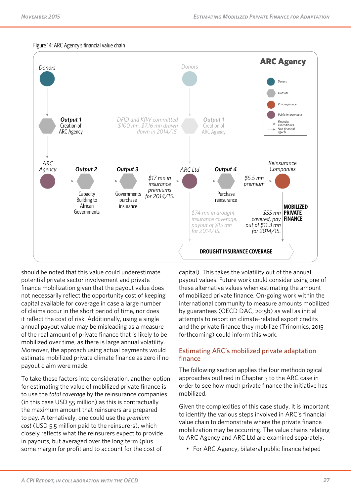

#### Figure 14: ARC Agency's financial value chain

should be noted that this value could underestimate potential private sector involvement and private finance mobilization given that the payout value does not necessarily reflect the opportunity cost of keeping capital available for coverage in case a large number of claims occur in the short period of time, nor does it reflect the cost of risk. Additionally, using a single annual payout value may be misleading as a measure of the real amount of private finance that is likely to be mobilized over time, as there is large annual volatility. Moreover, the approach using actual payments would estimate mobilized private climate finance as zero if no payout claim were made.

To take these factors into consideration, another option for estimating the value of mobilized private finance is to use the *total coverage* by the reinsurance companies (in this case USD 55 million) as this is contractually the maximum amount that reinsurers are prepared to pay. Alternatively, one could use the *premium cost* (USD 5.5 million paid to the reinsurers), which closely reflects what the reinsurers expect to provide in payouts, but averaged over the long term (plus some margin for profit and to account for the cost of

capital). This takes the volatility out of the annual payout values. Future work could consider using one of these alternative values when estimating the amount of mobilized private finance. On-going work within the international community to measure amounts mobilized by guarantees (OECD DAC, 2015b) as well as initial attempts to report on climate-related export credits and the private finance they mobilize (Trinomics, 2015 forthcoming) could inform this work.

#### Estimating ARC's mobilized private adaptation finance

The following section applies the four methodological approaches outlined in Chapter 3 to the ARC case in order to see how much private finance the initiative has mobilized.

Given the complexities of this case study, it is important to identify the various steps involved in ARC's financial value chain to demonstrate where the private finance mobilization may be occurring. The value chains relating to ARC Agency and ARC Ltd are examined separately.

• For ARC Agency, bilateral public finance helped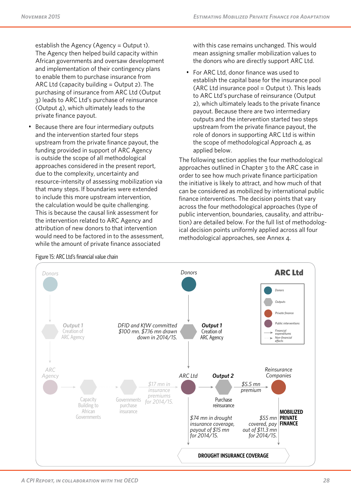establish the Agency (Agency = Output 1). The Agency then helped build capacity within African governments and oversaw development and implementation of their contingency plans to enable them to purchase insurance from ARC Ltd (capacity building = Output 2). The purchasing of insurance from ARC Ltd (Output 3) leads to ARC Ltd's purchase of reinsurance (Output 4), which ultimately leads to the private finance payout.

• Because there are four intermediary outputs and the intervention started four steps upstream from the private finance payout, the funding provided in support of ARC Agency is outside the scope of all methodological approaches considered in the present report, due to the complexity, uncertainty and resource-intensity of assessing mobilization via that many steps. If boundaries were extended to include this more upstream intervention, the calculation would be quite challenging. This is because the causal link assessment for the intervention related to ARC Agency and attribution of new donors to that intervention would need to be factored in to the assessment, while the amount of private finance associated

with this case remains unchanged. This would mean assigning smaller mobilization values to the donors who are directly support ARC Ltd.

• For ARC Ltd, donor finance was used to establish the capital base for the insurance pool  $(ARC Ltd insurance pool = Output1). This leads$ to ARC Ltd's purchase of reinsurance (Output 2), which ultimately leads to the private finance payout. Because there are two intermediary outputs and the intervention started two steps upstream from the private finance payout, the role of donors in supporting ARC Ltd is within the scope of methodological Approach 4, as applied below.

The following section applies the four methodological approaches outlined in Chapter 3 to the ARC case in order to see how much private finance participation the initiative is likely to attract, and how much of that can be considered as mobilized by international public finance interventions. The decision points that vary across the four methodological approaches (type of public intervention, boundaries, causality, and attribution) are detailed below. For the full list of methodological decision points uniformly applied across all four methodological approaches, see Annex 4.



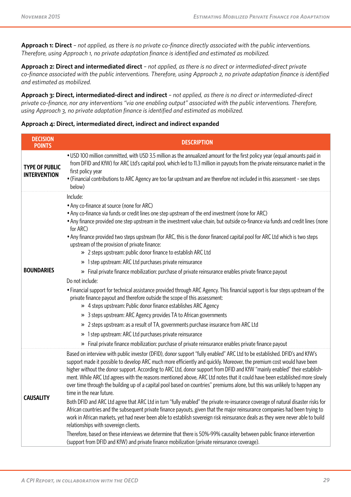**Approach 1: Direct** *– not applied, as there is no private co-finance directly associated with the public interventions. Therefore, using Approach 1, no private adaptation finance is identified and estimated as mobilized.*

**Approach 2: Direct and intermediated direct** *– not applied, as there is no direct or intermediated-direct private co-finance associated with the public interventions. Therefore, using Approach 2, no private adaptation finance is identified and estimated as mobilized.*

**Approach 3: Direct, intermediated-direct and indirect** *– not applied, as there is no direct or intermediated-direct private co-finance, nor any interventions "via one enabling output" associated with the public interventions. Therefore, using Approach 3, no private adaptation finance is identified and estimated as mobilized.*

**Approach 4: Direct, intermediated direct, indirect and indirect expanded**

| <b>DECISION</b><br><b>POINTS</b>             | <b>DESCRIPTION</b>                                                                                                                                                                                                                                                                                                                                                                                                                                                                                                                                                                                                                                                                                                                                                                                                                                                                                                                                                                                                                                                                                                                                                                                                                                                                                                                                                                                               |
|----------------------------------------------|------------------------------------------------------------------------------------------------------------------------------------------------------------------------------------------------------------------------------------------------------------------------------------------------------------------------------------------------------------------------------------------------------------------------------------------------------------------------------------------------------------------------------------------------------------------------------------------------------------------------------------------------------------------------------------------------------------------------------------------------------------------------------------------------------------------------------------------------------------------------------------------------------------------------------------------------------------------------------------------------------------------------------------------------------------------------------------------------------------------------------------------------------------------------------------------------------------------------------------------------------------------------------------------------------------------------------------------------------------------------------------------------------------------|
| <b>TYPE OF PUBLIC</b><br><b>INTERVENTION</b> | . USD 100 million committed, with USD 3.5 million as the annualized amount for the first policy year (equal amounts paid in<br>from DFID and KfW) for ARC Ltd's capital pool, which led to 11.3 million in payouts from the private reinsurance market in the<br>first policy year<br>• (Financial contributions to ARC Agency are too far upstream and are therefore not included in this assessment - see steps<br>below)                                                                                                                                                                                                                                                                                                                                                                                                                                                                                                                                                                                                                                                                                                                                                                                                                                                                                                                                                                                      |
| <b>BOUNDARIES</b>                            | Include:<br>• Any co-finance at source (none for ARC)<br>• Any co-finance via funds or credit lines one step upstream of the end investment (none for ARC)<br>• Any finance provided one step upstream in the investment value chain, but outside co-finance via funds and credit lines (none<br>for ARC)<br>• Any finance provided two steps upstream (for ARC, this is the donor financed capital pool for ARC Ltd which is two steps<br>upstream of the provision of private finance:<br>» 2 steps upstream: public donor finance to establish ARC Ltd<br>» 1 step upstream: ARC Ltd purchases private reinsurance<br>Final private finance mobilization: purchase of private reinsurance enables private finance payout<br>$\mathcal{V}$<br>Do not include:<br>• Financial support for technical assistance provided through ARC Agency. This financial support is four steps upstream of the<br>private finance payout and therefore outside the scope of this assessment:<br>» 4 steps upstream: Public donor finance establishes ARC Agency<br>3 steps upstream: ARC Agency provides TA to African governments<br>»<br>» 2 steps upstream: as a result of TA, governments purchase insurance from ARC Ltd<br>1 step upstream: ARC Ltd purchases private reinsurance<br>$\boldsymbol{\mathcal{D}}$<br>» Final private finance mobilization: purchase of private reinsurance enables private finance payout |
| <b>CAUSALITY</b>                             | Based on interview with public investor (DFID), donor support "fully enabled" ARC Ltd to be established. DFID's and KfW's<br>support made it possible to develop ARC much more efficiently and quickly. Moreover, the premium cost would have been<br>higher without the donor support. According to ARC Ltd, donor support from DFID and KfW "mainly enabled" their establish-<br>ment. While ARC Ltd agrees with the reasons mentioned above, ARC Ltd notes that it could have been established more slowly<br>over time through the building up of a capital pool based on countries" premiums alone, but this was unlikely to happen any<br>time in the near future.<br>Both DFID and ARC Ltd agree that ARC Ltd in turn "fully enabled" the private re-insurance coverage of natural disaster risks for<br>African countries and the subsequent private finance payouts, given that the major reinsurance companies had been trying to<br>work in African markets, yet had never been able to establish sovereign risk reinsurance deals as they were never able to build<br>relationships with sovereign clients.<br>Therefore, based on these interviews we determine that there is 50%-99% causality between public finance intervention<br>(support from DFID and KfW) and private finance mobilization (private reinsurance coverage).                                                                 |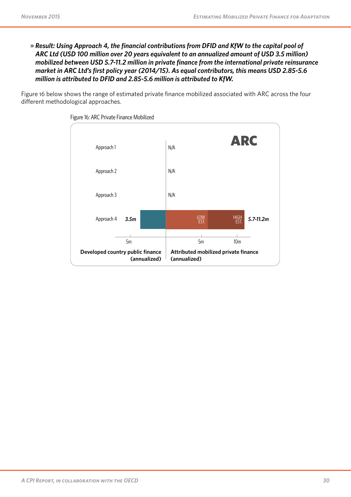» *Result: Using Approach 4, the financial contributions from DFID and KfW to the capital pool of ARC Ltd (USD 100 million over 20 years equivalent to an annualized amount of USD 3.5 million) mobilized between USD 5.7-11.2 million in private finance from the international private reinsurance market in ARC Ltd's first policy year (2014/15). As equal contributors, this means USD 2.85-5.6 million is attributed to DFID and 2.85-5.6 million is attributed to KfW.*

Figure 16 below shows the range of estimated private finance mobilized associated with ARC across the four different methodological approaches.



Figure 16: ARC Private Finance Mobilized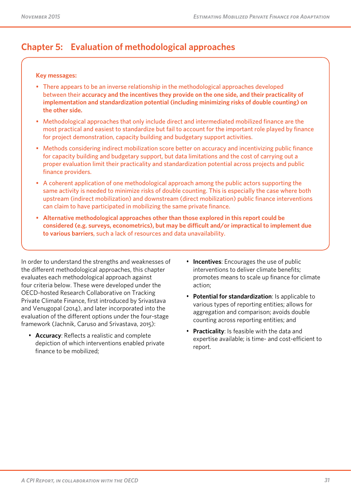## **Chapter 5: Evaluation of methodological approaches**

#### **Key messages:**

- There appears to be an inverse relationship in the methodological approaches developed between their **accuracy and the incentives they provide on the one side, and their practicality of implementation and standardization potential (including minimizing risks of double counting) on the other side.**
- Methodological approaches that only include direct and intermediated mobilized finance are the most practical and easiest to standardize but fail to account for the important role played by finance for project demonstration, capacity building and budgetary support activities.
- Methods considering indirect mobilization score better on accuracy and incentivizing public finance for capacity building and budgetary support, but data limitations and the cost of carrying out a proper evaluation limit their practicality and standardization potential across projects and public finance providers.
- A coherent application of one methodological approach among the public actors supporting the same activity is needed to minimize risks of double counting. This is especially the case where both upstream (indirect mobilization) and downstream (direct mobilization) public finance interventions can claim to have participated in mobilizing the same private finance.
- **Alternative methodological approaches other than those explored in this report could be considered (e.g. surveys, econometrics), but may be difficult and/or impractical to implement due to various barriers**, such a lack of resources and data unavailability.

In order to understand the strengths and weaknesses of the different methodological approaches, this chapter evaluates each methodological approach against four criteria below. These were developed under the OECD-hosted Research Collaborative on Tracking Private Climate Finance, first introduced by Srivastava and Venugopal (2014), and later incorporated into the evaluation of the different options under the four-stage framework (Jachnik, Caruso and Srivastava, 2015):

- **Accuracy**: Reflects a realistic and complete depiction of which interventions enabled private finance to be mobilized;
- **Incentives**: Encourages the use of public interventions to deliver climate benefits; promotes means to scale up finance for climate action;
- **Potential for standardization**: Is applicable to various types of reporting entities; allows for aggregation and comparison; avoids double counting across reporting entities; and
- **Practicality:** Is feasible with the data and expertise available; is time- and cost-efficient to report.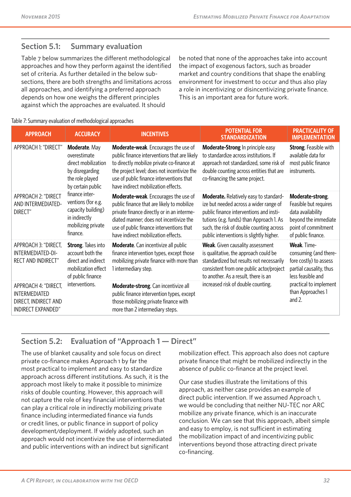### **Section 5.1: Summary evaluation**

Table 7 below summarizes the different methodological approaches and how they perform against the identified set of criteria. As further detailed in the below subsections, there are both strengths and limitations across all approaches, and identifying a preferred approach depends on how one weighs the different principles against which the approaches are evaluated. It should

be noted that none of the approaches take into account the impact of exogenous factors, such as broader market and country conditions that shape the enabling environment for investment to occur and thus also play a role in incentivizing or disincentivizing private finance. This is an important area for future work.

#### Table 7: Summary evaluation of methodological approaches

| <b>APPROACH</b>                                                                            | <b>ACCURACY</b>                                                                                                  | <b>INCENTIVES</b>                                                                                                                                                                                                                                                           | <b>POTENTIAL FOR</b><br><b>STANDARDIZATION</b>                                                                                                                                                                                                                  | <b>PRACTICALITY OF</b><br><b>IMPLEMENTATION</b>                                                                                     |
|--------------------------------------------------------------------------------------------|------------------------------------------------------------------------------------------------------------------|-----------------------------------------------------------------------------------------------------------------------------------------------------------------------------------------------------------------------------------------------------------------------------|-----------------------------------------------------------------------------------------------------------------------------------------------------------------------------------------------------------------------------------------------------------------|-------------------------------------------------------------------------------------------------------------------------------------|
| APPROACH 1: "DIRECT"                                                                       | Moderate. May<br>overestimate<br>direct mobilization<br>by disregarding<br>the role played<br>by certain public  | <b>Moderate-weak.</b> Encourages the use of<br>public finance interventions that are likely<br>to directly mobilize private co-finance at<br>the project level; does not incentivize the<br>use of public finance interventions that<br>have indirect mobilization effects. | Moderate-Strong In principle easy<br>to standardize across institutions. If<br>approach not standardized, some risk of<br>double counting across entities that are<br>co-financing the same project.                                                            | Strong. Feasible with<br>available data for<br>most public finance<br>instruments.                                                  |
| APPROACH 2: "DIRECT<br>AND INTERMEDIATED-<br>DIRECT"                                       | finance inter-<br>ventions (for e.g.<br>capacity building)<br>in indirectly<br>mobilizing private<br>finance.    | Moderate-weak. Encourages the use of<br>public finance that are likely to mobilize<br>private finance directly or in an interme-<br>diated manner; does not incentivize the<br>use of public finance interventions that<br>have indirect mobilization effects.              | Moderate. Relatively easy to standard-<br>ize but needed across a wider range of<br>public finance interventions and insti-<br>tutions (e.g. funds) than Approach 1. As<br>such, the risk of double counting across<br>public interventions is slightly higher. | Moderate-strong.<br>Feasible but requires<br>data availability<br>beyond the immediate<br>point of commitment<br>of public finance. |
| APPROACH 3: "DIRECT,<br>INTERMEDIATED-DI-<br>RECT AND INDIRECT"                            | <b>Strong.</b> Takes into<br>account both the<br>direct and indirect<br>mobilization effect<br>of public finance | <b>Moderate.</b> Can incentivize all public<br>finance intervention types, except those<br>mobilizing private finance with more than<br>1 intermediary step.                                                                                                                | Weak. Given causality assessment<br>is qualitative, the approach could be<br>standardized but results not necessarily<br>consistent from one public actor/project<br>to another. As a result, there is an                                                       | Weak. Time-<br>consuming (and there-<br>fore costly) to assess<br>partial causality, thus<br>less feasible and                      |
| APPROACH 4: "DIRECT,<br><b>INTERMEDIATED</b><br>DIRECT, INDIRECT AND<br>INDIRECT EXPANDED" | interventions.                                                                                                   | Moderate-strong. Can incentivize all<br>public finance intervention types, except<br>those mobilizing private finance with<br>more than 2 intermediary steps.                                                                                                               | increased risk of double counting.                                                                                                                                                                                                                              | practical to implement<br>than Approaches 1<br>and $2$ .                                                                            |

## **Section 5.2: Evaluation of "Approach 1 — Direct"**

The use of blanket causality and sole focus on direct private co-finance makes Approach 1 by far the most practical to implement and easy to standardize approach across different institutions. As such, it is the approach most likely to make it possible to minimize risks of double counting. However, this approach will not capture the role of key financial interventions that can play a critical role in indirectly mobilizing private finance including intermediated finance via funds or credit lines, or public finance in support of policy development/deployment. If widely adopted, such an approach would not incentivize the use of intermediated and public interventions with an indirect but significant

mobilization effect. This approach also does not capture private finance that might be mobilized indirectly in the absence of public co-finance at the project level.

Our case studies illustrate the limitations of this approach, as neither case provides an example of direct public intervention. If we assumed Approach 1, we would be concluding that neither NU-TEC nor ARC mobilize any private finance, which is an inaccurate conclusion. We can see that this approach, albeit simple and easy to employ, is not sufficient in estimating the mobilization impact of and incentivizing public interventions beyond those attracting direct private co-financing.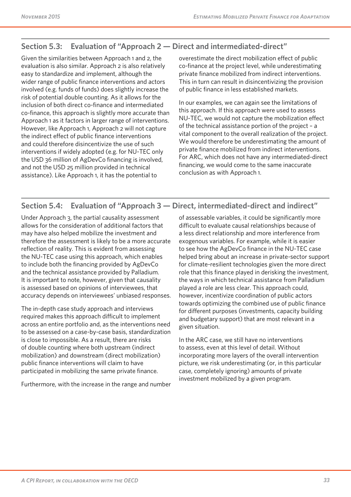## **Section 5.3: Evaluation of "Approach 2 — Direct and intermediated-direct"**

Given the similarities between Approach 1 and 2, the evaluation is also similar. Approach 2 is also relatively easy to standardize and implement, although the wider range of public finance interventions and actors involved (e.g. funds of funds) does slightly increase the risk of potential double counting. As it allows for the inclusion of both direct co-finance and intermediated co-finance, this approach is slightly more accurate than Approach 1 as it factors in larger range of interventions. However, like Approach 1, Approach 2 will not capture the indirect effect of public finance interventions and could therefore disincentivize the use of such interventions if widely adopted (e.g. for NU-TEC only the USD 36 million of AgDevCo financing is involved, and not the USD 25 million provided in technical assistance). Like Approach 1, it has the potential to

overestimate the direct mobilization effect of public co-finance at the project level, while underestimating private finance mobilized from indirect interventions. This in turn can result in disincentivizing the provision of public finance in less established markets.

In our examples, we can again see the limitations of this approach. If this approach were used to assess NU-TEC, we would not capture the mobilization effect of the technical assistance portion of the project – a vital component to the overall realization of the project. We would therefore be underestimating the amount of private finance mobilized from indirect interventions. For ARC, which does not have any intermediated-direct financing, we would come to the same inaccurate conclusion as with Approach 1.

### **Section 5.4: Evaluation of "Approach 3 — Direct, intermediated-direct and indirect"**

Under Approach 3, the partial causality assessment allows for the consideration of additional factors that may have also helped mobilize the investment and therefore the assessment is likely to be a more accurate reflection of reality. This is evident from assessing the NU-TEC case using this approach, which enables to include both the financing provided by AgDevCo and the technical assistance provided by Palladium. It is important to note, however, given that causality is assessed based on opinions of interviewees, that accuracy depends on interviewees' unbiased responses.

The in-depth case study approach and interviews required makes this approach difficult to implement across an entire portfolio and, as the interventions need to be assessed on a case-by-case basis, standardization is close to impossible. As a result, there are risks of double counting where both upstream (indirect mobilization) and downstream (direct mobilization) public finance interventions will claim to have participated in mobilizing the same private finance.

Furthermore, with the increase in the range and number

of assessable variables, it could be significantly more difficult to evaluate causal relationships because of a less direct relationship and more interference from exogenous variables. For example, while it is easier to see how the AgDevCo finance in the NU-TEC case helped bring about an increase in private-sector support for climate-resilient technologies given the more direct role that this finance played in derisking the investment, the ways in which technical assistance from Palladium played a role are less clear. This approach could, however, incentivize coordination of public actors towards optimizing the combined use of public finance for different purposes (investments, capacity building and budgetary support) that are most relevant in a given situation.

In the ARC case, we still have no interventions to assess, even at this level of detail. Without incorporating more layers of the overall intervention picture, we risk underestimating (or, in this particular case, completely ignoring) amounts of private investment mobilized by a given program.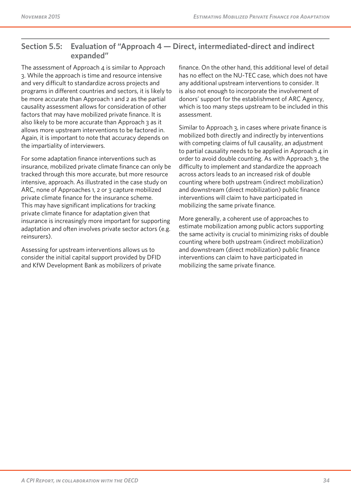### **Section 5.5: Evaluation of "Approach 4 — Direct, intermediated-direct and indirect expanded"**

The assessment of Approach  $4$  is similar to Approach 3. While the approach is time and resource intensive and very difficult to standardize across projects and programs in different countries and sectors, it is likely to be more accurate than Approach 1 and 2 as the partial causality assessment allows for consideration of other factors that may have mobilized private finance. It is also likely to be more accurate than Approach 3 as it allows more upstream interventions to be factored in. Again, it is important to note that accuracy depends on the impartiality of interviewers.

For some adaptation finance interventions such as insurance, mobilized private climate finance can only be tracked through this more accurate, but more resource intensive, approach. As illustrated in the case study on ARC, none of Approaches 1, 2 or 3 capture mobilized private climate finance for the insurance scheme. This may have significant implications for tracking private climate finance for adaptation given that insurance is increasingly more important for supporting adaptation and often involves private sector actors (e.g. reinsurers).

Assessing for upstream interventions allows us to consider the initial capital support provided by DFID and KfW Development Bank as mobilizers of private finance. On the other hand, this additional level of detail has no effect on the NU-TEC case, which does not have any additional upstream interventions to consider. It is also not enough to incorporate the involvement of donors' support for the establishment of ARC Agency, which is too many steps upstream to be included in this assessment.

Similar to Approach 3, in cases where private finance is mobilized both directly and indirectly by interventions with competing claims of full causality, an adjustment to partial causality needs to be applied in Approach  $4$  in order to avoid double counting. As with Approach 3, the difficulty to implement and standardize the approach across actors leads to an increased risk of double counting where both upstream (indirect mobilization) and downstream (direct mobilization) public finance interventions will claim to have participated in mobilizing the same private finance.

More generally, a coherent use of approaches to estimate mobilization among public actors supporting the same activity is crucial to minimizing risks of double counting where both upstream (indirect mobilization) and downstream (direct mobilization) public finance interventions can claim to have participated in mobilizing the same private finance.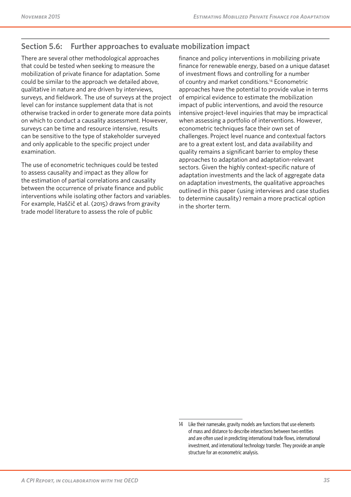## **Section 5.6: Further approaches to evaluate mobilization impact**

There are several other methodological approaches that could be tested when seeking to measure the mobilization of private finance for adaptation. Some could be similar to the approach we detailed above, qualitative in nature and are driven by interviews, surveys, and fieldwork. The use of surveys at the project level can for instance supplement data that is not otherwise tracked in order to generate more data points on which to conduct a causality assessment. However, surveys can be time and resource intensive, results can be sensitive to the type of stakeholder surveyed and only applicable to the specific project under examination.

The use of econometric techniques could be tested to assess causality and impact as they allow for the estimation of partial correlations and causality between the occurrence of private finance and public interventions while isolating other factors and variables. For example, Haščič et al. (2015) draws from gravity trade model literature to assess the role of public

finance and policy interventions in mobilizing private finance for renewable energy, based on a unique dataset of investment flows and controlling for a number of country and market conditions.14 Econometric approaches have the potential to provide value in terms of empirical evidence to estimate the mobilization impact of public interventions, and avoid the resource intensive project-level inquiries that may be impractical when assessing a portfolio of interventions. However, econometric techniques face their own set of challenges. Project level nuance and contextual factors are to a great extent lost, and data availability and quality remains a significant barrier to employ these approaches to adaptation and adaptation-relevant sectors. Given the highly context-specific nature of adaptation investments and the lack of aggregate data on adaptation investments, the qualitative approaches outlined in this paper (using interviews and case studies to determine causality) remain a more practical option in the shorter term.

<sup>14</sup> Like their namesake, gravity models are functions that use elements of mass and distance to describe interactions between two entities and are often used in predicting international trade flows, international investment, and international technology transfer. They provide an ample structure for an econometric analysis.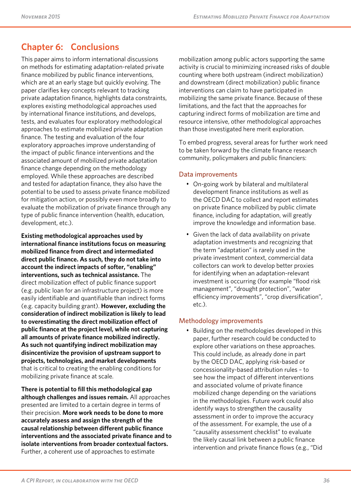## **Chapter 6: Conclusions**

This paper aims to inform international discussions on methods for estimating adaptation-related private finance mobilized by public finance interventions, which are at an early stage but quickly evolving. The paper clarifies key concepts relevant to tracking private adaptation finance, highlights data constraints, explores existing methodological approaches used by international finance institutions, and develops, tests, and evaluates four exploratory methodological approaches to estimate mobilized private adaptation finance. The testing and evaluation of the four exploratory approaches improve understanding of the impact of public finance interventions and the associated amount of mobilized private adaptation finance change depending on the methodology employed. While these approaches are described and tested for adaptation finance, they also have the potential to be used to assess private finance mobilized for mitigation action, or possibly even more broadly to evaluate the mobilization of private finance through any type of public finance intervention (health, education, development, etc.).

**Existing methodological approaches used by international finance institutions focus on measuring mobilized finance from direct and intermediated direct public finance. As such, they do not take into account the indirect impacts of softer, "enabling" interventions, such as technical assistance.** The direct mobilization effect of public finance support (e.g. public loan for an infrastructure project) is more easily identifiable and quantifiable than indirect forms (e.g. capacity building grant). **However, excluding the consideration of indirect mobilization is likely to lead to overestimating the direct mobilization effect of public finance at the project level, while not capturing all amounts of private finance mobilized indirectly. As such not quantifying indirect mobilization may disincentivize the provision of upstream support to projects, technologies, and market developments**  that is critical to creating the enabling conditions for mobilizing private finance at scale.

**There is potential to fill this methodological gap although challenges and issues remain.** All approaches presented are limited to a certain degree in terms of their precision. **More work needs to be done to more accurately assess and assign the strength of the causal relationship between different public finance interventions and the associated private finance and to isolate** i**nterventions from broader contextual factors.** Further, a coherent use of approaches to estimate

mobilization among public actors supporting the same activity is crucial to minimizing increased risks of double counting where both upstream (indirect mobilization) and downstream (direct mobilization) public finance interventions can claim to have participated in mobilizing the same private finance. Because of these limitations, and the fact that the approaches for capturing indirect forms of mobilization are time and resource intensive, other methodological approaches than those investigated here merit exploration.

To embed progress, several areas for further work need to be taken forward by the climate finance research community, policymakers and public financiers:

#### Data improvements

- On-going work by bilateral and multilateral development finance institutions as well as the OECD DAC to collect and report estimates on private finance mobilized by public climate finance, including for adaptation, will greatly improve the knowledge and information base.
- Given the lack of data availability on private adaptation investments and recognizing that the term "adaptation" is rarely used in the private investment context, commercial data collectors can work to develop better proxies for identifying when an adaptation-relevant investment is occurring (for example "flood risk management", "drought protection", "water efficiency improvements", "crop diversification", etc.).

#### Methodology improvements

• Building on the methodologies developed in this paper, further research could be conducted to explore other variations on these approaches. This could include, as already done in part by the OECD DAC, applying risk-based or concessionality-based attribution rules – to see how the impact of different interventions and associated volume of private finance mobilized change depending on the variations in the methodologies. Future work could also identify ways to strengthen the causality assessment in order to improve the accuracy of the assessment. For example, the use of a "causality assessment checklist" to evaluate the likely causal link between a public finance intervention and private finance flows (e.g., "Did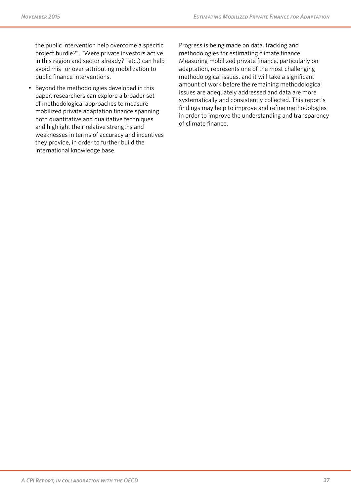the public intervention help overcome a specific project hurdle?", "Were private investors active in this region and sector already?" etc.) can help avoid mis- or over-attributing mobilization to public finance interventions.

• Beyond the methodologies developed in this paper, researchers can explore a broader set of methodological approaches to measure mobilized private adaptation finance spanning both quantitative and qualitative techniques and highlight their relative strengths and weaknesses in terms of accuracy and incentives they provide, in order to further build the international knowledge base.

Progress is being made on data, tracking and methodologies for estimating climate finance. Measuring mobilized private finance, particularly on adaptation, represents one of the most challenging methodological issues, and it will take a significant amount of work before the remaining methodological issues are adequately addressed and data are more systematically and consistently collected. This report's findings may help to improve and refine methodologies in order to improve the understanding and transparency of climate finance.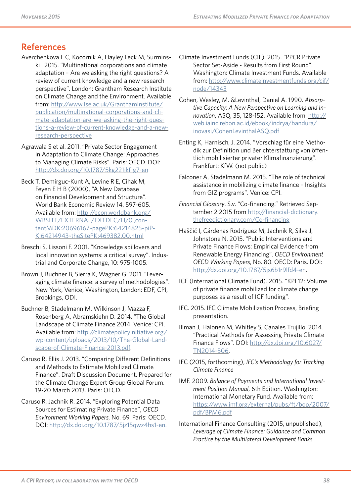## **References**

- Averchenkova F C, Kocornik A, Hayley Leck M, Surminski . 2015. "Multinational corporations and climate adaptation – Are we asking the right questions? A review of current knowledge and a new research perspective". London: Grantham Research Institute on Climate Change and the Environment. Available from: [http://www.lse.ac.uk/GranthamInstitute/](http://www.lse.ac.uk/GranthamInstitute/publication/multinational-corporations-and-climate-adaptation-are-we-asking-the-right-questions-a-review-of-current-knowledge-and-a-new-research-perspective) [publication/multinational-corporations-and-cli](http://www.lse.ac.uk/GranthamInstitute/publication/multinational-corporations-and-climate-adaptation-are-we-asking-the-right-questions-a-review-of-current-knowledge-and-a-new-research-perspective)[mate-adaptation-are-we-asking-the-right-ques](http://www.lse.ac.uk/GranthamInstitute/publication/multinational-corporations-and-climate-adaptation-are-we-asking-the-right-questions-a-review-of-current-knowledge-and-a-new-research-perspective)[tions-a-review-of-current-knowledge-and-a-new](http://www.lse.ac.uk/GranthamInstitute/publication/multinational-corporations-and-climate-adaptation-are-we-asking-the-right-questions-a-review-of-current-knowledge-and-a-new-research-perspective)[research-perspective](http://www.lse.ac.uk/GranthamInstitute/publication/multinational-corporations-and-climate-adaptation-are-we-asking-the-right-questions-a-review-of-current-knowledge-and-a-new-research-perspective)
- Agrawala S et al. 2011. "Private Sector Engagement in Adaptation to Climate Change: Approaches to Managing Climate Risks". Paris: OECD. DOI: <http://dx.doi.org/10.1787/5kg221jkf1g7-en>
- Beck T, Demirguc-Kunt A, Levine R E, Cihak M, Feyen E H B (2000), "A New Database on Financial Development and Structure". World Bank Economic Review 14, 597-605. Available from: [http://econ.worldbank.org/](http://econ.worldbank.org/WBSITE/EXTERNAL/EXTDEC/EXTRESEARCH/0,,contentMDK:20696167~pagePK:64214825~piPK:64214943~theSitePK:469382,00.html) [WBSITE/EXTERNAL/EXTDEC/H/0,,con](http://econ.worldbank.org/WBSITE/EXTERNAL/EXTDEC/EXTRESEARCH/0,,contentMDK:20696167~pagePK:64214825~piPK:64214943~theSitePK:469382,00.html)[tentMDK:20696167~pagePK:64214825~piP-](http://econ.worldbank.org/WBSITE/EXTERNAL/EXTDEC/EXTRESEARCH/0,,contentMDK:20696167~pagePK:64214825~piPK:64214943~theSitePK:469382,00.html)[K:64214943~theSitePK:469382,00.html](http://econ.worldbank.org/WBSITE/EXTERNAL/EXTDEC/EXTRESEARCH/0,,contentMDK:20696167~pagePK:64214825~piPK:64214943~theSitePK:469382,00.html)
- Breschi S, Lissoni F. 2001. "Knowledge spillovers and local innovation systems: a critical survey". Industrial and Corporate Change, 10: 975-1005.
- Brown J, Buchner B, Sierra K, Wagner G. 2011. "Leveraging climate finance: a survey of methodologies". New York, Venice, Washington, London: EDF, CPI, Brookings, ODI.
- Buchner B, Stadelmann M, Wilkinson J, Mazza F, Rosenberg A, Abramskiehn D. 2014. "The Global Landscape of Climate Finance 2014. Venice: CPI. Available from: [http://climatepolicyinitiative.org/](http://climatepolicyinitiative.org/wp-content/uploads/2013/10/The-Global-Landscape-of-Climate-Finance-2013.pdf) [wp-content/uploads/2013/10/The-Global-Land](http://climatepolicyinitiative.org/wp-content/uploads/2013/10/The-Global-Landscape-of-Climate-Finance-2013.pdf)[scape-of-Climate-Finance-2013.pdf.](http://climatepolicyinitiative.org/wp-content/uploads/2013/10/The-Global-Landscape-of-Climate-Finance-2013.pdf)
- Caruso R, Ellis J. 2013. "Comparing Different Definitions and Methods to Estimate Mobilized Climate Finance". Draft Discussion Document. Prepared for the Climate Change Expert Group Global Forum. 19-20 March 2013. Paris: OECD.
- Caruso R, Jachnik R. 2014. "Exploring Potential Data Sources for Estimating Private Finance", *OECD Environment Working Papers*, No. 69. Paris: OECD. DOI: <http://dx.doi.org/10.1787/5jz15qwz4hs1-en>.
- Climate Investment Funds (CIF). 2015. "PPCR Private Sector Set-Aside - Results from First Round". Washington: Climate Investment Funds. Available from: [http://www.climateinvestmentfunds.org/cif/](http://www.climateinvestmentfunds.org/cif/node/14343) [node/14343](http://www.climateinvestmentfunds.org/cif/node/14343)
- Cohen, Wesley, M. &Levinthal, Daniel A. 1990. *Absorptive Capacity: A New Perspective on Learning and Innovation*, ASQ, 35, 128-152. Available from: [http://](http://web.iaincirebon.ac.id/ebook/indrya/bandura/inovasi/CohenLevinthalASQ.pdf) [web.iaincirebon.ac.id/ebook/indrya/bandura/](http://web.iaincirebon.ac.id/ebook/indrya/bandura/inovasi/CohenLevinthalASQ.pdf) [inovasi/CohenLevinthalASQ.pdf](http://web.iaincirebon.ac.id/ebook/indrya/bandura/inovasi/CohenLevinthalASQ.pdf)
- Enting K, Harnisch, J. 2014. "Vorschlag für eine Methodik zur Definition und Berichterstattung von öffentlich mobilisierter privater Klimafinanzierung". Frankfurt: KfW. (not public)
- Falconer A, Stadelmann M. 2015. "The role of technical assistance in mobilizing climate finance – Insights from GIZ programs". Venice: CPI.
- *Financial Glossary*. S.v. "Co-financing." Retrieved September 2 2015 from [http://financial-dictionary.](http://financial-dictionary.thefreedictionary.com/Co-financing) [thefreedictionary.com/Co-financing](http://financial-dictionary.thefreedictionary.com/Co-financing)
- Haščič I, Cárdenas Rodríguez M, Jachnik R, Silva J, Johnstone N. 2015. "Public Interventions and Private Finance Flows: Empirical Evidence from Renewable Energy Financing". *OECD Environment OECD Working Papers*, No. 80. OECD: Paris. DOI: [http://dx.doi.org/10.1787/5js6b1r9lfd4-en.](http://dx.doi.org/10.1787/5js6b1r9lfd4-en)
- ICF (International Climate Fund). 2015. "KPI 12: Volume of private finance mobilized for climate change purposes as a result of ICF funding".
- IFC. 2015. IFC Climate Mobilization Process, Briefing presentation.
- Illman J, Halonen M, Whitley S, Canales Trujillo. 2014. "Practical Methods for Assessing Private Climate Finance Flows". DOI: [http://dx.doi.org/10.6027/](http://dx.doi.org/10.6027/TN2014-506) [TN2014-506.](http://dx.doi.org/10.6027/TN2014-506)
- IFC (2015, forthcoming), *IFC's Methodology for Tracking Climate Finance*
- IMF. 2009. *Balance of Payments and International Investment Position Manual*, 6th Edition. Washington: International Monetary Fund. Available from: [https://www.imf.org/external/pubs/ft/bop/2007/](https://www.imf.org/external/pubs/ft/bop/2007/pdf/BPM6.pdf) [pdf/BPM6.pdf](https://www.imf.org/external/pubs/ft/bop/2007/pdf/BPM6.pdf)
- International Finance Consulting (2015, unpublished), *Leverage of Climate Finance: Guidance and Common Practice by the Multilateral Development Banks*.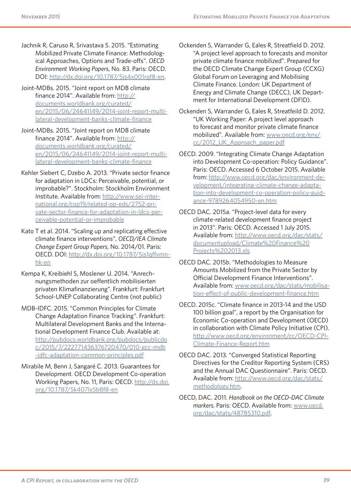Jachnik R, Caruso R, Srivastava S. 2015. "Estimating Mobilized Private Climate Finance: Methodological Approaches, Options and Trade-offs". *OECD Environment Working Papers*, No. 83. Paris: OECD. DOI: [http://dx.doi.org/10.1787/5js4x001rqf8-en.](http://dx.doi.org/10.1787/5js4x001rqf8-en)

Joint-MDBs. 2015. "Joint report on MDB climate finance 2014". Available from: [http://](http://documents.worldbank.org/curated/en/2015/06/24641149/2014-joint-report-multilateral-developmen) [documents.worldbank.org/curated/](http://documents.worldbank.org/curated/en/2015/06/24641149/2014-joint-report-multilateral-developmen) [en/2015/06/24641149/2014-joint-report-multi](http://documents.worldbank.org/curated/en/2015/06/24641149/2014-joint-report-multilateral-developmen)[lateral-development-banks-climate-finance](http://documents.worldbank.org/curated/en/2015/06/24641149/2014-joint-report-multilateral-developmen)

Joint-MDBs. 2015. "Joint report on MDB climate finance 2014". Available from: [http://](http://documents.worldbank.org/curated/en/2015/06/24641149/2014-joint-report-multilateral-developmen) [documents.worldbank.org/curated/](http://documents.worldbank.org/curated/en/2015/06/24641149/2014-joint-report-multilateral-developmen) [en/2015/06/24641149/2014-joint-report-multi](http://documents.worldbank.org/curated/en/2015/06/24641149/2014-joint-report-multilateral-developmen)[lateral-development-banks-climate-finance](http://documents.worldbank.org/curated/en/2015/06/24641149/2014-joint-report-multilateral-developmen)

- Kehler Siebert C, Dzebo A. 2013. "Private sector finance for adaptation in LDCs: Perceivable, potential, or improbable?". Stockholm: Stockholm Environment Institute. Available from: [http://www.sei-inter](http://www.sei-international.org/cop19/related-op-eds/2752-private-sector-finance-for-adaptation-in-ldcs-perceivable-potential-or-improbable)[national.org/cop19/related-op-eds/2752-pri](http://www.sei-international.org/cop19/related-op-eds/2752-private-sector-finance-for-adaptation-in-ldcs-perceivable-potential-or-improbable)[vate-sector-finance-for-adaptation-in-ldcs-per](http://www.sei-international.org/cop19/related-op-eds/2752-private-sector-finance-for-adaptation-in-ldcs-perceivable-potential-or-improbable)[ceivable-potential-or-improbable](http://www.sei-international.org/cop19/related-op-eds/2752-private-sector-finance-for-adaptation-in-ldcs-perceivable-potential-or-improbable)
- Kato T et al. 2014. "Scaling up and replicating effective climate finance interventions", *OECD/IEA Climate Change Expert Group Papers*, No. 2014/01. Paris: OECD. DOI: [http://dx.doi.org/10.1787/5js1qffvmn](http://dx.doi.org/10.1787/5js1qffvmnhk-en)[hk-en](http://dx.doi.org/10.1787/5js1qffvmnhk-en)
- Kempa K, Kreibiehl S, Moslener U. 2014. "Anrechnungsmethoden zur oeffentlich mobilisierten privaten Klimafinanzierung". Frankfurt: Frankfurt School-UNEP Collaborating Centre (not public)
- MDB-IDFC. 2015. "Common Principles for Climate Change Adaptation Finance Tracking". Frankfurt: Multilateral Development Banks and the International Development Finance Club. Available at: [http://pubdocs.worldbank.org/pubdocs/publicdo](http://pubdocs.worldbank.org/pubdocs/publicdoc/2015/7/222771436376720470/010-gcc-mdb-idfc-adaptation-common-principles.pdf) [c/2015/7/222771436376720470/010-gcc-mdb](http://pubdocs.worldbank.org/pubdocs/publicdoc/2015/7/222771436376720470/010-gcc-mdb-idfc-adaptation-common-principles.pdf) [-idfc-adaptation-common-principles.pdf](http://pubdocs.worldbank.org/pubdocs/publicdoc/2015/7/222771436376720470/010-gcc-mdb-idfc-adaptation-common-principles.pdf)
- Mirabile M, Benn J, Sangaré C. 2013. Guarantees for Development. OECD Development Co-operation Working Papers, No. 11, Paris: OECD. [http://dx.doi.](http://dx.doi.org/10.1787/5k407lx5b8f8-en) [org/10.1787/5k407lx5b8f8-en](http://dx.doi.org/10.1787/5k407lx5b8f8-en)

Ockenden S, Warrander G, Eales R, Streatfield D. 2012. "A project level approach to forecasts and monitor private climate finance mobilized". Prepared for the OECD Climate Change Expert Group (CCXG) Global Forum on Leveraging and Mobilising Climate Finance. London: UK Department of Energy and Climate Change (DECC), UK Department for International Development (DFID).

Ockenden S, Warrander G, Eales R, Streatfeild D. 2012. "UK Working Paper: A project level approach to forecast and monitor private climate finance mobilized". Available from: [www.oecd.org/env/](http://www.oecd.org/env/cc/2012_UK_Approach_paper.pdf) [cc/2012\\_UK\\_Approach\\_paper.pdf](http://www.oecd.org/env/cc/2012_UK_Approach_paper.pdf)

OECD. 2009. "Integrating Climate Change Adaptation into Development Co-operation: Policy Guidance". Paris: OECD. Accessed 6 October 2015. Available from: [http://www.oecd.org/dac/environment-de](http://www.oecd.org/dac/environment-development/integrating-climate-change-adaptation-into-development-co-operation-policy-guidance-9789264054950-en.htm)[velopment/integrating-climate-change-adapta](http://www.oecd.org/dac/environment-development/integrating-climate-change-adaptation-into-development-co-operation-policy-guidance-9789264054950-en.htm)[tion-into-development-co-operation-policy-guid](http://www.oecd.org/dac/environment-development/integrating-climate-change-adaptation-into-development-co-operation-policy-guidance-9789264054950-en.htm)[ance-9789264054950-en.htm](http://www.oecd.org/dac/environment-development/integrating-climate-change-adaptation-into-development-co-operation-policy-guidance-9789264054950-en.htm)

OECD DAC. 2015a. "Project-level data for every climate-related development finance project in 2013". Paris: OECD. Accessed 1 July 2015. Available from: [http://www.oecd.org/dac/stats/](http://www.oecd.org/dac/stats/documentupload/Climate%20Finance%20Projects%202013.xls) [documentupload/Climate%20Finance%20](http://www.oecd.org/dac/stats/documentupload/Climate%20Finance%20Projects%202013.xls) [Projects%202013.xls](http://www.oecd.org/dac/stats/documentupload/Climate%20Finance%20Projects%202013.xls)

OECD DAC. 2015b. "Methodologies to Measure Amounts Mobilized from the Private Sector by Official Development Finance Interventions". Available from: [www.oecd.org/dac/stats/mobilisa](http://www.oecd.org/dac/stats/mobilisation-effect-of-public-development-finance.htm)[tion-effect-of-public-development-finance.htm](http://www.oecd.org/dac/stats/mobilisation-effect-of-public-development-finance.htm)

- OECD. 2015c. "Climate finance in 2013-14 and the USD 100 billion goal", a report by the Organisation for Economic Co-operation and Development (OECD) in collaboration with Climate Policy Initiative (CPI). [http://www.oecd.org/environment/cc/OECD-CPI-](http://www.oecd.org/environment/cc/OECD-CPI-Climate-Finance-Report.htm)[Climate-Finance-Report.htm](http://www.oecd.org/environment/cc/OECD-CPI-Climate-Finance-Report.htm)
- OECD DAC. 2013. "Converged Statistical Reporting Directives for the Creditor Reporting System (CRS) and the Annual DAC Questionnaire". Paris: OECD. Available from: [http://www.oecd.org/dac/stats/](http://www.oecd.org/dac/stats/methodology.htm) [methodology.htm](http://www.oecd.org/dac/stats/methodology.htm).
- OECD, DAC. 2011. *Handbook on the OECD-DAC Climate markers*. Paris: OECD. Available from: [www.oecd.](http://www.oecd.org/dac/stats/48785310.pdf) [org/dac/stats/48785310.pdf.](http://www.oecd.org/dac/stats/48785310.pdf)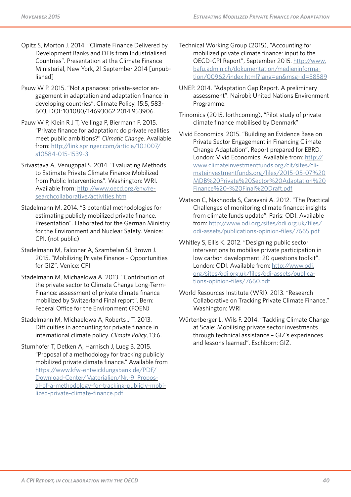- Opitz S, Morton J. 2014. "Climate Finance Delivered by Development Banks and DFIs from Industrialised Countries". Presentation at the Climate Finance Ministerial, New York, 21 September 2014 [unpublished]
- Pauw W P. 2015. "Not a panacea: private-sector engagement in adaptation and adaptation finance in developing countries". Climate Policy, 15:5, 583- 603, DOI: 10.1080/14693062.2014.953906.
- Pauw W P, Klein R J T, Vellinga P, Biermann F. 2015. "Private finance for adaptation: do private realities meet public ambitions?" *Climatic Change*. Avaliable from: [http://link.springer.com/article/10.1007/](http://link.springer.com/article/10.1007/s10584-015-1539-3) [s10584-015-1539-3](http://link.springer.com/article/10.1007/s10584-015-1539-3)
- Srivastava A, Venugopal S. 2014. "Evaluating Methods to Estimate Private Climate Finance Mobilized from Public Interventions". Washington: WRI. Available from: [http://www.oecd.org/env/re](http://www.oecd.org/env/researchcollaborative/activities.htm)[searchcollaborative/activities.htm](http://www.oecd.org/env/researchcollaborative/activities.htm)
- Stadelmann M. 2014. "3 potential methodologies for estimating publicly mobilized private finance. Presentation". Elaborated for the German Ministry for the Environment and Nuclear Safety. Venice: CPI. (not public)
- Stadelmann M, Falconer A, Szambelan SJ, Brown J. 2015. "Mobilizing Private Finance – Opportunities for GIZ". Venice: CPI
- Stadelmann M, Michaelowa A. 2013. "Contribution of the private sector to Climate Change Long-Term-Finance: assessment of private climate finance mobilized by Switzerland Final report". Bern: Federal Office for the Environment (FOEN)
- Stadelmann M, Michaelowa A, Roberts J T. 2013. Difficulties in accounting for private finance in international climate policy. *Climate Policy*, 13:6.
- Stumhofer T, Detken A, Harnisch J, Lueg B. 2015. "Proposal of a methodology for tracking publicly mobilized private climate finance." Available from [https://www.kfw-entwicklungsbank.de/PDF/](https://www.kfw-entwicklungsbank.de/PDF/Download-Center/Materialien/Nr.-9_Proposal-of-a-methodology-for-tracking-publicly-mobilized-private-climate-finance.pdf) [Download-Center/Materialien/Nr.-9\\_Propos](https://www.kfw-entwicklungsbank.de/PDF/Download-Center/Materialien/Nr.-9_Proposal-of-a-methodology-for-tracking-publicly-mobilized-private-climate-finance.pdf)[al-of-a-methodology-for-tracking-publicly-mobi](https://www.kfw-entwicklungsbank.de/PDF/Download-Center/Materialien/Nr.-9_Proposal-of-a-methodology-for-tracking-publicly-mobilized-private-climate-finance.pdf)[lized-private-climate-finance.pdf](https://www.kfw-entwicklungsbank.de/PDF/Download-Center/Materialien/Nr.-9_Proposal-of-a-methodology-for-tracking-publicly-mobilized-private-climate-finance.pdf)
- Technical Working Group (2015), "Accounting for mobilized private climate finance: input to the OECD-CPI Report", September 2015. [http://www.](http://www.bafu.admin.ch/dokumentation/medieninformation/00962/index.html?lang=en&msg-id=58589) [bafu.admin.ch/dokumentation/medieninforma](http://www.bafu.admin.ch/dokumentation/medieninformation/00962/index.html?lang=en&msg-id=58589)[tion/00962/index.html?lang=en&msg-id=58589](http://www.bafu.admin.ch/dokumentation/medieninformation/00962/index.html?lang=en&msg-id=58589)
- UNEP. 2014. "Adaptation Gap Report. A preliminary assessment". Nairobi: United Nations Environment Programme.
- Trinomics (2015, forthcoming), "Pilot study of private climate finance mobilised by Denmark"
- Vivid Economics. 2015. "Building an Evidence Base on Private Sector Engagement in Financing Climate Change Adaptation". Report prepared for EBRD. London: Vivid Economics. Available from: [http://](http://www.climateinvestmentfunds.org/cif/sites/climateinvestmentfunds.org/files/2015-05-07%20MDB%20Private%20Sector%20Adaptation%20Finance%20-%20Final%20Draft.pdf) [www.climateinvestmentfunds.org/cif/sites/cli](http://www.climateinvestmentfunds.org/cif/sites/climateinvestmentfunds.org/files/2015-05-07%20MDB%20Private%20Sector%20Adaptation%20Finance%20-%20Final%20Draft.pdf)[mateinvestmentfunds.org/files/2015-05-07%20](http://www.climateinvestmentfunds.org/cif/sites/climateinvestmentfunds.org/files/2015-05-07%20MDB%20Private%20Sector%20Adaptation%20Finance%20-%20Final%20Draft.pdf) [MDB%20Private%20Sector%20Adaptation%20](http://www.climateinvestmentfunds.org/cif/sites/climateinvestmentfunds.org/files/2015-05-07%20MDB%20Private%20Sector%20Adaptation%20Finance%20-%20Final%20Draft.pdf) [Finance%20-%20Final%20Draft.pdf](http://www.climateinvestmentfunds.org/cif/sites/climateinvestmentfunds.org/files/2015-05-07%20MDB%20Private%20Sector%20Adaptation%20Finance%20-%20Final%20Draft.pdf)
- Watson C, Nakhooda S, Caravani A. 2012. "The Practical Challenges of monitoring climate finance: insights from climate funds update". Paris: ODI. Available from: [http://www.odi.org/sites/odi.org.uk/files/](http://www.odi.org/sites/odi.org.uk/files/odi-assets/publications-opinion-files/7665.pdf) [odi-assets/publications-opinion-files/7665.pdf](http://www.odi.org/sites/odi.org.uk/files/odi-assets/publications-opinion-files/7665.pdf)
- Whitley S, Ellis K. 2012. "Designing public sector interventions to mobilise private participation in low carbon development: 20 questions toolkit". London: ODI. Available from: [http://www.odi.](http://www.odi.org/sites/odi.org.uk/files/odi-assets/publications-opinion-files/7660.pdf) [org/sites/odi.org.uk/files/odi-assets/publica](http://www.odi.org/sites/odi.org.uk/files/odi-assets/publications-opinion-files/7660.pdf)[tions-opinion-files/7660.pdf](http://www.odi.org/sites/odi.org.uk/files/odi-assets/publications-opinion-files/7660.pdf)
- World Resources Institute (WRI). 2013. "Research Collaborative on Tracking Private Climate Finance." Washington: WRI
- Würtenberger L, Wils F. 2014. "Tackling Climate Change at Scale: Mobilising private sector investments through technical assistance – GIZ's experiences and lessons learned". Eschborn: GIZ.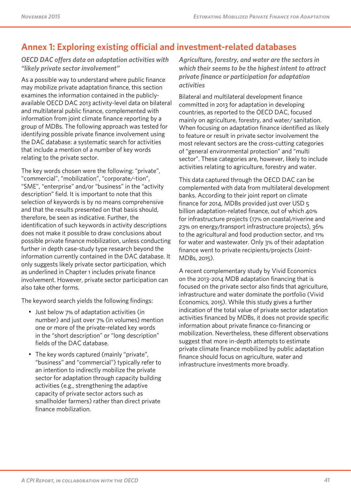## **Annex 1: Exploring existing official and investment-related databases**

#### *OECD DAC offers data on adaptation activities with "likely private sector involvement"*

As a possible way to understand where public finance may mobilize private adaptation finance, this section examines the information contained in the publiclyavailable OECD DAC 2013 activity-level data on bilateral and multilateral public finance, complemented with information from joint climate finance reporting by a group of MDBs. The following approach was tested for identifying possible private finance involvement using the DAC database: a systematic search for activities that include a mention of a number of key words relating to the private sector.

The key words chosen were the following: "private", "commercial", "mobilization", "corporate/-tion", "SME", "enterprise" and/or "business" in the "activity description" field. It is important to note that this selection of keywords is by no means comprehensive and that the results presented on that basis should, therefore, be seen as indicative. Further, the identification of such keywords in activity descriptions does not make it possible to draw conclusions about possible private finance mobilization, unless conducting further in depth case-study type research beyond the information currently contained in the DAC database. It only suggests likely private sector participation, which as underlined in Chapter 1 includes private finance involvement. However, private sector participation can also take other forms.

The keyword search yields the following findings:

- Just below 7% of adaptation activities (in number) and just over 7% (in volumes) mention one or more of the private-related key words in the "short description" or "long description" fields of the DAC database.
- The key words captured (mainly "private", "business" and "commercial") typically refer to an intention to indirectly mobilize the private sector for adaptation through capacity building activities (e.g., strengthening the adaptive capacity of private sector actors such as smallholder farmers) rather than direct private finance mobilization.

*Agriculture, forestry, and water are the sectors in which their seems to be the highest intent to attract private finance or participation for adaptation activities* 

Bilateral and multilateral development finance committed in 2013 for adaptation in developing countries, as reported to the OECD DAC, focused mainly on agriculture, forestry, and water/ sanitation. When focusing on adaptation finance identified as likely to feature or result in private sector involvement the most relevant sectors are the cross-cutting categories of "general environmental protection" and "multi sector". These categories are, however, likely to include activities relating to agriculture, forestry and water.

This data captured through the OECD DAC can be complemented with data from multilateral development banks. According to their joint report on climate finance for 2014, MDBs provided just over USD 5 billion adaptation-related finance, out of which 40% for infrastructure projects (17% on coastal/riverine and 23% on energy/transport infrastructure projects), 36% to the agricultural and food production sector, and 11% for water and wastewater. Only 3% of their adaptation finance went to private recipients/projects (Joint-MDBs, 2015).

A recent complementary study by Vivid Economics on the 2013-2014 MDB adaptation financing that is focused on the private sector also finds that agriculture, infrastructure and water dominate the portfolio (Vivid Economics, 2015). While this study gives a further indication of the total value of private sector adaptation activities financed by MDBs, it does not provide specific information about private finance co-financing or mobilization. Nevertheless, these different observations suggest that more in-depth attempts to estimate private climate finance mobilized by public adaptation finance should focus on agriculture, water and infrastructure investments more broadly.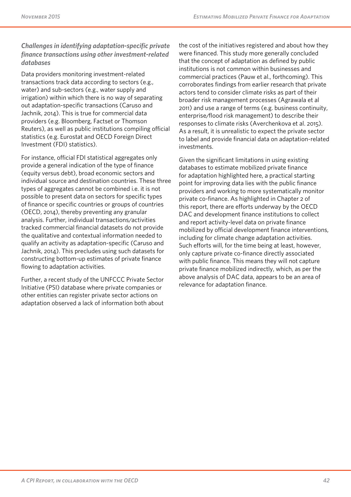#### *Challenges in identifying adaptation-specific private finance transactions using other investment-related databases*

Data providers monitoring investment-related transactions track data according to sectors (e.g., water) and sub-sectors (e.g., water supply and irrigation) within which there is no way of separating out adaptation-specific transactions (Caruso and Jachnik, 2014). This is true for commercial data providers (e.g. Bloomberg, Factset or Thomson Reuters), as well as public institutions compiling official statistics (e.g. Eurostat and OECD Foreign Direct Investment (FDI) statistics).

For instance, official FDI statistical aggregates only provide a general indication of the type of finance (equity versus debt), broad economic sectors and individual source and destination countries. These three types of aggregates cannot be combined i.e. it is not possible to present data on sectors for specific types of finance or specific countries or groups of countries (OECD, 2014), thereby preventing any granular analysis. Further, individual transactions/activities tracked commercial financial datasets do not provide the qualitative and contextual information needed to qualify an activity as adaptation-specific (Caruso and Jachnik, 2014). This precludes using such datasets for constructing bottom-up estimates of private finance flowing to adaptation activities.

Further, a recent study of the UNFCCC Private Sector Initiative (PSI) database where private companies or other entities can register private sector actions on adaptation observed a lack of information both about the cost of the initiatives registered and about how they were financed. This study more generally concluded that the concept of adaptation as defined by public institutions is not common within businesses and commercial practices (Pauw et al., forthcoming). This corroborates findings from earlier research that private actors tend to consider climate risks as part of their broader risk management processes (Agrawala et al 2011) and use a range of terms (e.g. business continuity, enterprise/flood risk management) to describe their responses to climate risks (Averchenkova et al. 2015). As a result, it is unrealistic to expect the private sector to label and provide financial data on adaptation-related investments.

Given the significant limitations in using existing databases to estimate mobilized private finance for adaptation highlighted here, a practical starting point for improving data lies with the public finance providers and working to more systematically monitor private co-finance. As highlighted in Chapter 2 of this report, there are efforts underway by the OECD DAC and development finance institutions to collect and report activity-level data on private finance mobilized by official development finance interventions, including for climate change adaptation activities. Such efforts will, for the time being at least, however, only capture private co-finance directly associated with public finance. This means they will not capture private finance mobilized indirectly, which, as per the above analysis of DAC data, appears to be an area of relevance for adaptation finance.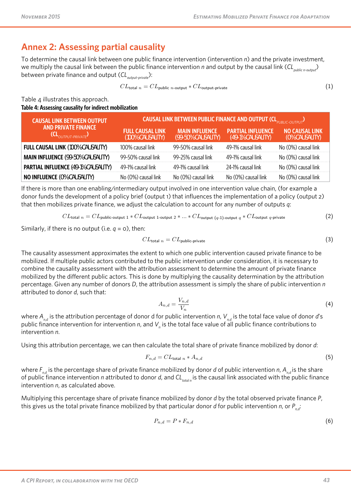#### **Annex 2: Assessing partial causality** *CL*total *<sup>n</sup>* = *CL*public *<sup>n</sup>*-output ∗ *CL*output-private (1)

To determine the causal link between one public finance intervention (intervention n) and the private investment, we multiply the causal link between the public finance intervention n and output by the causal link (CL<sub>public n-output</sub>) between private finance and output ( $\mathsf{CL}_{_{output\text{-}private}}$ ): causal link between the public finance intervention n and output by the causal link (*CL*public *<sup>n</sup>*-output) between private finance and To determine the causal link be tween one public finance intervention (intervention) **The A2.1:** Table A2.1: Table and indirect mobilization was the public finance intervention *n* and output by **C** content between public finance and output (*CL*<sub></sub> public  $\alpha$ 

$$
CL_{\text{total }n} = CL_{\text{public }n\text{-output}} * CL_{\text{output-private}} \tag{1}
$$

Table 4 illustrates this approach. Table A2.1 illustrates this approach. **finance (***CL***output-private) Full causal link (100% causality) finance (***CL***output-private) finance (***CL***output-private) Full causal causal dividend**<br>**Fig. c (100% causality)**

#### Table 4: Assessing causality for indirect mobilization **(100% causality)** Full causal link (<del>noom</del>edigment) <u>recording causality for indirect mebilization.</u><br>Full caesaring causality for indirect mebilization.

| <b>CAUSAL LINK BETWEEN OUTPUT</b>                                                                                                                                                                                                  | CAUSAL LINK BETWEEN PUBLIC FINANCE AND OUTPUT (CLD DURING-OUTPUT) |                                             |                                               |                                         |  |
|------------------------------------------------------------------------------------------------------------------------------------------------------------------------------------------------------------------------------------|-------------------------------------------------------------------|---------------------------------------------|-----------------------------------------------|-----------------------------------------|--|
| <b>AND PRIVATE FINANCE</b><br>$(\mathsf{CL}_{\textcolor{blue}{\mathcal{O}(\mathcal{I} \mathcal{F}\mathsf{P} \mathsf{I} \mathsf{I} \mathsf{T}\text{-}\mathsf{P}\mathsf{R} \mathsf{I} \mathsf{V} \mathsf{A} \mathsf{T} \mathsf{F}})$ | <b>FULL CAUSAL LINK</b><br>(100% CAUSALITY)                       | <b>MAIN INFLUENCE</b><br>(99-50% CAUSALITY) | <b>PARTIAL INFLUENCE</b><br>(49-1% CAUSALITY) | <b>NO CAUSAL LINK</b><br>(0% CAUSALITY) |  |
| <b>FULL CAUSAL LINK (100% CAUSALITY)</b>                                                                                                                                                                                           | 100% causal link                                                  | 99-50% causal link                          | 49-1% causal link                             | No (0%) causal link                     |  |
| <b>MAIN INFLUENCE (99-50% CAUSALITY)</b>                                                                                                                                                                                           | 99-50% causal link                                                | 99-25% causal link                          | 49-1% causal link                             | No (0%) causal link                     |  |
| <b>PARTIAL INFLUENCE (49-1% CAUSALITY)</b>                                                                                                                                                                                         | 49-1% causal link                                                 | 49-1% causal link                           | 24-1% causal link                             | No (0%) causal link                     |  |
| <b>NO INFLUENCE (0% CAUSALITY)</b>                                                                                                                                                                                                 | No (0%) causal link                                               | No (0%) causal link                         | No (0%) causal link                           | No (0%) causal link                     |  |

If there is more than one enabling/intermediary output involved in one intervention value chain, (for example a donor funds the development of a policy brief (output 1) that influences the implementation of a policy (output 2) that then mobilizes private finance, we adjust the calculation to account for any number of outputs  $q$ : If there is more than one enabling/intermediary output involved in one intervention value chain, (for example a developmentation of a policy brief (output 1) that influences the implementation of a policy (output 2) that then mobilizes private private private private private private private private private private private private p finance, we are then calculated the calculation to account for any number of output  $q$ : we are donor funds the development of a notice brief (output 1) that influe

$$
CL_{\text{total }n} = CL_{\text{public-output 1}} * CL_{\text{output 1-output 2}} * ... * CL_{\text{output (q-1)-output q}} * CL_{\text{output q-private}}
$$
(2)

Similarly, if there is no output (i.e.  $q = 0$ ), then: Similarly, if there is no output (i.e.  $q = 0$ ), then

$$
CL_{\text{total }n} = CL_{\text{public-private}} \tag{3}
$$

The causality assessment approximates the extent to which one public intervention caused private finance to be mobilized. If multiple public actors contributed to the public intervention under consideration, it is necessary to combine the causality assessment with the attribution assessment to determine the amount of private finance mobilized by the different public actors. This is done by multiplying the causality determination by the attribution percentage. Given any number of donors D, the attribution assessment is simply the share of public intervention  $n$ attributed to donor *d*, such that: attributed to donor *d*, such that: *CL*total *<sup>n</sup>* = *CL*public-private (3) The causality assessment approximates the extent to which one public intervention caused private finance to be mobilized. If The causality assessment approximates the extent to which one public intervention caused private finance to be mobilized. If  $T_{\text{m}}$  assessment approximately the extent to which one public intervention caused private finance to be mobilized. If multiple public actors contributed to the multiple which caused private  $\epsilon$ multiple public attention to the public density intervention under consideration, in the public intervention under consideration under consideration under compilation in the causality of causality is necessary to combine t assessment with the attribution assessment to determine the amount of private finance mobilized by the different public actors.

$$
A_{n,d} = \frac{V_{n,d}}{V_n} \tag{4}
$$

where  $A_{n,d}$  is the attribution percentage of donor d for public intervention n,  $V_{n,d}$  is the total face value of donor d's public finance intervention for intervention *n*, and  $V_n$  is the total face value of all public finance contributions to intervention *n*. public finance intervention for intervention *n*, and  $V_n$  is the total face value of all public finance contributions to attribution assessment is simply the share of public intervention n at the share of public intervention at the such that  $q$ finance intervention *n*, and *Vn* is the total face value of all public finance contributions to intervention *n*.  $U(t)$  this attribution percentage, we can then calculate the total share of private finance mobilized by donor  $\eta$ : finance intervention for intervention *n*, and *V<sup>n</sup>* is the total face value of all public finance contributions to intervention *n*. whic finance intervention for intervention *n*, and V, is the total face value of all public finance contributions to finance intervention for intervention *n*, and *V<sup>n</sup>* is the total face value of all public finance contributions to intervention *n*.

Using this attribution percentage, we can then calculate the total share of private finance mobilized by donor d: Osing this attribution percentage, we can their calculate the total si

$$
F_{n,d} = CL_{\text{total }n} * A_{n,d} \tag{5}
$$

where  $F_{n,d}$  is the percentage share of private finance mobilized by donor  $d$  of public intervention  $n$ ,  $A_{n,d}$  is the share of public finance intervention n attributed to donor d, and  $Cl_{total n}$  is the causal link associated with the public finance  $intervention n, as calculated above.$  $C$  and  $C$  and  $C$  are  $C$  and  $C$  and  $C$  and  $C$  and  $C$  and  $C$  and  $C$  and  $C$  and  $C$  and  $C$  and  $C$  and  $C$  and  $C$  and  $C$  and  $C$  and  $C$  and  $C$  and  $C$  and  $C$  and  $C$  and  $C$  and  $C$  and  $C$  and  $C$  and  $C$  a

Multiplying this percentage share of private finance mobilized by donor  $d$  by the total observed private finance  $P$ , this gives us the total private finance mobilized by that particular donor d for public intervention n, or  $P_{n,d}$ :

$$
P_{n,d} = P * F_{n,d} \tag{6}
$$

**% causal link between public intervention and private finance (examples),** *CL***total** *<sup>n</sup>*

**Share of public finance**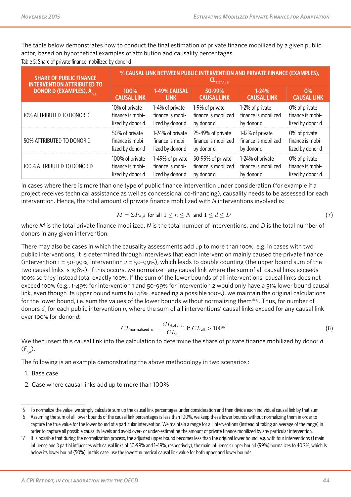The table below demonstrates how to conduct the final estimation of private finance mobilized by a given public<br>entity in the conduct of the conduct the final estimation of private finance mobilized by a given public actor, based on hypothetical examples of attribution and causality percentages. hypothetical examples of attribution and causality percentages.

Table 5: Share of private finance mobilized by donor d

| <b>SHARE OF PUBLIC FINANCE</b>             | % CAUSAL LINK BETWEEN PUBLIC INTERVENTION AND PRIVATE FINANCE (EXAMPLES), |                  |                      |                      |                    |
|--------------------------------------------|---------------------------------------------------------------------------|------------------|----------------------|----------------------|--------------------|
| <b>INTERVENTION ATTRIBUTED TO</b>          | TOTAL N                                                                   |                  |                      |                      |                    |
| <b>DONOR D (EXAMPLES), A</b> <sub>ND</sub> | 100%                                                                      | 1-49% CAUSAL     | 50-99%               | $1 - 24%$            | 0%                 |
|                                            | <b>CAUSAL LINK</b>                                                        | <b>LINK</b>      | <b>CAUSAL LINK</b>   | <b>CAUSAL LINK</b>   | <b>CAUSAL LINK</b> |
| 10% ATTRIBUTED TO DONOR D                  | 10% of private                                                            | 1-4% of private  | 1-9% of private      | 1-2% of private      | 0% of private      |
|                                            | finance is mobi-                                                          | finance is mobi- | finance is mobilized | finance is mobilized | finance is mobi-   |
|                                            | lized by donor d                                                          | lized by donor d | by donor d           | by donor d           | lized by donor d   |
| 50% ATTRIBUTED TO DONOR D                  | 50% of private                                                            | 1-24% of private | 25-49% of private    | 1-12% of private     | 0% of private      |
|                                            | finance is mobi-                                                          | finance is mobi- | finance is mobilized | finance is mobilized | finance is mobi-   |
|                                            | lized by donor d                                                          | lized by donor d | by donor d           | by donor d           | lized by donor d   |
| 100% ATTRIBUTED TO DONOR D                 | 100% of private                                                           | 1-49% of private | 50-99% of private    | 1-24% of private     | 0% of private      |
|                                            | finance is mobi-                                                          | finance is mobi- | finance is mobilized | finance is mobilized | finance is mobi-   |
|                                            | lized by donor d                                                          | lized by donor d | by donor d           | by donor d           | lized by donor d   |

In cases where there is more than one type of public finance intervention under consideration (for example if a project receives technical assistance as well as concessional co-financing), causality needs to be assessed for each project receives technical assistance as wen as concessional commancing), caasanty neces to be a<br>intervention. Hence, the total amount of private finance mobilized with *N* interventions involved is:

$$
M = \Sigma P_{n,d} \text{ for all } 1 \le n \le N \text{ and } 1 \le d \le D \tag{7}
$$

where  $M$  is the total private finance mobilized,  $N$  is the total number of interventions, and  $D$  is the total number of donors in any given intervention. any given intervention.

There may also be cases in which the causality assessments add up to more than 100%, e.g. in cases with two public interventions, it is determined through interviews that each intervention mainly caused the private finance (intervention  $1 = 50 - 99$ %; intervention  $2 = 50 - 99$ %), which leads to double counting (the upper bound sum of the two causal links is 198%). If this occurs, we normalize<sup>15</sup> any causal link where the sum of all causal links exceeds 100% so they instead total exactly 100%. If the sum of the lower bounds of all interventions' causal links does not exceed 100% (e.g., 1-49% for intervention 1 and 50-99% for intervention 2 would only have a 51% lower bound causal link, even though its upper bound sums to 148%, exceeding a possible 100%), we maintain the original calculations for the lower bound, i.e. sum the values of the lower bounds without normalizing them<sup>16,17</sup>. Thus, for number of donors  $d_n$  for each public intervention *n*, where the sum of all interventions' causal links exceed for any causal link over 100% for donor *d*: we simply calculate sum up the causal link percentages under consideration and then dividual causal link by the causal link by the causal link by the causal link by the causal link by the causal li ink, even though its upper bound sums to 148%, exceeding a possible 100%), we maintain the original calculations<br>' A First Look at Key Chall in Mozambiques in Mozambiques in Mozambiques in Mozambiques in Mozambiques in Moz

$$
CL_{\text{normalized }n} = \frac{CL_{\text{total }n}}{CL_{\text{all}}} \text{ if } CL_{\text{all}} > 100\% \tag{8}
$$

We then insert this causal link into the calculation to determine the share of private finance mobilized by donor  $d$ <br>(E)  $(F_{n,d})$ .  $\frac{1}{n}$ ,  $\frac{1}{n}$ ,  $\frac{1}{n}$ ,  $\frac{1}{n}$ ,  $\frac{1}{n}$ , with four interventions interventions interventions interventions in the original lower bound, e.g. with four interventions in the original lower bound, e.g. with fou

The following is an example demonstrating the above methodology in two scenarios : The following is an example demonstrating the above methodology in two scenarios : The following is an example demonstrating the above methodology in two scenarios:

- 1. Base case
- 2. Case where causal links add up to more than 100%

<sup>15</sup> To normalize the value, we simply calculate sum up the causal link percentages under consideration and then divide each individual causal link by that sum. Let's take a base case scenario where a project retrofitting a hydropower plant in Central Asia to account for changing water flow

<sup>16</sup> Assuming the sum of all lower bounds of the causal link percentages is less than 100%, we keep these lower bounds without normalizing them in order to capture the true value for the lower bound of a particular intervention. We maintain a range for all interventions (instead of taking an average of the range) in order to capture all possible causality levels and avoid over- or under-estimating the amount of private finance mobilized by any particular intervention.

<sup>17</sup> It is possible that during the normalization process, the adjusted upper bound becomes less than the original lower bound, e.g. with four interventions (1 main In this possible that drinng the normalization process, the adjusted upper bound becomes tess than the original lower bound, e.g. with lour interventions (Thiam<br>influence and 3 partial influences with causal links of 50-99 below its lower bound (50%). In this case, use the lowest numerical causal link value for both upper and lower bounds.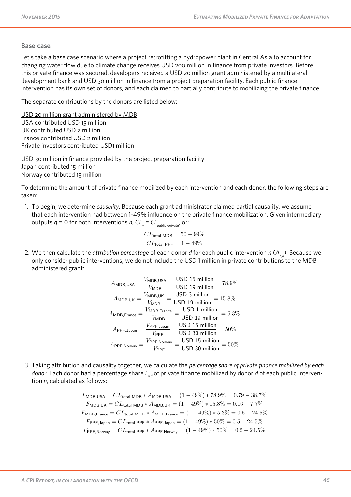#### **Base case**  $\mathsf{Base}\ \mathsf{case}\ \mathsf{base}\ \mathsf{base}\ \mathsf{base}\ \mathsf{base}\ \mathsf{base}\ \mathsf{base}\ \mathsf{base}\ \mathsf{base}\ \mathsf{base}\ \mathsf{base}\ \mathsf{base}\ \mathsf{base}\ \mathsf{base}\ \mathsf{base}\ \mathsf{base}\ \mathsf{base}\ \mathsf{base}\ \mathsf{base}\ \mathsf{base}\ \mathsf{base}\ \mathsf{base}\ \mathsf{base}\ \mathsf{base}\ \mathsf{base}\ \mathsf{base}\ \mathsf{base}\ \mathsf{base}\ \mathsf{base}\ \mathsf{base}\ \mathsf{base}\ \mathsf{base}\ \mathsf{base}\ \mathsf{base}\ \mathsf{base}\ \mathsf{$ We then insert this causal link into the calculation to determine the share of private finance mobilized by donor *d* (*Fn,d*).

Let's take a base case scenario where a project retrofitting a hydropower plant in Central Asia to account for changing water flow due to climate change receives USD 200 million in finance from private investors. Before this private finance was secured, developers received a USD 20 million grant administered by a multilateral development bank and USD 30 million in finance from a project preparation facility. Each public finance intervention has its own set of donors, and each claimed to partially contribute to mobilizing the private finance. Let's take a base case scenario where  $\mathcal{L}_{\text{max}}$  is the changing water for changing water flows water flows water flows water flows water flows water flows water flows water flows water flows water flows water flows wa

The separate contributions by the donors are listed below: The separate contributions by the donors are fisted before.  $Thess$ 

USD 20 million grant administered by MDB <u>USB zo million grant daministered by WibB</u><br>USA contributed USD 15 million UK contributed USD 2 million France contributed USD 2 million Private contributed USD 2 million Private investors contributed USD<sub>1</sub> million Private investors contributed USD1 million to mobilizing the private finance. developers received a USD 20 million grant administered by a multilateral development bank and USD 30 million in finance from  $P_{\text{C}}$  project preparation facility. Each public finance intervention has its own set of donors, and each claimed to particle contributed to particle contributed to particle contributed to particle contribute to partic

USD 30 million in finance provided by the project preparation facility <u>France Communist million provides by the preject preperation is emp</u><br>Japan contributed 15 million Norway contributed 15 million in Finance provided by the project product product provided by the project project pro <u>USD 30 million in finance provided by the </u>

To determine the amount of private finance mobilized by each intervention and each donor, the following steps are taken:  $T_{\rm dR}$ To accommo the amount France contributed USD 2 million Private investors contributed USD 1 million **USD 30 million in finance provided by the project preparation facility**  $\sum_{i=1}^n$ 

1. To begin, we determine causality. Because each grant administrator claimed partial causality, we assume that each intervention had between 1-49% influence on the private finance mobilization. Given intermediary outputs  $q = 0$  for both interventions  $n$ ,  $CL_n = CL_{\text{public-private}}$  or: 1. To begin, we determine causality. Because each grant administrator claimed partial causality, we assume *Calpuls*  $q$  *C C*  $\frac{1}{\sqrt{1-\frac{1}{\sqrt{1-\frac{1}{\sqrt{1-\frac{1}{\sqrt{1-\frac{1}{\sqrt{1-\frac{1}{\sqrt{1-\frac{1}{\sqrt{1-\frac{1}{\sqrt{1-\frac{1}{\sqrt{1-\frac{1}{\sqrt{1-\frac{1}{\sqrt{1-\frac{1}{\sqrt{1-\frac{1}{\sqrt{1-\frac{1}{\sqrt{1-\frac{1}{\sqrt{1-\frac{1}{\sqrt{1-\frac{1}{\sqrt{1-\frac{1}{\sqrt{1-\frac{1}{\sqrt{1-\frac{1}{\sqrt{1-\frac{1}{\sqrt{1-\frac{1}{\sqrt{1-\frac{1}{\sqrt{1-\frac{1}{\sqrt{1-\frac{1$ 

$$
CL_{\text{total MDB}} = 50 - 99\%
$$
  

$$
CL_{\text{total PPF}} = 1 - 49\%
$$

2. We then calculate the *attribution percentage* of each donor *d* for each public intervention *n* (*An,d*). Because we only consider public interventions, we do not include the USD 1 million in private contributions to the MDB public interventions, we do not include the USD 1 million in private contributions, we do not include the MDB administered grant: only consider public interventions, we do not include the USD 1 million in private contributions to the MDB<br>administered arent: C<sub>LOCal</sub> PPF = 1 + 49% *ge* of each donor *d* for ε

$$
A_{\text{MDB, USA}} = \frac{V_{\text{MDB,USA}}}{V_{\text{MDB}}} = \frac{\text{USD 15 million}}{\text{USD 19 million}} = 78.9\%
$$
\n
$$
A_{\text{MDB,UK}} = \frac{V_{\text{MDB,UK}}}{V_{\text{MDB}}} = \frac{\text{USD 3 million}}{\text{USD 19 million}} = 15.8\%
$$
\n
$$
A_{\text{MDB,France}} = \frac{V_{\text{MDB, France}}}{V_{\text{MDB}}} = \frac{\text{USD 1 million}}{\text{USD 19 million}} = 5.3\%
$$
\n
$$
A_{\text{PPF, Japan}} = \frac{V_{\text{PPF, Japan}}}{V_{\text{PPF}}} = \frac{\text{USD 15 million}}{\text{USD 30 million}} = 50\%
$$
\n
$$
A_{\text{PPF, Norway}} = \frac{V_{\text{PPF, Norway}}}{V_{\text{PPF}}} = \frac{\text{USD 15 million}}{\text{USD 30 million}} = 50\%
$$

3. Taking attribution and causality together, we calculate the percentage share of private finance mobilized by each *donor.* Each donor had a percentage share  $F_{n,d}$  of private finance mobilized by donor *d* of each public interven-<br>tion n, calculated as follows: tion  $n$ , calculated as follows: *F*MDB,UK = *CL*total MDB ∗ *A*MDB,UK = (1 − 49%) ∗ 15*.*8% = 0*.*16 − 7*.*7% donor had a percentage share *Fn,d* of private finance mobilized by donor d of each public intervention *n*, calculated as follows:  $\frac{3.77}{2}$  and calculate the percentage share  $\frac{1}{n_d}$  or private finance mobilized by donor a or each public intervent-

 $F_{\text{MDB,USA}} = CL_{\text{total MDB}} * A_{\text{MDB,USA}} = (1 - 49\%) * 78.9\% = 0.79 - 38.7\%$  $F_{\mathsf{MDB,UK}} = CL_{\mathsf{total MDB}} * A_{\mathsf{MDB,UK}} = (1-49\%) * 15.8\% = 0.16 - 7.7\%$  $F_{\text{MDB,France}} = CL_{\text{total MDB}} * A_{\text{MDB,France}} = (1 - 49\%) * 10.8\% = 0.5 - 24.5\%$ <br> $F_{\text{MDB,France}} = CL_{\text{total MDB}} * A_{\text{MDB,France}} = (1 - 49\%) * 5.3\% = 0.5 - 24.5\%$  $F_{\text{MDB,USA}} = CL_{\text{total MDB}} * A_{\text{MDB,USA}} = (1 - 49\%) * 78.9\% = 0.79 - 38.7\%$  $F_{\text{MDB,France}} = CL_{\text{total MDB}} * A_{\text{MDB,France}} = (1 - 49\%) * 5.3\% = 0.5 - 24.5\%$  $F_{\text{PPF, Japan}} = CL_{\text{total PPF}} * A_{\text{PPF,Japan}} = (1 - 49\%) * 50\% = 0.5 - 24.5\%$  $F_{\text{PPF,Norway}} = CL_{\text{total PPF}} * A_{\text{PPF,Norway}} = (1 - 49\%) * 50\% = 0.5 - 24.5\%$ 

Climate Policy Initiative 61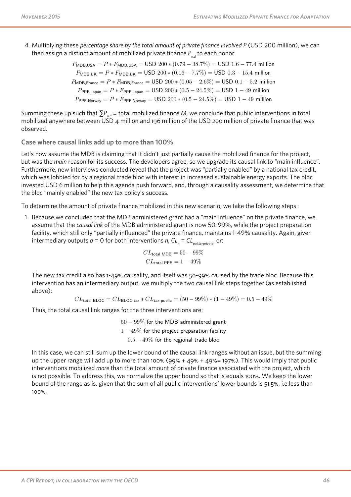4. Multiplying these percentage share by the total amount of private finance involved P (USD 200 million), we can then assign a distinct amount of mobilized private finance  $P_{_{n,d}}$  to each donor:

 $P_{\text{MDB,USA}} = P * F_{\text{MDB,USA}} = \text{USD } 200 * (0.79 - 38.7%) = \text{USD } 1.6 - 77.4$  million  $P_{\text{MDB,UK}} = P * F_{\text{MDB,UK}} = \text{USD } 200 * (0.16 - 7.7\%) = \text{USD } 0.3 - 15.4 \text{ million}$  $P_{\mathsf{MDB},\mathsf{France}} = P*F_{\mathsf{MDB},\mathsf{France}} = \mathsf{USD}\ 200*(0.05-2.6\%) = \mathsf{USD}\ 0.1-5.2$  million  $P_{\text{PPF, Japan}} = P * F_{\text{PPF, Japan}} = \text{USD } 200 * (0.5 - 24.5\%) = \text{USD } 1 - 49 \text{ million}$  $P_{\text{PPF, Norway}} = P * F_{\text{PPF, Norway}} = \text{USD } 200 * (0.5 - 24.5\%) = \text{USD } 1 - 49 \text{ million}$  $P_{MDB, UR} = P * F_{MDB, UR} = 0.052266$ *P*MDB,France = *P* ∗ *F*MDB,France = USD 200 ∗ (0*.*05 − 2*.*6%) = USD 0*.*1 − 5*.*2 million  $P_{\mathsf{PPF},\mathsf{Norway}} = P*F_{\mathsf{PPF},\mathsf{Norway}} = \mathsf{USD}\ 200*(0.5-24.5\%) = \mathsf{USD}\ 1-49$  million

Summing these up such that  $\sum P_{n,d}$  = total mobilized finance M, we conclude that public interventions in total mobilized anywhere between USD 4 million and 196 million of the USD 200 million of private finance that was observed. *P*MDB,France = *P* ∗ *F*MDB,France = USD 200 ∗ (0*.*05 − 2*.*6%) = USD 0*.*1 − 5*.*2 million *P*MDB,France = *P* ∗ *F*MDB,France = USD 200 ∗ (0*.*05 − 2*.*6%) = USD 0*.*1 − 5*.*2 million *P*PPF,Japan = *P* ∗ *F*PPF,Japan = USD 200 ∗ (0*.*5 − 24*.*5%) = USD 1 − 49 million

**Case where causal links add up to more than 100%** Case where causal links add up to more than 100% Case where causal links add up to more than  $100\%$ Summing these up such that Σ*Pn,d* = total mobilized finance *M*, we conclude that public interventions in total mobilized

Production and Protection: A First Look at Key Challenges in Mozambique

Let's now assume the MDB is claiming that it didn't just partially cause the mobilized finance for the project, but was the main reason for its success. The developers agree, so we upgrade its causal link to "main influence". Furthermore, new interviews conducted reveal that the project was "partially enabled" by a national tax credit, which was lobbied for by a regional trade bloc with interest in increased sustainable energy exports. The bloc invested USD 6 million to help this agenda push forward, and, through a causality assessment, we determine that the bloc "mainly enabled" the new tax policy's success. put was the mail teason for its success. The developers agree, so we upgrade its causal ink to than immerical 1. Because we concluded that the MDB administered grant had a "main influence" on the private finance, we assume that the but was the main reason for its success. The Let's now assume that it didn't just particular that it didn't just partially cause that it didn't just partially cause that it didn't just particular that it didn't the project of the project, but was the main subset of t which was lobbled to by a regional trade bloc with interest in increased sustainable energy exports. The bloc the bloc "mainly enabled" the new tax policy's success. which was lobbied for by a regional trade bloc with interest in increased sustainable energy exports. The bloc reason for its success. The developers and the developers and its causal link to the developers and its causal link to the developers and its causal link to the main influence of the main influence of the state of the stat invested OSD o minion to right mis agenual pash forward, and, through a causanty assessment, we determine that invested USD 6 million to belp this agenda push forward, and through a squadity assessment, we determine the conducted reveal that the project was "partially enabled" by a national tax credit was the seconducted for by a regional tax credit, which was looked for by a regional trade block of the seconducted for by a regional trade with bloc infinity chapted such the blow tax policy is success.

To determine the amount of private finance mobilized in this new scenario, we take the following steps : To determine the amount of private finance mobilized in this new scenario, we take the following steps:

1. Because we concluded that the MDB administered grant had a "main influence" on the private finance, we assume that the causal link of the MDB administered grant is now 50-99%, while the project preparation facility, which still only "partially influenced" the private finance, maintains 1-49% causality. Again, given intermediary outputs  $q = 0$  for both interventions  $n, CL_n = CL_{\text{public-private'}}$  or: *CL*<br>*CL*<sub>n</sub> = *CL*<sub>public</sub>-private, or:  $\frac{1}{2}$  and  $\frac{1}{2}$  is not the MDB administered grant is now 50-99%, while the project preparation  $\frac{1}{2}$ To determine the amount of private finance mobilized in this new scenario, we take the following steps: To determine the amount of private finance mobilized in this new scenario, we take the following steps:  $\frac{1}{2}$  assume that the causal link of the MDB administered grant is now 50-99% while the project preparation causal link of the Causal link of the MDB administered grant is now 50-99%, while the project preparation facility, while the project preparation facility, which still only "partially influenced" the private finance maint idding, which still only partially immericed the private mailler, maintains 1-49% causality. Again, given causality which still only "partially influenced" the private finance maintains 1-49% causality, Again, given  $\frac{1}{10}$  the private finance  $\frac{1}{10}$  for both interventions *n*,  $\frac{1}{10}$  =  $\frac{1}{10}$  for  $\frac{1}{10}$  for  $\frac{1}{10}$  for  $\frac{1}{10}$  for  $\frac{1}{10}$  for  $\frac{1}{10}$  for  $\frac{1}{10}$  for  $\frac{1}{10}$  for  $\frac{1}{10}$  for  $\frac$ *CLIN* called by our

$$
CL_{\text{total MDB}} = 50 - 99\%
$$
  

$$
CL_{\text{total PPF}} = 1 - 49\%
$$

The new tax credit also has 1-49% causality, and itself was 50-99% caused by the trade bloc. Because this intervention has an intermediary output, we multiply the two causal link steps together (as established<br>above): above): intervention has an intermediary output, we multiply the two causal link step

 $CL_{\text{total BLOC}} = CL_{\text{BLOC-tax}} * CL_{\text{tax-public}} = (50 - 99\%) * (1 - 49\%) = 0.5 - 49\%$ 

Thus, the total causal link ranges for the three interventions are:

0*.*5 − 49% for the regional trade bloc  $1-49\%$  for the project preparation facility  $\mathcal{L} = \mathcal{L} \times \mathcal{L} \times \mathcal{L} \times \mathcal{L} \times \mathcal{L} \times \mathcal{L} \times \mathcal{L} \times \mathcal{L} \times \mathcal{L} \times \mathcal{L} \times \mathcal{L} \times \mathcal{L} \times \mathcal{L} \times \mathcal{L} \times \mathcal{L} \times \mathcal{L} \times \mathcal{L} \times \mathcal{L} \times \mathcal{L} \times \mathcal{L} \times \mathcal{L} \times \mathcal{L} \times \mathcal{L} \times \mathcal{L} \times \mathcal{L} \times \mathcal{L} \times \mathcal{L$  $0.5-49\%$  for the regional trade bloc 50 − 99% for the MDB administered grant 50 − 99% for the MDB administered grant 50 − 99% for the MDB administered grant

In this case, we can still sum up the lower bound of the causal link ranges without an issue, but the summing up the upper range will add up to more than 100% (99% + 49% + 49% = 197%). This would imply that public interventions mobilized more than the total amount of private finance associated with the project, which is not possible. To address this, we normalize the upper bound so that is equals 100%. We keep the lower bound of the range as is, given that the sum of all public interventions' lower bounds is 51.5%, i.e.less than<br>100% 100%. *CL*all  $\frac{1}{5}$  is flut pussible. To addition The normalization calculation for the upper bounds of the causal link ranges is, given *CLall* is the sum of all the upper bounds of  $t_{\text{total}}$ is not nossible. To address this we normalize the unner bound so that is equals 100%. We keen the lower bound of the range as is give The normalization calculation for the upper bounds of the causal link ranges is, given *CLall* is the sum of all the upper bounds of The normalization calculation for the upper bounds of the causal link ranges is, given *CLall* is the sum of all the upper bounds of

Climate Policy Initiative 62

Climate Policy Initiative 62

Climate Policy Initiative 62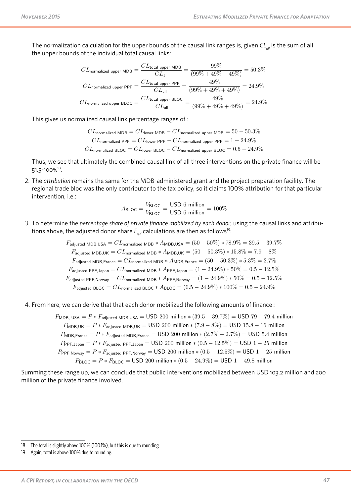The normalization calculation for the upper bounds of the causal link ranges is, given CL<sub>all</sub> is the sum of all the upper bounds of the individual total causal links:  $t_{\text{max}}$  is appended to the internal causal causal causal causal causal causal causal causal causal causal causal causal causal causal causal causal causal causal causal causal causal causal causal causal causal causal c

the total amount of private finance associated with the project, which is not possible. To address this, we no

$$
CL_{normalized upper MDB} = \frac{CL_{total upper MDB}}{CL_{all}} = \frac{99\%}{(99\% + 49\% + 49\%)} = 50.3\%
$$
  

$$
CL_{normalized upper PPF} = \frac{CL_{total upper PPF}}{CL_{all}} = \frac{49\%}{(99\% + 49\% + 49\%)} = 24.9\%
$$
  

$$
CL_{normalized upper BLOC} = \frac{CL_{total upper BLOC}}{CL_{all}} = \frac{49\%}{(99\% + 49\% + 49\%)} = 24.9\%
$$

This gives us normalized causal link percentage ranges of : This gives us normalized causal link percentage ranges of: This gives us normalized causal link percentage ranges of: This gives us normalized causal link percentage ranges of:

$$
CL_{normalized \; MDB} = CL_{lower \; MDB} - CL_{normalized \; upper \; MDB} = 50 - 50.3\%
$$

$$
CL_{normalized \; PPF} = CL_{lower \; PPF} - CL_{normalized \; upper \; PPF} = 1 - 24.9\%
$$

$$
CL_{normalized \; BLOC} = CL_{lower \; BLOC} - CL_{normalized \; upper \; BLOC} = 0.5 - 24.9\%
$$

Thus, we see that ultimately the combined causal link of all three interventions on the private finance will be Thus, we see that ultimately the combined causal link of all three interventions on the private finance will be 51.5-100%.<sup>28</sup> 51.5-100%18. *CL*normalized BLOC = *CL*lower BLOC − *CL*normalized upper BLOC = 0*.*5 − 24*.*9%  $51.5$ -100%<sup>to</sup>.  $51.5-100\%$ <sup>18</sup>.

2. The attribution remains the same for the MDB-administered grant and the project preparation facility. The regional trade bloc was the only contributor to the tax policy, so it claims 100% attribution for that particular intervention, i.e.: 2. The attribution remains the same for the MDB-administered grant and the project preparation facility. The

$$
A_{\text{BLOC}} = \frac{V_{\text{BLOC}}}{V_{\text{BLOC}}} = \frac{\text{USD 6 million}}{\text{USD 6 million}} = 100\%
$$

3. To determine the percentage share of private finance mobilized by each donor, using the causal links and attributions above, the adjusted donor share  $F_{n,d}$  calculations are then as follows<sup>19</sup>: 3. To determine the percentage share of private finance mobilized by each donor, using the causal links and attribu-<br> $\frac{1}{2}$ 

> $F_{\text{adjusted MDR USA}} = CL_{\text{normalized MDR}} * A_{\text{MDR USA}} = (50 - 50\%) * 78.9\% = 39.5 - 39.7\%$ *F*adjusted MDB,UK = *CL*normalized MDB ∗ *A*MDB,UK = (50 − 50*.*3%) ∗ 15*.*8% = 7*.*9 − 8%  $F_{\text{reduced MDE France}} = C L_{\text{normalized MDE}} * A_{\text{MDE France}} = (50 - 50.3\%) * 5.3\% = 2.7\%$  $F_{\text{reduced BPE, Jap}} = CL_{\text{normalized MDE}} * A_{\text{PPE, Jap}} = (1 - 24.9\%) * 50\% = 0.5 - 12.5\%$  $F_{\text{reduced PPE Nonsive}} = CI_{\text{perm}} \times A_{\text{PPE Nonsive}} = (1 - 24.9\%) * 50\% = 0.5 - 12.5\%$ *F*adjusted BLOC = *CL*normalized BLOC ∗ *A*BLOC = (0*.*5 − 24*.*9%) ∗ 100% = 0*.*5 − 24*.*9%  $F_{\text{adjusted MDB, USA}} = CL_{\text{normalized MDB}} * A_{\text{MDB,USA}} = (50 - 50\%) * 78.9\% = 39.5 - 39.7\%$  $F_{\text{adjusted MDB, UK}} = CL_{\text{normalized MDB}} * A_{\text{MDB, UK}} = (50 - 50.3\%) * 15.8\% = 7.9 - 8\%$  $F_{\text{adjusted MDB,France}} = CL_{\text{normalized MDB}} * A_{\text{MDB,France}} = (50 - 50.3\%) * 5.3\% = 2.7\%$  $F_{\text{adjusted PPF, Japan}} = CL_{\text{normalized MDB}} * A_{\text{PPF, Japan}} = (1-24.9\%) * 50\% = 0.5-12.5\%$  $F_{\text{adjusted PPF, Norway}} = CL_{\text{normalized MDB}} * A_{\text{PPF, Norway}} = (1 - 24.9\%) * 50\% = 0.5 - 12.5\%$  $F_{\text{adjusted BLOC}} = CL_{\text{normalized BLOC}} * A_{\text{BLOC}} = (0.5 - 24.9\%) * 100\% = 0.5 - 24.9\%$

4. From here, we can derive that that each donor mobilized the following amounts of finance : From here, we can derive that that each donor mobilized the following amounts of finance: 4. From here, we can derive that that each donor mobilized the following amour

> *PMDB, USA* =  $P * F_{\text{adimtod MDP,USA}} = \text{USD 200 million} * (39.5 - 39.7%) = \text{USD 79 - 79.4 million}$ *PMDB,UK* = *P* ∗ *F*adjusted MDB,UK = USD 200 million ∗ (7.9 – 8%) = USD 15.8 – 16 million *PMDB*, France =  $P * F_{\text{adivated MDR Error}} = \text{USD 200 million} * (2.7\% - 2.7\%) = \text{USD 5.4 million}$ *P*<br>*P*PPF, Japan = *P* ∗ *F*adjusted PPF, Japan = USD 200 million \* (0.5 – 12.5%) = USD 1 – 25 million *P*<br>*P*PPF,Norway = *P* ∗ *Fadjusted PPF,Norway* = USD 200 million ∗ (0.5 − 12.5%) = USD 1 − 25 million *P*BLOC = *P* ∗ *F*BLOC = USD 200 million ∗ (0*.*5 − 24*.*9%) = USD 1 − 49*.*8 million  $P_{\text{MDB, USA}} = P * F_{\text{adjusted MDB,USA}} = \text{USD 200 million} * (39.5 - 39.7\%) = \text{USD 79 - 79.4 million}$  $P_{\sf MDB, UK} = P * F_{\sf adjusted MDB, UK} = \sf{USD}\ 200\ \text{million} * (7.9 - 8\%) = \sf{USD}\ 15.8 - 16\ \text{million}$  $P_{\text{MDB,France}} = P * F_{\text{adjusted MDB,France}} = \text{USD } 200 \text{ million} * (2.7\% - 2.7\%) = \text{USD } 5.4 \text{ million}$  $P_{\sf PPF, Japan} = P * F_{\sf adjusted \; PPF, Japan} = \text{USD}\; 200 \; \text{million} * (0.5 - 12.5\%) = \text{USD}\; 1 - 25 \; \text{million}$  $P_{\mathsf{PPF},\mathsf{Norway}} = P * F_{\mathsf{adjusted\ PPF},\mathsf{Norway}} = \mathsf{USD}\ 200\ \mathsf{million} * (0.5 - 12.5\%) = \mathsf{USD}\ 1 - 25\ \mathsf{million}$  $P_{\text{BLOC}} = P * F_{\text{BLOC}} = \text{USD } 200 \text{ million} * (0.5 - 24.9\%) = \text{USD } 1 - 49.8 \text{ million}$

Summing these range up, we can conclude that public interventions mobilized between USD 103.2 million and 200 million of the private finance involved. private finance in the private

<sup>18</sup> The total is slightly above 100% (100.1%), but this is due to rounding.

<sup>19</sup> Again, total is above 100% due to rounding.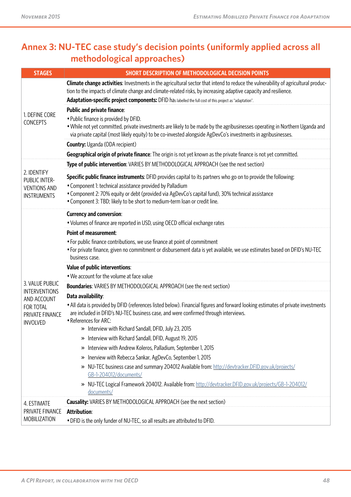# **Annex 3: NU-TEC case study's decision points (uniformly applied across all methodological approaches)**

| <b>STAGES</b>                       | SHORT DESCRIPTION OF METHODOLOGICAL DECISION POINTS                                                                                                                                                                                                   |
|-------------------------------------|-------------------------------------------------------------------------------------------------------------------------------------------------------------------------------------------------------------------------------------------------------|
| 1. DEFINE CORE<br><b>CONCEPTS</b>   | Climate change activities: Investments in the agricultural sector that intend to reduce the vulnerability of agricultural produc-<br>tion to the impacts of climate change and climate-related risks, by increasing adaptive capacity and resilience. |
|                                     | Adaptation-specific project components: DFID has labelled the full cost of this project as "adaptation".                                                                                                                                              |
|                                     | <b>Public and private finance:</b>                                                                                                                                                                                                                    |
|                                     | • Public finance is provided by DFID.                                                                                                                                                                                                                 |
|                                     | • While not yet committed, private investments are likely to be made by the agribusinesses operating in Northern Uganda and<br>via private capital (most likely equity) to be co-invested alongside AgDevCo's investments in agribusinesses.          |
|                                     | <b>Country:</b> Uganda (ODA recipient)                                                                                                                                                                                                                |
|                                     | Geographical origin of private finance: The origin is not yet known as the private finance is not yet committed.                                                                                                                                      |
|                                     | Type of public intervention: VARIES BY METHODOLOGICAL APPROACH (see the next section)                                                                                                                                                                 |
| 2. IDENTIFY<br>PUBLIC INTER-        | Specific public finance instruments: DFID provides capital to its partners who go on to provide the following:                                                                                                                                        |
| <b>VENTIONS AND</b>                 | • Component 1: technical assistance provided by Palladium                                                                                                                                                                                             |
| <b>INSTRUMENTS</b>                  | • Component 2: 70% equity or debt (provided via AgDevCo's capital fund), 30% technical assistance                                                                                                                                                     |
|                                     | • Component 3: TBD; likely to be short to medium-term loan or credit line.                                                                                                                                                                            |
|                                     | <b>Currency and conversion:</b>                                                                                                                                                                                                                       |
|                                     | • Volumes of finance are reported in USD, using OECD official exchange rates                                                                                                                                                                          |
|                                     | <b>Point of measurement:</b>                                                                                                                                                                                                                          |
|                                     | • For public finance contributions, we use finance at point of commitment<br>• For private finance, given no commitment or disbursement data is yet available, we use estimates based on DFID's NU-TEC<br>business case.                              |
|                                     | Value of public interventions:                                                                                                                                                                                                                        |
|                                     | • We account for the volume at face value                                                                                                                                                                                                             |
| 3. VALUE PUBLIC                     | <b>Boundaries:</b> VARIES BY METHODOLOGICAL APPROACH (see the next section)                                                                                                                                                                           |
| <b>INTERVENTIONS</b><br>AND ACCOUNT | Data availability:                                                                                                                                                                                                                                    |
| <b>FOR TOTAL</b>                    | • All data is provided by DFID (references listed below). Financial figures and forward looking estimates of private investments                                                                                                                      |
| PRIVATE FINANCE<br><b>INVOLVED</b>  | are included in DFID's NU-TEC business case, and were confirmed through interviews.                                                                                                                                                                   |
|                                     | • References for ARC:<br>» Interview with Richard Sandall, DFID, July 23, 2015                                                                                                                                                                        |
|                                     | Interview with Richard Sandall, DFID, August 19, 2015<br>≫                                                                                                                                                                                            |
|                                     | Interview with Andrew Koleros, Palladium, September 1, 2015<br>≫                                                                                                                                                                                      |
|                                     | Inerview with Rebecca Sankar, AgDevCo, September 1, 2015<br>≫                                                                                                                                                                                         |
|                                     | NU-TEC business case and summary 204012 Available from: http://devtracker.DFID.gov.uk/projects/<br>≫                                                                                                                                                  |
|                                     | GB-1-204012/documents/                                                                                                                                                                                                                                |
|                                     | NU-TEC Logical Framework 204012. Available from: http://devtracker.DFID.gov.uk/projects/GB-1-204012/<br>≫<br>documents/                                                                                                                               |
| 4. ESTIMATE                         | <b>Causality:</b> VARIES BY METHODOLOGICAL APPROACH (see the next section)                                                                                                                                                                            |
| PRIVATE FINANCE                     | <b>Attribution:</b>                                                                                                                                                                                                                                   |
| <b>MOBILIZATION</b>                 | . DFID is the only funder of NU-TEC, so all results are attributed to DFID.                                                                                                                                                                           |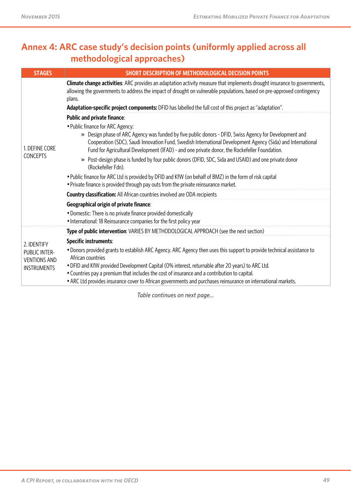# **Annex 4: ARC case study's decision points (uniformly applied across all methodological approaches)**

| <b>STAGES</b>                                              | <b>SHORT DESCRIPTION OF METHODOLOGICAL DECISION POINTS</b>                                                                                                                                                                                                                                                                                                 |  |  |
|------------------------------------------------------------|------------------------------------------------------------------------------------------------------------------------------------------------------------------------------------------------------------------------------------------------------------------------------------------------------------------------------------------------------------|--|--|
|                                                            | <b>Climate change activities:</b> ARC provides an adaptation activity measure that implements drought insurance to governments,<br>allowing the governments to address the impact of drought on vulnerable populations, based on pre-approved contingency<br>plans.                                                                                        |  |  |
|                                                            | Adaptation-specific project components: DFID has labelled the full cost of this project as "adaptation".                                                                                                                                                                                                                                                   |  |  |
|                                                            | Public and private finance:                                                                                                                                                                                                                                                                                                                                |  |  |
| 1. DEFINE CORE<br><b>CONCEPTS</b>                          | • Public finance for ARC Agency:<br>» Design phase of ARC Agency was funded by five public donors - DFID, Swiss Agency for Development and<br>Cooperation (SDC), Saudi Innovation Fund, Swedish International Development Agency (Sida) and International<br>Fund for Agricultural Development (IFAD) - and one private donor, the Rockefeller Foundation. |  |  |
|                                                            | Post-design phase is funded by four public donors (DFID, SDC, Sida and USAID) and one private donor<br>(Rockefeller Fdn).                                                                                                                                                                                                                                  |  |  |
|                                                            | . Public finance for ARC Ltd is provided by DFID and KfW (on behalf of BMZ) in the form of risk capital<br>• Private finance is provided through pay outs from the private reinsurance market.                                                                                                                                                             |  |  |
|                                                            | <b>Country classification:</b> All African countries involved are ODA recipients                                                                                                                                                                                                                                                                           |  |  |
|                                                            | <b>Geographical origin of private finance:</b>                                                                                                                                                                                                                                                                                                             |  |  |
|                                                            | • Domestic: There is no private finance provided domestically<br>• International: 18 Reinsurance companies for the first policy year                                                                                                                                                                                                                       |  |  |
| 2. IDENTIFY<br><b>PUBLIC INTER-</b><br><b>VENTIONS AND</b> | Type of public intervention: VARIES BY METHODOLOGICAL APPROACH (see the next section)                                                                                                                                                                                                                                                                      |  |  |
|                                                            | <b>Specific instruments:</b>                                                                                                                                                                                                                                                                                                                               |  |  |
|                                                            | • Donors provided grants to establish ARC Agency. ARC Agency then uses this support to provide technical assistance to<br>African countries                                                                                                                                                                                                                |  |  |
| <b>INSTRUMENTS</b>                                         | . DFID and KfW provided Development Capital (0% interest, returnable after 20 years) to ARC Ltd.<br>• Countries pay a premium that includes the cost of insurance and a contribution to capital.                                                                                                                                                           |  |  |
|                                                            | • ARC Ltd provides insurance cover to African governments and purchases reinsurance on international markets.                                                                                                                                                                                                                                              |  |  |

*Table continues on next page...*